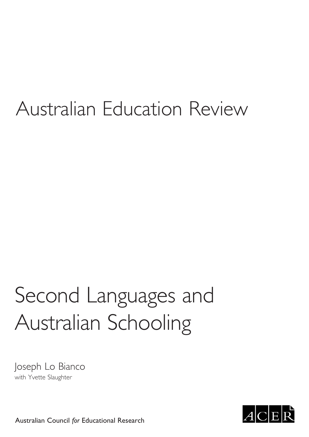### Australian Education Review

## Second Languages and Australian Schooling

Joseph Lo Bianco with Yvette Slaughter



Australian Council *for* Educational Research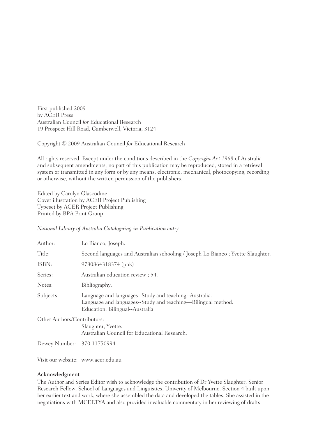First published 2009 by ACER Press Australian Council *for* Educational Research 19 Prospect Hill Road, Camberwell, Victoria, 3124

Copyright © 2009 Australian Council *for* Educational Research

All rights reserved. Except under the conditions described in the *Copyright Act 1968* of Australia and subsequent amendments, no part of this publication may be reproduced, stored in a retrieval system or transmitted in any form or by any means, electronic, mechanical, photocopying, recording or otherwise, without the written permission of the publishers.

Edited by Carolyn Glascodine Cover illustration by ACER Project Publishing Typeset by ACER Project Publishing Printed by BPA Print Group

#### *National Library of Australia Cataloguing-in-Publication entry*

| Author:                     | Lo Bianco, Joseph.                                                                                                                                         |
|-----------------------------|------------------------------------------------------------------------------------------------------------------------------------------------------------|
| Title:                      | Second languages and Australian schooling / Joseph Lo Bianco; Yvette Slaughter.                                                                            |
| ISBN:                       | 9780864318374 (pbk)                                                                                                                                        |
| Series:                     | Australian education review; 54.                                                                                                                           |
| Notes:                      | Bibliography.                                                                                                                                              |
| Subjects:                   | Language and languages--Study and teaching--Australia.<br>Language and languages--Study and teaching—Bilingual method.<br>Education, Bilingual--Australia. |
| Other Authors/Contributors: | Slaughter, Yvette.<br>Australian Council for Educational Research.                                                                                         |
|                             |                                                                                                                                                            |

Dewey Number: 370.11750994

Visit our website: www.acer.edu.au

#### Acknowledgment

The Author and Series Editor wish to acknowledge the contribution of Dr Yvette Slaughter, Senior Research Fellow, School of Languages and Linguistics, Univerity of Melbourne. Section 4 built upon her earlier text and work, where she assembled the data and developed the tables. She assisted in the negotiations with MCEETYA and also provided invaluable commentary in her reviewing of drafts.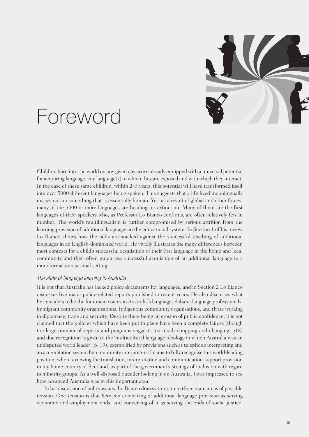

### Foreword

Children born into the world on any given day arrive already equipped with a universal potential for acquiring language, any language(s) to which they are exposed and with which they interact. In the case of these same children, within 2–3 years, this potential will have transformed itself into over 5000 different languages being spoken. This suggests that a life lived monolingually misses out on something that is essentially human. Yet, as a result of global and other forces, many of the 5000 or more languages are heading for extinction. Many of them are the first languages of their speakers who, as Professor Lo Bianco confirms, are often relatively few in number. The world's multilingualism is further compromised by serious attrition from the learning provision of additional languages in the educational system. In Section 1 of his review Lo Bianco shows how the odds are stacked against the successful teaching of additional languages in an English-dominated world. He vividly illustrates the many differences between most contexts for a child's successful acquisition of their first language in the home and local community and their often much less successful acquisition of an additional language in a more formal educational setting.

#### *The state of language learning in Australia*

It is not that Australia has lacked policy documents for languages, and in Section 2 Lo Bianco discusses five major policy-related reports published in recent years. He also discusses what he considers to be the four main voices in Australia's languages debate: language professionals, immigrant community organisations, Indigenous community organisations, and those working in diplomacy, trade and security. Despite there being an erosion of public confidence, it is not claimed that the policies which have been put in place have been a complete failure (though the large number of reports and programs suggests too much chopping and changing, p18) and due recognition is given to the 'multicultural language ideology in which Australia was an undisputed world leader' (p. 19), exemplified by provisions such as telephone interpreting and an accreditation system for community interpreters. I came to fully recognise this world-leading position, when reviewing the translation, interpretation and communication-support provision in my home country of Scotland, as part of the government's strategy of inclusion with regard to minority groups. As a well-disposed outsider looking in on Australia, I was impressed to see how advanced Australia was in this important area.

In his discussion of policy issues, Lo Bianco draws attention to three main areas of possible tension. One tension is that between conceiving of additional language provision as serving economic and employment ends, and conceiving of it as serving the ends of social justice,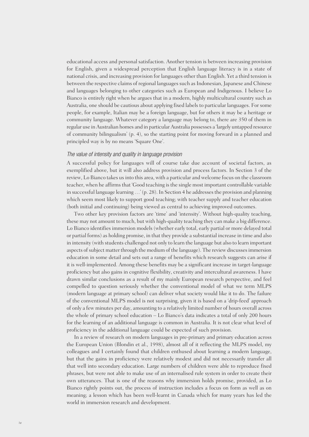educational access and personal satisfaction. Another tension is between increasing provision for English, given a widespread perception that English language literacy is in a state of national crisis, and increasing provision for languages other than English. Yet a third tension is between the respective claims of regional languages such as Indonesian, Japanese and Chinese and languages belonging to other categories such as European and Indigenous. I believe Lo Bianco is entirely right when he argues that in a modern, highly multicultural country such as Australia, one should be cautious about applying fixed labels to particular languages. For some people, for example, Italian may be a foreign language, but for others it may be a heritage or community language. Whatever category a language may belong to, there are 350 of them in regular use in Australian homes and in particular Australia possesses a 'largely untapped resource of community bilingualism' (p. 4), so the starting point for moving forward in a planned and principled way is by no means 'Square One'.

#### *The value of intensity and quality in language provision*

A successful policy for languages will of course take due account of societal factors, as exemplified above, but it will also address provision and process factors. In Section 3 of the review, Lo Bianco takes us into this area, with a particular and welcome focus on the classroom teacher, when he affirms that 'Good teaching is the single most important controllable variable in successful language learning …' (p. 28). In Section 4 he addresses the provision and planning which seem most likely to support good teaching; with teacher supply and teacher education (both initial and continuing) being viewed as central to achieving improved outcomes.

Two other key provision factors are 'time' and 'intensity'. Without high-quality teaching, these may not amount to much, but with high-quality teaching they can make a big difference. Lo Bianco identifies immersion models (whether early total, early partial or more delayed total or partial forms) as holding promise, in that they provide a substantial increase in time and also in intensity (with students challenged not only to learn the language but also to learn important aspects of subject matter through the medium of the language). The review discusses immersion education in some detail and sets out a range of benefits which research suggests can arise if it is well-implemented. Among these benefits may be a significant increase in target-language proficiency but also gains in cognitive flexibility, creativity and intercultural awareness. I have drawn similar conclusions as a result of my mainly European research perspective, and feel compelled to question seriously whether the conventional model of what we term MLPS (modern language at primary school) can deliver what society would like it to do. The failure of the conventional MLPS model is not surprising, given it is based on a 'drip-feed' approach of only a few minutes per day, amounting to a relatively limited number of hours overall across the whole of primary school education – Lo Bianco's data indicates a total of only 200 hours for the learning of an additional language is common in Australia. It is not clear what level of proficiency in the additional language could be expected of such provision.

In a review of research on modern languages in pre-primary and primary education across the European Union (Blondin et al., 1998), almost all of it reflecting the MLPS model, my colleagues and I certainly found that children enthused about learning a modern language, but that the gains in proficiency were relatively modest and did not necessarily transfer all that well into secondary education. Large numbers of children were able to reproduce fixed phrases, but were not able to make use of an internalised rule system in order to create their own utterances. That is one of the reasons why immersion holds promise, provided, as Lo Bianco rightly points out, the process of instruction includes a focus on form as well as on meaning; a lesson which has been well-learnt in Canada which for many years has led the world in immersion research and development.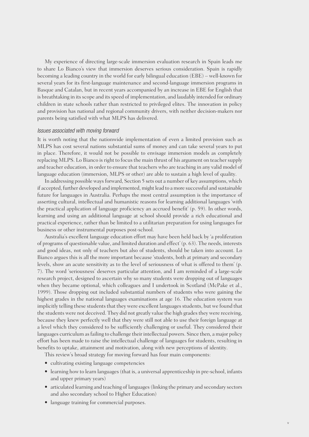My experience of directing large-scale immersion evaluation research in Spain leads me to share Lo Bianco's view that immersion deserves serious consideration. Spain is rapidly becoming a leading country in the world for early bilingual education (EBE) – well-known for several years for its first-language maintenance and second-language immersion programs in Basque and Catalan, but in recent years accompanied by an increase in EBE for English that is breathtaking in its scope and its speed of implementation, and laudably intended for ordinary children in state schools rather than restricted to privileged elites. The innovation in policy and provision has national and regional community drivers, with neither decision-makers nor parents being satisfied with what MLPS has delivered.

#### *Issues associated with moving forward*

It is worth noting that the nationwide implementation of even a limited provision such as MLPS has cost several nations substantial sums of money and can take several years to put in place. Therefore, it would not be possible to envisage immersion models as completely replacing MLPS. Lo Bianco is right to focus the main thrust of his argument on teacher supply and teacher education, in order to ensure that teachers who are teaching in any valid model of language education (immersion, MLPS or other) are able to sustain a high level of quality.

In addressing possible ways forward, Section 5 sets out a number of key assumptions, which if accepted, further developed and implemented, might lead to a more successful and sustainable future for languages in Australia. Perhaps the most central assumption is the importance of asserting cultural, intellectual and humanistic reasons for learning additional languages 'with the practical application of language proficiency an accrued benefit' (p. 59). In other words, learning and using an additional language at school should provide a rich educational and practical experience, rather than be limited to a utilitarian preparation for using languages for business or other instrumental purposes post-school.

Australia's excellent language education effort may have been held back by 'a proliferation of programs of questionable value, and limited duration and effect' (p. 63). The needs, interests and good ideas, not only of teachers but also of students, should be taken into account. Lo Bianco argues this is all the more important because 'students, both at primary and secondary levels, show an acute sensitivity as to the level of seriousness of what is offered to them' (p. 7). The word 'seriousness' deserves particular attention, and I am reminded of a large-scale research project, designed to ascertain why so many students were dropping out of languages when they became optional, which colleagues and I undertook in Scotland (McPake et al., 1999). Those dropping out included substantial numbers of students who were gaining the highest grades in the national languages examinations at age 16. The education system was implicitly telling these students that they were excellent languages students, but we found that the students were not deceived. They did not greatly value the high grades they were receiving, because they knew perfectly well that they were still not able to use their foreign language at a level which they considered to be sufficiently challenging or useful. They considered their languages curriculum as failing to challenge their intellectual powers. Since then, a major policy effort has been made to raise the intellectual challenge of languages for students, resulting in benefits to uptake, attainment and motivation, along with new perceptions of identity.

This review's broad strategy for moving forward has four main components:

- cultivating existing language competencies
- learning how to learn languages (that is, a universal apprenticeship in pre-school, infants and upper primary years)
- articulated learning and teaching of languages (linking the primary and secondary sectors and also secondary school to Higher Education)
- language training for commercial purposes.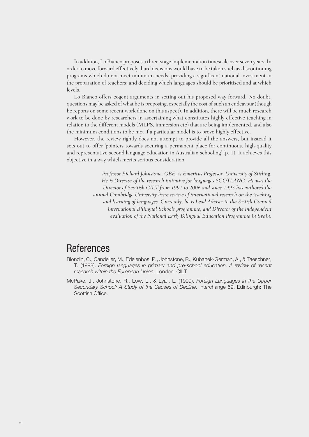In addition, Lo Bianco proposes a three-stage implementation timescale over seven years. In order to move forward effectively, hard decisions would have to be taken such as discontinuing programs which do not meet minimum needs; providing a significant national investment in the preparation of teachers; and deciding which languages should be prioritised and at which levels.

Lo Bianco offers cogent arguments in setting out his proposed way forward. No doubt, questions may be asked of what he is proposing, especially the cost of such an endeavour (though he reports on some recent work done on this aspect). In addition, there will be much research work to be done by researchers in ascertaining what constitutes highly effective teaching in relation to the different models (MLPS, immersion etc) that are being implemented, and also the minimum conditions to be met if a particular model is to prove highly effective.

However, the review rightly does not attempt to provide all the answers, but instead it sets out to offer 'pointers towards securing a permanent place for continuous, high-quality and representative second language education in Australian schooling' (p. 1). It achieves this objective in a way which merits serious consideration.

> *Professor Richard Johnstone, OBE, is Emeritus Professor, University of Stirling. He is Director of the research initiative for languages SCOTLANG. He was the Director of Scottish CILT from 1991 to 2006 and since 1993 has authored the annual Cambridge University Press review of international research on the teaching and learning of languages. Currently, he is Lead Adviser to the British Council international Bilingual Schools programme, and Director of the independent evaluation of the National Early Bilingual Education Programme in Spain.*

#### **References**

- Blondin, C., Candelier, M., Edelenbos, P., Johnstone, R., Kubanek-German, A., & Taeschner, T. (1998). *Foreign languages in primary and pre-school education. A review of recent research within the European Union*. London: CILT
- McPake, J., Johnstone, R., Low, L., & Lyall, L. (1999). *Foreign Languages in the Upper Secondary School: A Study of the Causes of Decline*. Interchange 59. Edinburgh: The Scottish Office.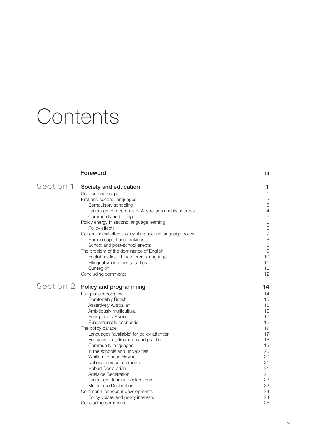## **Contents**

|           | Foreword                                                  | Ϊij                       |
|-----------|-----------------------------------------------------------|---------------------------|
| Section 1 | Society and education                                     | 1                         |
|           | Context and scope                                         | $\mathbf{1}$              |
|           | First and second languages                                | $\mathbf{2}$              |
|           | Compulsory schooling                                      | $\ensuremath{\mathsf{3}}$ |
|           | Language competency of Australians and its sources        | $\sqrt{4}$                |
|           | Community and foreign                                     | 5                         |
|           | Policy energy in second language learning                 | 6                         |
|           | Policy effects                                            | $\,6$                     |
|           | General social effects of existing second language policy | $\overline{7}$            |
|           | Human capital and rankings                                | $\,8\,$                   |
|           | School and post-school effects                            | 8                         |
|           | The problem of the dominance of English                   | $\overline{9}$            |
|           | English as first-choice foreign language                  | 10                        |
|           | Bilingualism in other societies                           | 11                        |
|           | Our region                                                | 12                        |
|           | Concluding comments                                       | 12                        |
| Section 2 | Policy and programming                                    | 14                        |
|           | Language ideologies                                       | 14                        |
|           | Comfortably British                                       | 15                        |
|           | Assertively Australian                                    | 15                        |
|           | Ambitiously multicultural                                 | 16                        |
|           | <b>Energetically Asian</b>                                | 16                        |
|           | Fundamentally economic                                    | 16                        |
|           | The policy parade                                         | 17                        |
|           | Languages 'available' for policy attention                | 17                        |
|           | Policy as text, discourse and practice                    | 18                        |
|           | Community languages                                       | 19                        |
|           | In the schools and universities                           | 20                        |
|           | Whitlam-Fraser-Hawke                                      | 20                        |
|           | National curriculum moves                                 | 21                        |
|           | <b>Hobart Declaration</b>                                 | 21                        |
|           | Adelaide Declaration                                      | 21                        |
|           | Language planning declarations                            | 22                        |
|           | Melbourne Declaration                                     | 23                        |
|           | Comments on recent developments                           | 24                        |
|           | Policy voices and policy interests                        | 24                        |
|           | Concluding comments                                       | 25                        |
|           |                                                           |                           |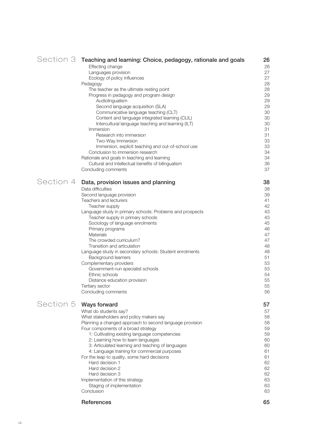|           | Section 3 Teaching and learning: Choice, pedagogy, rationale and goals<br>Effecting change<br>Languages provision |          |  |
|-----------|-------------------------------------------------------------------------------------------------------------------|----------|--|
|           | Ecology of policy influences                                                                                      | 27<br>27 |  |
|           | Pedagogy                                                                                                          | 28       |  |
|           | The teacher as the ultimate resting point                                                                         | 28       |  |
|           | Progress in pedagogy and program design                                                                           | 29       |  |
|           | Audiolingualism<br>Second language acquisition (SLA)                                                              | 29<br>29 |  |
|           | Communicative language teaching (CLT)                                                                             | 30       |  |
|           | Content and language integrated learning (CLIL)                                                                   | 30       |  |
|           | Intercultural language teaching and learning (ILT)                                                                | 30       |  |
|           | Immersion                                                                                                         | 31       |  |
|           | Research into immersion                                                                                           | 31       |  |
|           | Two-Way Immersion<br>Immersion, explicit teaching and out-of-school use                                           | 33<br>33 |  |
|           | Conclusion to immersion research                                                                                  | 34       |  |
|           | Rationale and goals in teaching and learning                                                                      | 34       |  |
|           | Cultural and intellectual benefits of bilingualism                                                                | 36       |  |
|           | Concluding comments                                                                                               | 37       |  |
| Section 4 | Data, provision issues and planning                                                                               | 38       |  |
|           | Data difficulties                                                                                                 | 38       |  |
|           | Second language provision<br>Teachers and lecturers                                                               | 39       |  |
|           | Teacher supply                                                                                                    | 41<br>42 |  |
|           | Language study in primary schools: Problems and prospects                                                         | 43       |  |
|           | Teacher supply in primary schools                                                                                 | 43       |  |
|           | Sociology of language enrolments                                                                                  | 45       |  |
|           | Primary programs                                                                                                  | 46       |  |
|           | <b>Materials</b>                                                                                                  | 47       |  |
|           | The crowded curriculum?<br>Transition and articulation                                                            | 47<br>48 |  |
|           | Language study in secondary schools: Student enrolments                                                           | 48       |  |
|           | <b>Background learners</b>                                                                                        | 51       |  |
|           | Complementary providers                                                                                           | 53       |  |
|           | Government-run specialist schools                                                                                 | 53       |  |
|           | Ethnic schools                                                                                                    | 54       |  |
|           | Distance education provision<br>Tertiary sector                                                                   | 55<br>55 |  |
|           | Concluding comments                                                                                               | 56       |  |
| Section 5 | <b>Ways forward</b>                                                                                               | 57       |  |
|           | What do students say?                                                                                             | 57       |  |
|           | What stakeholders and policy makers say                                                                           | 58       |  |
|           | Planning a changed approach to second language provision                                                          | 58       |  |
|           | Four components of a broad strategy                                                                               | 59       |  |
|           | 1: Cultivating existing language competencies<br>2: Learning how to learn languages                               | 59<br>60 |  |
|           | 3: Articulated learning and teaching of languages                                                                 | 60       |  |
|           | 4: Language training for commercial purposes                                                                      | 61       |  |
|           | For the leap to quality, some hard decisions                                                                      | 61       |  |
|           | Hard decision 1                                                                                                   | 62       |  |
|           | Hard decision 2                                                                                                   | 62       |  |
|           | Hard decision 3                                                                                                   | 62<br>63 |  |
|           | Implementation of this strategy<br>Staging of implementation                                                      | 63       |  |
|           | Conclusion                                                                                                        | 63       |  |
|           | <b>References</b>                                                                                                 | 65       |  |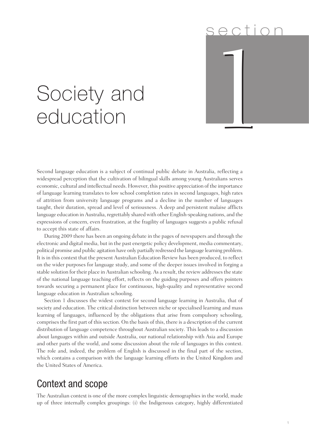# Society and<br>education s e ction

## Society and

Second language education is a subject of continual public debate in Australia, reflecting a widespread perception that the cultivation of bilingual skills among young Australians serves economic, cultural and intellectual needs. However, this positive appreciation of the importance of language learning translates to low school completion rates in second languages, high rates of attrition from university language programs and a decline in the number of languages taught, their duration, spread and level of seriousness. A deep and persistent malaise afflicts language education in Australia, regrettably shared with other English-speaking nations, and the expressions of concern, even frustration, at the fragility of languages suggests a public refusal to accept this state of affairs.

During 2009 there has been an ongoing debate in the pages of newspapers and through the electronic and digital media, but in the past energetic policy development, media commentary, political promise and public agitation have only partially redressed the language learning problem. It is in this context that the present Australian Education Review has been produced, to reflect on the wider purposes for language study, and some of the deeper issues involved in forging a stable solution for their place in Australian schooling. As a result, the review addresses the state of the national language teaching effort, reflects on the guiding purposes and offers pointers towards securing a permanent place for continuous, high-quality and representative second language education in Australian schooling.

Section 1 discusses the widest context for second language learning in Australia, that of society and education. The critical distinction between niche or specialised learning and mass learning of languages, influenced by the obligations that arise from compulsory schooling, comprises the first part of this section. On the basis of this, there is a description of the current distribution of language competence throughout Australian society. This leads to a discussion about languages within and outside Australia, our national relationship with Asia and Europe and other parts of the world, and some discussion about the role of languages in this context. The role and, indeed, the problem of English is discussed in the final part of the section, which contains a comparison with the language learning efforts in the United Kingdom and the United States of America.

#### Context and scope

The Australian context is one of the more complex linguistic demographies in the world, made up of three internally complex groupings: (i) the Indigenous category, highly differentiated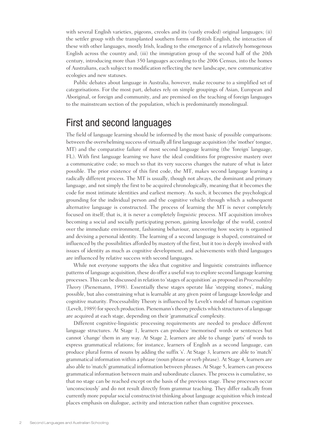with several English varieties, pigeons, creoles and its (vastly eroded) original languages; (ii) the settler group with the transplanted southern forms of British English, the interaction of these with other languages, mostly Irish, leading to the emergence of a relatively homogenous English across the country and; (iii) the immigration group of the second half of the 20th century, introducing more than 350 languages according to the 2006 Census, into the homes of Australians, each subject to modification reflecting the new landscape, new communicative ecologies and new statuses.

Public debates about language in Australia, however, make recourse to a simplified set of categorisations. For the most part, debates rely on simple groupings of Asian, European and Aboriginal, or foreign and community, and are premised on the teaching of foreign languages to the mainstream section of the population, which is predominantly monolingual.

#### First and second languages

The field of language learning should be informed by the most basic of possible comparisons: between the overwhelming success of virtually all first language acquisition (the 'mother' tongue, MT) and the comparative failure of most second language learning (the 'foreign' language, FL). With first language learning we have the ideal conditions for progressive mastery over a communicative code; so much so that its very success changes the nature of what is later possible. The prior existence of this first code, the MT, makes second language learning a radically different process. The MT is usually, though not always, the dominant and primary language, and not simply the first to be acquired chronologically, meaning that it becomes the code for most intimate identities and earliest memory. As such, it becomes the psychological grounding for the individual person and the cognitive vehicle through which a subsequent alternative language is constructed. The process of learning the MT is never completely focused on itself; that is, it is never a completely *linguistic* process. MT acquisition involves becoming a social and socially participating person, gaining knowledge of the world, control over the immediate environment, fashioning behaviour, uncovering how society is organised and devising a personal identity. The learning of a second language is shaped, constrained or influenced by the possibilities afforded by mastery of the first, but it too is deeply involved with issues of identity as much as cognitive development, and achievements with third languages are influenced by relative success with second languages.

While not everyone supports the idea that cognitive and linguistic constraints influence patterns of language acquisition, these do offer a useful way to explore second language learning processes. This can be discussed in relation to 'stages of acquisition' as proposed in *Processability Theory* (Pienemann, 1998). Essentially these stages operate like 'stepping stones', making possible, but also constraining what is learnable at any given point of language knowledge and cognitive maturity. Processability Theory is influenced by Levelt's model of human cognition (Levelt, 1989) for speech production. Pienemann's theory predicts which structures of a language are acquired at each stage, depending on their 'grammatical' complexity.

Different cognitive-linguistic processing requirements are needed to produce different language structures. At Stage 1, learners can produce 'memorised' words or sentences but cannot 'change' them in any way. At Stage 2, learners are able to change 'parts' of words to express grammatical relations; for instance, learners of English as a second language, can produce plural forms of nouns by adding the suffix 's'. At Stage 3, learners are able to 'match' grammatical information within a phrase (noun phrase or verb phrase). At Stage 4, learners are also able to 'match' grammatical information between phrases. At Stage 5, learners can process grammatical information between main and subordinate clauses. The process is cumulative, so that no stage can be reached except on the basis of the previous stage. These processes occur 'unconsciously' and do not result directly from grammar teaching. They differ radically from currently more popular social constructivist thinking about language acquisition which instead places emphasis on dialogue, activity and interaction rather than cognitive processes.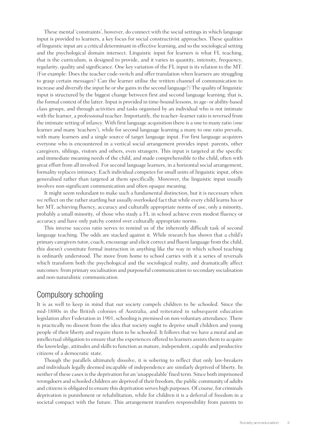These mental 'constraints', however, do connect with the social settings in which language input is provided to learners, a key focus for social constructivist approaches. These qualities of linguistic input are a critical determinant in effective learning, and so the sociological setting and the psychological domain intersect. Linguistic input for learners is what FL teaching, that is the curriculum, is designed to provide, and it varies in quantity, intensity, frequency, regularity, quality and significance. One key variation of the FL input is its relation to the MT. (For example: Does the teacher code-switch and offer translation when learners are struggling to grasp certain messages? Can the learner utilise the written channel of communication to increase and diversify the input he or she gains in the second language?) The quality of linguistic input is structured by the biggest change between first and second language learning; that is, the formal context of the latter. Input is provided in time-bound lessons, in age- or ability-based class groups, and through activities and tasks organised by an individual who is not intimate with the learner, a professional teacher. Importantly, the teacher–learner ratio is reversed from the intimate setting of infancy. With first language acquisition there is a one to many ratio (one learner and many 'teachers'), while for second language learning a many to one ratio prevails, with many learners and a single source of target language input. For first language acquirers everyone who is encountered in a vertical social arrangement provides input: parents, other caregivers, siblings, visitors and others, even strangers. This input is targeted at the specific and immediate meaning needs of the child, and made comprehensible to the child, often with great effort from all involved. For second language learners, in a horizontal social arrangement, formality replaces intimacy. Each individual competes for small units of linguistic input, often generalised rather than targeted at them specifically. Moreover, the linguistic input usually involves non-significant communication and often opaque meaning.

It might seem redundant to make such a fundamental distinction, but it is necessary when we reflect on the rather startling but usually overlooked fact that while every child learns his or her MT, achieving fluency, accuracy and culturally appropriate norms of use, only a minority, probably a small minority, of those who study a FL in school achieve even modest fluency or accuracy and have only patchy control over culturally appropriate norms.

This inverse success ratio serves to remind us of the inherently difficult task of second language teaching. The odds are stacked against it. While research has shown that a child's primary caregivers tutor, coach, encourage and elicit correct and fluent language from the child, this doesn't constitute formal instruction in anything like the way in which school teaching is ordinarily understood. The move from home to school carries with it a series of reversals which transform both the psychological and the sociological reality, and dramatically affect outcomes: from primary socialisation and purposeful communication to secondary socialisation and non-naturalistic communication.

#### Compulsory schooling

It is as well to keep in mind that our society compels children to be schooled. Since the mid-1880s in the British colonies of Australia, and reiterated in subsequent education legislation after Federation in 1901, schooling is premised on non-voluntary attendance. There is practically no dissent from the idea that society ought to deprive small children and young people of their liberty and require them to be schooled. It follows that we have a moral and an intellectual obligation to ensure that the experiences offered to learners assists them to acquire the knowledge, attitudes and skills to function as mature, independent, capable and productive citizens of a democratic state.

Though the parallels ultimately dissolve, it is sobering to reflect that only law-breakers and individuals legally deemed incapable of independence are similarly deprived of liberty. In neither of these cases is the deprivation for an 'unappealable' fixed term. Since both imprisoned wrongdoers and schooled children are deprived of their freedom, the public community of adults and citizens is obligated to ensure this deprivation serves high purposes. Of course, for criminals deprivation is punishment or rehabilitation, while for children it is a deferral of freedom in a societal compact with the future. This arrangement transfers responsibility from parents to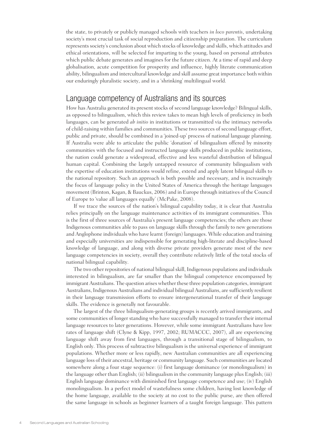the state, to privately or publicly managed schools with teachers *in loco parentis*, undertaking society's most crucial task of social reproduction and citizenship preparation. The curriculum represents society's conclusion about which stocks of knowledge and skills, which attitudes and ethical orientations, will be selected for imparting to the young, based on personal attributes which public debate generates and imagines for the future citizen. At a time of rapid and deep globalisation, acute competition for prosperity and influence, highly literate communication ability, bilingualism and intercultural knowledge and skill assume great importance both within our enduringly pluralistic society, and in a 'shrinking' multilingual world.

#### Language competency of Australians and its sources

How has Australia generated its present stocks of second language knowledge? Bilingual skills, as opposed to bilingualism, which this review takes to mean high levels of proficiency in both languages, can be generated *ab initio* in institutions or transmitted via the intimacy networks of child-raising within families and communities. These two sources of second language effort, public and private, should be combined in a 'joined-up' process of national language planning. If Australia were able to articulate the public 'donation' of bilingualism offered by minority communities with the focused and instructed language skills produced in public institutions, the nation could generate a widespread, effective and less wasteful distribution of bilingual human capital. Combining the largely untapped resource of community bilingualism with the expertise of education institutions would refine, extend and apply latent bilingual skills to the national repository. Such an approach is both possible and necessary, and is increasingly the focus of language policy in the United States of America through the heritage languages movement (Brinton, Kagan, & Bauckus, 2006) and in Europe through initiatives of the Council of Europe to 'value all languages equally' (McPake, 2008).

If we trace the sources of the nation's bilingual capability today, it is clear that Australia relies principally on the language maintenance activities of its immigrant communities. This is the first of three sources of Australia's present language competencies; the others are those Indigenous communities able to pass on language skills through the family to new generations and Anglophone individuals who have learnt (foreign) languages. While education and training and especially universities are indispensible for generating high-literate and discipline-based knowledge of language, and along with diverse private providers generate most of the new language competencies in society, overall they contribute relatively little of the total stocks of national bilingual capability.

The two other repositories of national bilingual skill, Indigenous populations and individuals interested in bilingualism, are far smaller than the bilingual competence encompassed by immigrant Australians. The question arises whether these three population categories, immigrant Australians, Indigenous Australians and individual bilingual Australians, are sufficiently resilient in their language transmission efforts to ensure intergenerational transfer of their language skills. The evidence is generally not favourable.

The largest of the three bilingualism-generating groups is recently arrived immigrants, and some communities of longer standing who have successfully managed to transfer their internal language resources to later generations. However, while some immigrant Australians have low rates of language shift (Clyne & Kipp, 1997, 2002; RUMACCC, 2007), all are experiencing language shift away from first languages, through a transitional stage of bilingualism, to English only. This process of subtractive bilingualism is the universal experience of immigrant populations. Whether more or less rapidly, new Australian communities are all experiencing language loss of their ancestral, heritage or community language. Such communities are located somewhere along a four stage sequence: (i) first language dominance (or monolingualism) in the language other than English; (ii) bilingualism in the community language plus English; (iii) English language dominance with diminished first language competence and use; (iv) English monolingualism. In a perfect model of wastefulness some children, having lost knowledge of the home language, available to the society at no cost to the public purse, are then offered the same language in schools as beginner learners of a taught foreign language. This pattern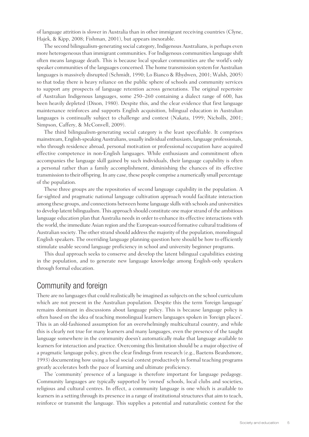of language attrition is slower in Australia than in other immigrant receiving countries (Clyne, Hajek, & Kipp, 2008; Fishman, 2001), but appears inexorable.

The second bilingualism-generating social category, Indigenous Australians, is perhaps even more heterogeneous than immigrant communities. For Indigenous communities language shift often means language death. This is because local speaker communities are the world's only speaker communities of the languages concerned. The home transmission system for Australian languages is massively disrupted (Schmidt, 1990; Lo Bianco & Rhydwen, 2001; Walsh, 2005) so that today there is heavy reliance on the public sphere of schools and community services to support any prospects of language retention across generations. The original repertoire of Australian Indigenous languages, some 250–260 containing a dialect range of 600, has been heavily depleted (Dixon, 1980). Despite this, and the clear evidence that first language maintenance reinforces and supports English acquisition, bilingual education in Australian languages is continually subject to challenge and contest (Nakata, 1999; Nicholls, 2001; Simpson, Caffery, & McConvell, 2009).

The third bilingualism-generating social category is the least specifiable. It comprises mainstream, English-speaking Australians, usually individual enthusiasts, language professionals, who through residence abroad, personal motivation or professional occupation have acquired effective competence in non-English languages. While enthusiasm and commitment often accompanies the language skill gained by such individuals, their language capability is often a personal rather than a family accomplishment, diminishing the chances of its effective transmission to their offspring. In any case, these people comprise a numerically small percentage of the population.

These three groups are the repositories of second language capability in the population. A far-sighted and pragmatic national language cultivation approach would facilitate interaction among these groups, and connections between home language skills with schools and universities to develop latent bilingualism. This approach should constitute one major strand of the ambitious language education plan that Australia needs in order to enhance its effective interactions with the world, the immediate Asian region and the European-sourced formative cultural traditions of Australian society. The other strand should address the majority of the population, monolingual English speakers. The overriding language planning question here should be how to efficiently stimulate usable second language proficiency in school and university beginner programs.

This dual approach seeks to conserve and develop the latent bilingual capabilities existing in the population, and to generate new language knowledge among English-only speakers through formal education.

#### Community and foreign

There are no languages that could realistically be imagined as subjects on the school curriculum which are not present in the Australian population. Despite this the term 'foreign language' remains dominant in discussions about language policy. This is because language policy is often based on the idea of teaching monolingual learners languages spoken in 'foreign places'. This is an old-fashioned assumption for an overwhelmingly multicultural country, and while this is clearly not true for many learners and many languages, even the presence of the taught language somewhere in the community doesn't automatically make that language available to learners for interaction and practice. Overcoming this limitation should be a major objective of a pragmatic language policy, given the clear findings from research (e.g., Baetens Beardsmore, 1993) documenting how using a local social context productively in formal teaching programs greatly accelerates both the pace of learning and ultimate proficiency.

The 'community' presence of a language is therefore important for language pedagogy. Community languages are typically supported by 'owned' schools, local clubs and societies, religious and cultural centres. In effect, a community language is one which is available to learners in a setting through its presence in a range of institutional structures that aim to teach, reinforce or transmit the language. This supplies a potential and naturalistic context for the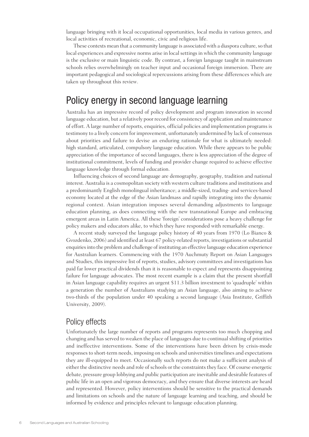language bringing with it local occupational opportunities, local media in various genres, and local activities of recreational, economic, civic and religious life.

These contexts mean that a community language is associated with a diaspora culture, so that local experiences and expressive norms arise in local settings in which the community language is the exclusive or main linguistic code. By contrast, a foreign language taught in mainstream schools relies overwhelmingly on teacher input and occasional foreign immersion. There are important pedagogical and sociological repercussions arising from these differences which are taken up throughout this review.

#### Policy energy in second language learning

Australia has an impressive record of policy development and program innovation in second language education, but a relatively poor record for consistency of application and maintenance of effort. A large number of reports, enquiries, official policies and implementation programs is testimony to a lively concern for improvement, unfortunately undermined by lack of consensus about priorities and failure to devise an enduring rationale for what is ultimately needed: high standard, articulated, compulsory language education. While there appears to be public appreciation of the importance of second languages, there is less appreciation of the degree of institutional commitment, levels of funding and provider change required to achieve effective language knowledge through formal education.

Influencing choices of second language are demography, geography, tradition and national interest. Australia is a cosmopolitan society with western culture traditions and institutions and a predominantly English monolingual inheritance; a middle-sized, trading- and services-based economy located at the edge of the Asian landmass and rapidly integrating into the dynamic regional context. Asian integration imposes several demanding adjustments to language education planning, as does connecting with the new transnational Europe and embracing emergent areas in Latin America. All these 'foreign' considerations pose a heavy challenge for policy makers and educators alike, to which they have responded with remarkable energy.

A recent study surveyed the language policy history of 40 years from 1970 (Lo Bianco & Gvozdenko, 2006) and identified at least 67 policy-related reports, investigations or substantial enquiries into the problem and challenge of instituting an effective language education experience for Australian learners. Commencing with the 1970 Auchmuty Report on Asian Languages and Studies, this impressive list of reports, studies, advisory committees and investigations has paid far lower practical dividends than it is reasonable to expect and represents disappointing failure for language advocates. The most recent example is a claim that the present shortfall in Asian language capability requires an urgent \$11.3 billion investment to 'quadruple' within a generation the number of Australians studying an Asian language, also aiming to achieve two-thirds of the population under 40 speaking a second language (Asia Institute, Griffith University, 2009).

#### Policy effects

Unfortunately the large number of reports and programs represents too much chopping and changing and has served to weaken the place of languages due to continual shifting of priorities and ineffective interventions. Some of the interventions have been driven by crisis-mode responses to short-term needs, imposing on schools and universities timelines and expectations they are ill-equipped to meet. Occasionally such reports do not make a sufficient analysis of either the distinctive needs and role of schools or the constraints they face. Of course energetic debate, pressure group lobbying and public participation are inevitable and desirable features of public life in an open and vigorous democracy, and they ensure that diverse interests are heard and represented. However, policy interventions should be sensitive to the practical demands and limitations on schools and the nature of language learning and teaching, and should be informed by evidence and principles relevant to language education planning.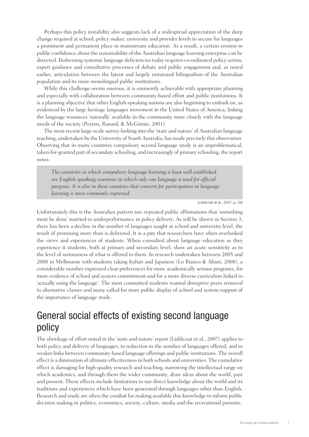Perhaps this policy instability also suggests lack of a widespread appreciation of the deep change required at school, policy maker, university and provider levels to secure for languages a prominent and permanent place in mainstream education. As a result, a certain erosion in public confidence about the sustainability of the Australian language learning enterprise can be detected. Redressing systemic language deficiencies today requires co-ordinated policy action, expert guidance and consultative processes of debate and public engagement and, as noted earlier, articulation between the latent and largely untutored bilingualism of the Australian population and its more monolingual public institutions.

While this challenge seems onerous, it is eminently achievable with appropriate planning and especially with collaboration between community-based effort and public institutions. It is a planning objective that other English-speaking nations are also beginning to embark on, as evidenced by the large heritage languages movement in the United States of America, linking the language resources 'naturally' available in the community more closely with the language needs of the society (Peyton, Ranard, & McGinnis, 2001).

The most recent large-scale survey looking into the 'state and nature' of Australian language teaching, undertaken by the University of South Australia, has made precisely this observation. Observing that in many countries compulsory second language study is an unproblematical, taken-for-granted part of secondary schooling, and increasingly of primary schooling, the report notes:

*The countries in which compulsory language learning is least well established are English-speaking countries in which only one language is used for official purposes. It is also in these countries that concern for participation in language learning is most commonly expressed*

(Liddicoat et al., 2007, p. 29)

Unfortunately this is the Australian pattern too: repeated public affirmations that 'something must be done' married to underperformance in policy delivery. As will be shown in Section 3, there has been a decline in the number of languages taught at school and university level, the result of promising more than is delivered. It is a pity that researchers have often overlooked the views and experiences of students. When consulted about language education as they experience it students, both at primary and secondary level, show an acute sensitivity as to the level of seriousness of what is offered to them. In research undertaken between 2005 and 2008 in Melbourne with students taking Italian and Japanese (Lo Bianco & Aliani, 2008), a considerable number expressed clear preferences for more academically serious programs, for more evidence of school and system commitment and for a more diverse curriculum linked to 'actually using the language'. The most committed students wanted disruptive peers removed to alternative classes and many called for more public display of school and system support of the importance of language study.

#### General social effects of existing second language policy

The shrinkage of effort noted in the 'state and nature' report (Liddicoat et al., 2007) applies to both policy and delivery of languages, to reduction in the number of languages offered, and to weaker links between community-based language offerings and public institutions. The overall effect is a diminution of ultimate effectiveness in both schools and universities. The cumulative effect is damaging for high-quality research and teaching, narrowing the intellectual range on which academics, and through them the wider community, draw ideas about the world, past and present. These effects include limitations to our direct knowledge about the world and its traditions and experiences which have been generated through languages other than English. Research and study are often the conduit for making available this knowledge to inform public decision making in politics, economics, society, culture, media and the recreational pursuits.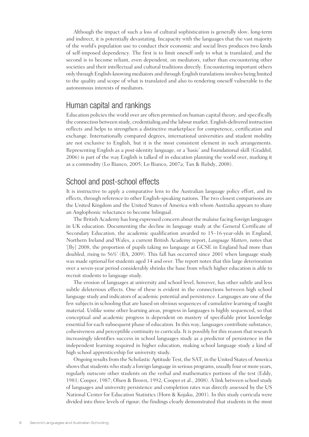Although the impact of such a loss of cultural sophistication is generally slow, long-term and indirect, it is potentially devastating. Incapacity with the languages that the vast majority of the world's population use to conduct their economic and social lives produces two kinds of self-imposed dependency. The first is to limit oneself only to what is translated, and the second is to become reliant, even dependent, on mediators, rather than encountering other societies and their intellectual and cultural traditions directly. Encountering important others only through English-knowing mediators and through English translations involves being limited to the quality and scope of what is translated and also to rendering oneself vulnerable to the autonomous interests of mediators.

#### Human capital and rankings

Education policies the world over are often premised on human capital theory, and specifically the connection between study, credentialing and the labour market. English-delivered instruction reflects and helps to strengthen a distinctive marketplace for competence, certification and exchange. Internationally compared degrees, international universities and student mobility are not exclusive to English, but it is the most consistent element in such arrangements. Representing English as a post-identity language, or a 'basic' and foundational skill (Graddol, 2006) is part of the way English is talked of in education planning the world over, marking it as a commodity (Lo Bianco, 2005; Lo Bianco, 2007a; Tan & Rubdy, 2008).

#### School and post-school effects

It is instructive to apply a comparative lens to the Australian language policy effort, and its effects, through reference to other English-speaking nations. The two closest comparisons are the United Kingdom and the United States of America with whom Australia appears to share an Anglophonic reluctance to become bilingual.

The British Academy has long expressed concern about the malaise facing foreign languages in UK education. Documenting the decline in language study at the General Certificate of Secondary Education, the academic qualification awarded to 15–16-year-olds in England, Northern Ireland and Wales, a current British Academy report, *Language Matters*, notes that '[By] 2008, the proportion of pupils taking no language at GCSE in England had more than doubled, rising to 56%' (BA, 2009). This fall has occurred since 2001 when language study was made optional for students aged 14 and over. The report notes that this large deterioration over a seven-year period considerably shrinks the base from which higher education is able to recruit students to language study.

The erosion of languages at university and school level, however, has other subtle and less subtle deleterious effects. One of these is evident in the connections between high school language study and indicators of academic potential and persistence. Languages are one of the few subjects in schooling that are based on obvious sequences of cumulative learning of taught material. Unlike some other learning areas, progress in languages is highly sequenced, so that conceptual and academic progress is dependent on mastery of specifiable prior knowledge essential for each subsequent phase of education. In this way, languages contribute substance, cohesiveness and perceptible continuity to curricula. It is possibly for this reason that research increasingly identifies success in school languages study as a predictor of persistence in the independent learning required in higher education, making school language study a kind of high school apprenticeship for university study.

Ongoing results from the Scholastic Aptitude Test, the SAT, in the United States of America shows that students who study a foreign language in serious programs, usually four or more years, regularly outscore other students on the verbal and mathematics portions of the test (Eddy, 1981; Cooper, 1987; Olsen & Brown, 1992; Cooper et al., 2008). A link between school study of languages and university persistence and completion rates was directly assessed by the US National Center for Education Statistics (Horn & Kojaku, 2001). In this study curricula were divided into three levels of rigour; the findings clearly demonstrated that students in the most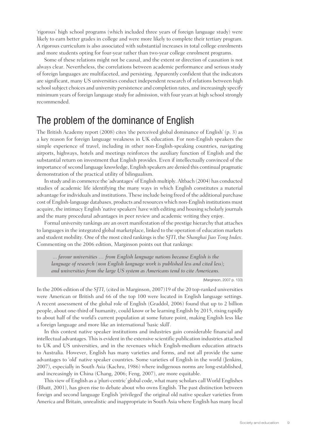'rigorous' high school programs (which included three years of foreign language study) were likely to earn better grades in college and were more likely to complete their tertiary program. A rigorous curriculum is also associated with substantial increases in total college enrolments and more students opting for four-year rather than two-year college enrolment programs.

Some of these relations might not be causal, and the extent or direction of causation is not always clear. Nevertheless, the correlations between academic performance and serious study of foreign languages are multifaceted, and persisting. Apparently confident that the indicators are significant, many US universities conduct independent research of relations between high school subject choices and university persistence and completion rates, and increasingly specify minimum years of foreign language study for admission, with four years at high school strongly recommended.

#### The problem of the dominance of English

The British Academy report (2008) cites 'the perceived global dominance of English' (p. 3) as a key reason for foreign language weakness in UK education. For non-English speakers the simple experience of travel, including in other non-English-speaking countries, navigating airports, highways, hotels and meetings reinforces the auxiliary function of English and the substantial return on investment that English provides. Even if intellectually convinced of the importance of second language knowledge, English speakers are denied this continual pragmatic demonstration of the practical utility of bilingualism.

In study and in commerce the 'advantages' of English multiply. Altbach (2004) has conducted studies of academic life identifying the many ways in which English constitutes a material advantage for individuals and institutions. These include being freed of the additional purchase cost of English-language databases, products and resources which non-English institutions must acquire, the intimacy English 'native speakers' have with editing and housing scholarly journals and the many procedural advantages in peer review and academic writing they enjoy.

Formal university rankings are an overt manifestation of the prestige hierarchy that attaches to languages in the integrated global marketplace, linked to the operation of education markets and student mobility. One of the most cited rankings is the *SJTI*, the *Shanghai Jiao Tong Index*. Commenting on the 2006 edition, Marginson points out that rankings:

 *... favour universities … from English language nations because English is the language of research (non English language work is published less and cited less); and universities from the large US system as Americans tend to cite Americans.*

(Marginson, 2007 p. 133)

In the 2006 edition of the *SJTI*, (cited in Marginson, 2007)19 of the 20 top-ranked universities were American or British and 66 of the top 100 were located in English language settings. A recent assessment of the global role of English (Graddol, 2006) found that up to 2 billion people, about one-third of humanity, could know or be learning English by 2015, rising rapidly to about half of the world's current population at some future point, making English less like a foreign language and more like an international 'basic skill'.

In this context native speaker institutions and industries gain considerable financial and intellectual advantages. This is evident in the extensive scientific publication industries attached to UK and US universities, and in the revenues which English-medium education attracts to Australia. However, English has many varieties and forms, and not all provide the same advantages to 'old' native speaker countries. Some varieties of English in the world (Jenkins, 2007), especially in South Asia (Kachru, 1986) where indigenous norms are long-established, and increasingly in China (Chang, 2006; Feng, 2007), are more equitable.

This view of English as a 'pluri-centric' global code, what many scholars call World Englishes (Bhatt, 2001), has given rise to debate about who owns English. The past distinction between foreign and second language English 'privileged' the original old native speaker varieties from America and Britain, unrealistic and inappropriate in South Asia where English has many local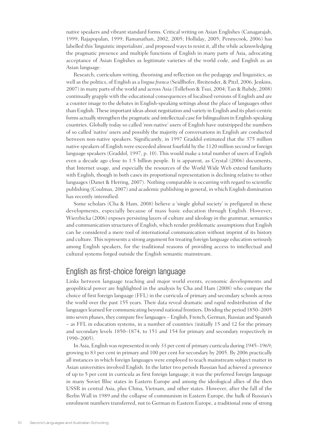native speakers and vibrant standard forms. Critical writing on Asian Englishes (Canagarajah, 1999; Rajapopalan, 1999; Ramanathan, 2002, 2005; Holliday, 2005; Pennycook, 2006) has labelled this 'linguistic imperialism', and proposed ways to resist it, all the while acknowledging the pragmatic presence and multiple functions of English in many parts of Asia, advocating acceptance of Asian Englishes as legitimate varieties of the world code, and English as an Asian language.

Research, curriculum writing, theorising and reflection on the pedagogy and linguistics, as well as the politics, of English as a *lingua franca* (Seidlhofer, Breitender, & Pitzl, 2006; Jenkins, 2007) in many parts of the world and across Asia (Tollefson & Tsui, 2004; Tan & Rubdy, 2008) continually grapple with the educational consequences of localised versions of English and are a counter image to the debates in English-speaking settings about the place of languages other than English. These important ideas about negotiation and variety in English and its pluri-centric forms actually strengthen the pragmatic and intellectual case for bilingualism in English-speaking countries. Globally today so called 'non-native' users of English have outstripped the numbers of so called 'native' users and possibly the majority of conversations in English are conducted between non-native speakers. Significantly, in 1997 Graddol estimated that the 375 million native speakers of English were exceeded almost fourfold by the 1120 million second or foreign language speakers (Graddol, 1997, p. 10). This would make a total number of users of English even a decade ago close to 1.5 billion people. It is apparent, as Crystal (2006) documents, that Internet usage, and especially the resources of the World Wide Web extend familiarity with English, though in both cases its proportional representation is declining relative to other languages (Danet & Herring, 2007). Nothing comparable is occurring with regard to scientific publishing (Coulmas, 2007) and academic publishing in general, in which English domination has recently intensified.

Some scholars (Cha & Ham, 2008) believe a 'single global society' is prefigured in these developments, especially because of mass basic education through English. However, Wierzbicka (2006) exposes persisting layers of culture and ideology in the grammar, semantics and communication structures of English, which render problematic assumptions that English can be considered a mere tool of international communication without imprint of its history and culture. This represents a strong argument for treating foreign language education seriously among English speakers, for the traditional reasons of providing access to intellectual and cultural systems forged outside the English semantic mainstream.

#### English as first-choice foreign language

Links between language teaching and major world events, economic developments and geopolitical power are highlighted in the analysis by Cha and Ham (2008) who compare the choice of first foreign language (FFL) in the curricula of primary and secondary schools across the world over the past 155 years. Their data reveal dramatic and rapid redistribution of the languages learned for communicating beyond national frontiers. Dividing the period 1850–2005 into seven phases, they compare five languages – English, French, German, Russian and Spanish – as FFL in education systems, in a number of countries (initially 15 and 12 for the primary and secondary levels 1850–1874, to 151 and 154 for primary and secondary respectively in 1990–2005).

In Asia, English was represented in only 33 per cent of primary curricula during 1945–1969; growing to 83 per cent in primary and 100 per cent for secondary by 2005. By 2006 practically all instances in which foreign languages were employed to teach mainstream subject matter in Asian universities involved English. In the latter two periods Russian had achieved a presence of up to 5 per cent in curricula as first foreign language; it was the preferred foreign language in many Soviet Bloc states in Eastern Europe and among the ideological allies of the then USSR in central Asia, plus China, Vietnam, and other states. However, after the fall of the Berlin Wall in 1989 and the collapse of communism in Eastern Europe, the bulk of Russian's enrolment numbers transferred, not to German in Eastern Europe, a traditional zone of strong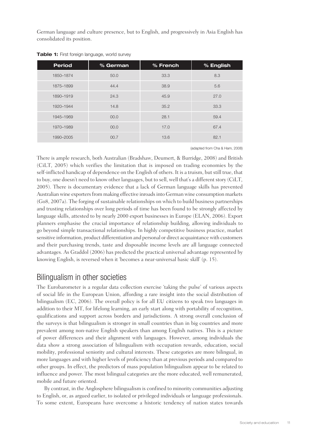German language and culture presence, but to English, and progressively in Asia English has consolidated its position.

| <b>Period</b> | % German | % French | % English |
|---------------|----------|----------|-----------|
| 1850-1874     | 50.0     | 33.3     | 8.3       |
| 1875-1899     | 44.4     | 38.9     | 5.6       |
| 1890-1919     | 24.3     | 45.9     | 27.0      |
| 1920-1944     | 14.8     | 35.2     | 33.3      |
| 1945-1969     | 00.0     | 28.1     | 59.4      |
| 1970-1989     | 00.0     | 17.0     | 67.4      |
| 1990-2005     | 00.7     | 13.6     | 82.1      |

**Table 1:** First foreign language, world survey

(adapted from Cha & Ham, 2008)

There is ample research, both Australian (Bradshaw, Deumert, & Burridge, 2008) and British (CiLT, 2005) which verifies the limitation that is imposed on trading economies by the self-inflicted handicap of dependence on the English of others. It is a truism, but still true, that to buy, one doesn't need to know other languages, but to sell, well that's a different story (CiLT, 2005). There is documentary evidence that a lack of German language skills has prevented Australian wine exporters from making effective inroads into German wine consumption markets (Go8, 2007a). The forging of sustainable relationships on which to build business partnerships and trusting relationships over long periods of time has been found to be strongly affected by language skills, attested to by nearly 2000 export businesses in Europe (ELAN, 2006). Export planners emphasise the crucial importance of relationship building, allowing individuals to go beyond simple transactional relationships. In highly competitive business practice, market sensitive information, product differentiation and personal or direct acquaintance with customers and their purchasing trends, taste and disposable income levels are all language connected advantages. As Graddol (2006) has predicted the practical universal advantage represented by knowing English, is reversed when it 'becomes a near-universal basic skill' (p. 15).

#### Bilingualism in other societies

The Eurobarometer is a regular data collection exercise 'taking the pulse' of various aspects of social life in the European Union, affording a rare insight into the social distribution of bilingualism (EC, 2006). The overall policy is for all EU citizens to speak two languages in addition to their MT, for lifelong learning, an early start along with portability of recognition, qualifications and support across borders and jurisdictions. A strong overall conclusion of the surveys is that bilingualism is stronger in small countries than in big countries and more prevalent among non-native English speakers than among English natives. This is a picture of power differences and their alignment with languages. However, among individuals the data show a strong association of bilingualism with occupation rewards, education, social mobility, professional seniority and cultural interests. These categories are more bilingual, in more languages and with higher levels of proficiency than at previous periods and compared to other groups. In effect, the predictors of mass population bilingualism appear to be related to influence and power. The most bilingual categories are the more educated, well remunerated, mobile and future oriented.

By contrast, in the Anglosphere bilingualism is confined to minority communities adjusting to English, or, as argued earlier, to isolated or privileged individuals or language professionals. To some extent, Europeans have overcome a historic tendency of nation states towards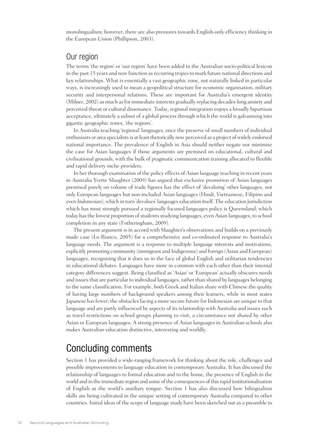monolingualism; however, there are also pressures towards English-only efficiency thinking in the European Union (Phillipson, 2003).

#### Our region

The terms 'the region' or 'our region' have been added to the Australian socio-political lexicon in the past 15 years and now function as recurring tropes to mark future national directions and key relationships. What is essentially a vast geographic zone, not naturally linked in particular ways, is increasingly used to mean a geopolitical structure for economic organisation, military security and interpersonal relations. These are important for Australia's emergent identity (Milner, 2002) as much as for immediate interests gradually replacing decades-long anxiety and perceived threat or cultural dissonance. Today, regional integration enjoys a broadly bipartisan acceptance, ultimately a subset of a global process through which the world is galvanising into gigantic geographic zones, 'the regions'.

In Australia teaching 'regional' languages, once the preserve of small numbers of individual enthusiasts or area specialists is at least rhetorically now perceived as a project of widely endorsed national importance. The prevalence of English in Asia should neither negate nor minimise the case for Asian languages if those arguments are premised on educational, cultural and civilisational grounds, with the bulk of pragmatic communication training allocated to flexible and rapid delivery niche providers.

In her thorough examination of the policy effects of Asian language teaching in recent years in Australia Yvette Slaughter (2009) has argued that exclusive promotion of Asian languages premised purely on volume of trade figures has the effect of 'devaluing' other languages, not only European languages but non-included Asian languages (Hindi, Vietnamese, Filipino and even Indonesian), which in turn 'devalues' languages education itself. The education jurisdiction which has most strongly pursued a regionally focused languages policy is Queensland; which today has the lowest proportion of students studying languages, even Asian languages, to school completion in any state (Fotheringham, 2009).

The present argument is in accord with Slaughter's observations and builds on a previously made case (Lo Bianco, 2005) for a comprehensive and co-ordinated response to Australia's language needs. The argument is a response to multiple language interests and motivations, explicitly promoting community (immigrant and Indigenous) and foreign (Asian and European) languages, recognising that it does so in the face of global English and utilitarian tendencies in educational debates. Languages have more in common with each other than their internal category differences suggest. Being classified as 'Asian' or 'European' actually obscures needs and issues that are particular to individual languages, rather than shared by languages belonging to the same classification. For example, both Greek and Italian share with Chinese the quality of having large numbers of background speakers among their learners, while in most states Japanese has fewer; the obstacles facing a more secure future for Indonesian are unique to that language and are partly influenced by aspects of its relationship with Australia and issues such as travel restrictions on school groups planning to visit, a circumstance not shared by other Asian or European languages. A strong presence of Asian languages in Australian schools also makes Australian education distinctive, interesting and worldly.

#### Concluding comments

Section 1 has provided a wide-ranging framework for thinking about the role, challenges and possible improvements to language education in contemporary Australia. It has discussed the relationship of languages to formal education and to the home, the presence of English in the world and in the immediate region and some of the consequences of this rapid institutionalisation of English as the world's auxiliary tongue. Section 1 has also discussed how bilingualism skills are being cultivated in the unique setting of contemporary Australia compared to other countries. Initial ideas of the scope of language study have been sketched out as a preamble to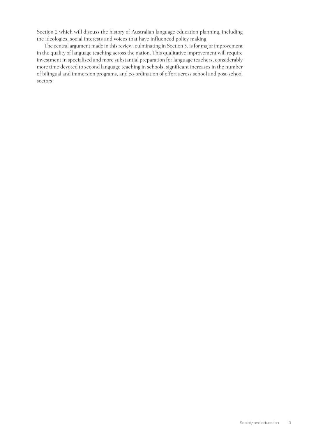Section 2 which will discuss the history of Australian language education planning, including the ideologies, social interests and voices that have influenced policy making.

The central argument made in this review, culminating in Section 5, is for major improvement in the quality of language teaching across the nation. This qualitative improvement will require investment in specialised and more substantial preparation for language teachers, considerably more time devoted to second language teaching in schools, significant increases in the number of bilingual and immersion programs, and co-ordination of effort across school and post-school sectors.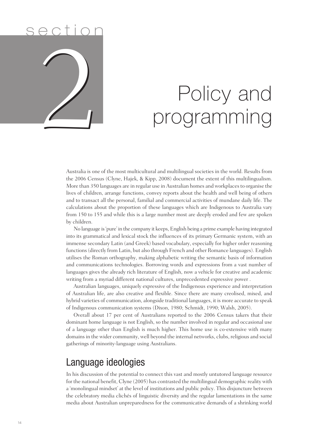## s e ction 2 2

## Policy and programming

Australia is one of the most multicultural and multilingual societies in the world. Results from the 2006 Census (Clyne, Hajek, & Kipp, 2008) document the extent of this multilingualism. More than 350 languages are in regular use in Australian homes and workplaces to organise the lives of children, arrange functions, convey reports about the health and well being of others and to transact all the personal, familial and commercial activities of mundane daily life. The calculations about the proportion of these languages which are Indigenous to Australia vary from 150 to 155 and while this is a large number most are deeply eroded and few are spoken by children.

No language is 'pure' in the company it keeps, English being a prime example having integrated into its grammatical and lexical stock the influences of its primary Germanic system, with an immense secondary Latin (and Greek) based vocabulary, especially for higher order reasoning functions (directly from Latin, but also through French and other Romance languages). English utilises the Roman orthography, making alphabetic writing the semantic basis of information and communications technologies. Borrowing words and expressions from a vast number of languages gives the already rich literature of English, now a vehicle for creative and academic writing from a myriad different national cultures, unprecedented expressive power .

Australian languages, uniquely expressive of the Indigenous experience and interpretation of Australian life, are also creative and flexible. Since there are many creolised, mixed, and hybrid varieties of communication, alongside traditional languages, it is more accurate to speak of Indigenous communication systems (Dixon, 1980; Schmidt, 1990; Walsh, 2005).

Overall about 17 per cent of Australians reported to the 2006 Census takers that their dominant home language is not English, so the number involved in regular and occasional use of a language other than English is much higher. This home use is co-extensive with many domains in the wider community, well beyond the internal networks, clubs, religious and social gatherings of minority-language using Australians.

#### Language ideologies

In his discussion of the potential to connect this vast and mostly untutored language resource for the national benefit, Clyne (2005) has contrasted the multilingual demographic reality with a 'monolingual mindset' at the level of institutions and public policy. This disjuncture between the celebratory media clichés of linguistic diversity and the regular lamentations in the same media about Australian unpreparedness for the communicative demands of a shrinking world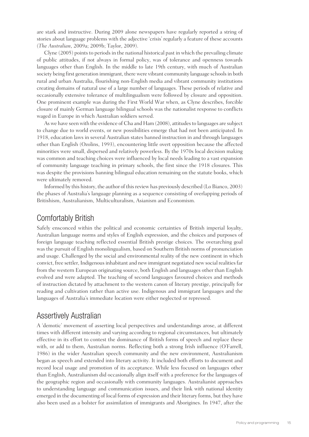are stark and instructive. During 2009 alone newspapers have regularly reported a string of stories about language problems with the adjective 'crisis' regularly a feature of these accounts (*The Australian*, 2009a; 2009b; Taylor, 2009).

Clyne (2005) points to periods in the national historical past in which the prevailing climate of public attitudes, if not always in formal policy, was of tolerance and openness towards languages other than English. In the middle to late 19th century, with much of Australian society being first generation immigrant, there were vibrant community language schools in both rural and urban Australia, flourishing non-English media and vibrant community institutions creating domains of natural use of a large number of languages. These periods of relative and occasionally extensive tolerance of multilingualism were followed by closure and opposition. One prominent example was during the First World War when, as Clyne describes, forcible closure of mainly German language bilingual schools was the nationalist response to conflicts waged in Europe in which Australian soldiers served.

As we have seen with the evidence of Cha and Ham (2008), attitudes to languages are subject to change due to world events, or new possibilities emerge that had not been anticipated. In 1918, education laws in several Australian states banned instruction in and through languages other than English (Ozolins, 1993), encountering little overt opposition because the affected minorities were small, dispersed and relatively powerless. By the 1970s local decision making was common and teaching choices were influenced by local needs leading to a vast expansion of community language teaching in primary schools, the first since the 1918 closures. This was despite the provisions banning bilingual education remaining on the statute books, which were ultimately removed.

Informed by this history, the author of this review has previously described (Lo Bianco, 2003) the phases of Australia's language planning as a sequence consisting of overlapping periods of Britishism, Australianism, Multiculturalism, Asianism and Economism.

#### Comfortably British

Safely ensconced within the political and economic certainties of British imperial loyalty, Australian language norms and styles of English expression, and the choices and purposes of foreign language teaching reflected essential British prestige choices. The overarching goal was the pursuit of English monolingualism, based on Southern British norms of pronunciation and usage. Challenged by the social and environmental reality of the new continent in which convict, free settler, Indigenous inhabitant and new immigrant negotiated new social realities far from the western European originating source, both English and languages other than English evolved and were adapted. The teaching of second languages favoured choices and methods of instruction dictated by attachment to the western canon of literary prestige, principally for reading and cultivation rather than active use. Indigenous and immigrant languages and the languages of Australia's immediate location were either neglected or repressed.

#### Assertively Australian

A 'demotic' movement of asserting local perspectives and understandings arose, at different times with different intensity and varying according to regional circumstances, but ultimately effective in its effort to contest the dominance of British forms of speech and replace these with, or add to them, Australian norms. Reflecting both a strong Irish influence (O'Farrell, 1986) in the wider Australian speech community and the new environment, Australianism began as speech and extended into literary activity. It included both efforts to document and record local usage and promotion of its acceptance. While less focused on languages other than English, Australianism did occasionally align itself with a preference for the languages of the geographic region and occasionally with community languages. Australianist approaches to understanding language and communication issues, and their link with national identity emerged in the documenting of local forms of expression and their literary forms, but they have also been used as a bolster for assimilation of immigrants and Aborigines. In 1947, after the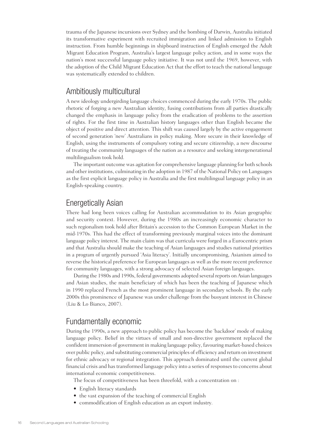trauma of the Japanese incursions over Sydney and the bombing of Darwin, Australia initiated its transformative experiment with recruited immigration and linked admission to English instruction. From humble beginnings in shipboard instruction of English emerged the Adult Migrant Education Program, Australia's largest language policy action, and in some ways the nation's most successful language policy initiative. It was not until the 1969, however, with the adoption of the Child Migrant Education Act that the effort to teach the national language was systematically extended to children.

#### Ambitiously multicultural

A new ideology undergirding language choices commenced during the early 1970s. The public rhetoric of forging a new Australian identity, fusing contributions from all parties drastically changed the emphasis in language policy from the eradication of problems to the assertion of rights. For the first time in Australian history languages other than English became the object of positive and direct attention. This shift was caused largely by the active engagement of second generation 'new' Australians in policy making. More secure in their knowledge of English, using the instruments of compulsory voting and secure citizenship, a new discourse of treating the community languages of the nation as a resource and seeking intergenerational multilingualism took hold.

The important outcome was agitation for comprehensive language planning for both schools and other institutions, culminating in the adoption in 1987 of the National Policy on Languages as the first explicit language policy in Australia and the first multilingual language policy in an English-speaking country.

#### Energetically Asian

There had long been voices calling for Australian accommodation to its Asian geographic and security context. However, during the 1980s an increasingly economic character to such regionalism took hold after Britain's accession to the Common European Market in the mid-1970s. This had the effect of transforming previously marginal voices into the dominant language policy interest. The main claim was that curricula were forged in a Eurocentric prism and that Australia should make the teaching of Asian languages and studies national priorities in a program of urgently pursued 'Asia literacy'. Initially uncompromising, Asianism aimed to reverse the historical preference for European languages as well as the more recent preference for community languages, with a strong advocacy of selected Asian foreign languages.

During the 1980s and 1990s, federal governments adopted several reports on Asian languages and Asian studies, the main beneficiary of which has been the teaching of Japanese which in 1990 replaced French as the most prominent language in secondary schools. By the early 2000s this prominence of Japanese was under challenge from the buoyant interest in Chinese (Liu & Lo Bianco, 2007).

#### Fundamentally economic

During the 1990s, a new approach to public policy has become the 'backdoor' mode of making language policy. Belief in the virtues of small and non-directive government replaced the confident immersion of government in making language policy, favouring market-based choices over public policy, and substituting commercial principles of efficiency and return on investment for ethnic advocacy or regional integration. This approach dominated until the current global financial crisis and has transformed language policy into a series of responses to concerns about international economic competitiveness.

The focus of competitiveness has been threefold, with a concentration on :

- English literacy standards
- the vast expansion of the teaching of commercial English
- commodification of English education as an export industry.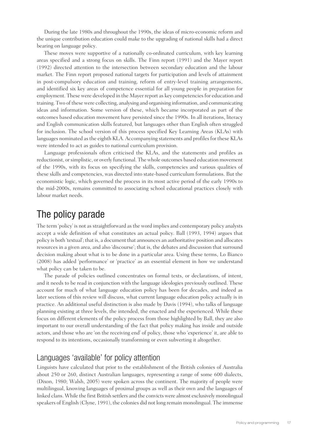During the late 1980s and throughout the 1990s, the ideas of micro-economic reform and the unique contribution education could make to the upgrading of national skills had a direct bearing on language policy.

These moves were supportive of a nationally co-ordinated curriculum, with key learning areas specified and a strong focus on skills. The Finn report (1991) and the Mayer report (1992) directed attention to the intersection between secondary education and the labour market. The Finn report proposed national targets for participation and levels of attainment in post-compulsory education and training, reform of entry-level training arrangements, and identified six key areas of competence essential for all young people in preparation for employment. These were developed in the Mayer report as key competencies for education and training. Two of these were collecting, analysing and organising information, and communicating ideas and information. Some version of these, which became incorporated as part of the outcomes based education movement have persisted since the 1990s. In all iterations, literacy and English communication skills featured, but languages other than English often struggled for inclusion. The school version of this process specified Key Learning Areas (KLAs) with languages nominated as the eighth KLA. Accompanying statements and profiles for these KLAs were intended to act as guides to national curriculum provision.

Language professionals often criticised the KLAs, and the statements and profiles as reductionist, or simplistic, or overly functional. The whole outcomes based education movement of the 1990s, with its focus on specifying the skills, competencies and various qualities of these skills and competencies, was directed into state-based curriculum formulations. But the economistic logic, which governed the process in its most active period of the early 1990s to the mid-2000s, remains committed to associating school educational practices closely with labour market needs.

#### The policy parade

The term 'policy' is not as straightforward as the word implies and contemporary policy analysts accept a wide definition of what constitutes an actual policy. Ball (1993, 1994) argues that policy is both 'textual'; that is, a document that announces an authoritative position and allocates resources in a given area, and also 'discourse'; that is, the debates and discussion that surround decision making about what is to be done in a particular area. Using these terms, Lo Bianco (2008) has added 'performance' or 'practice' as an essential element in how we understand what policy can be taken to be.

The parade of policies outlined concentrates on formal texts, or declarations, of intent, and it needs to be read in conjunction with the language ideologies previously outlined. These account for much of what language education policy has been for decades, and indeed as later sections of this review will discuss, what current language education policy actually is in practice. An additional useful distinction is also made by Davis (1994), who talks of language planning existing at three levels, the intended, the enacted and the experienced. While these focus on different elements of the policy process from those highlighted by Ball, they are also important to our overall understanding of the fact that policy making has inside and outside actors, and those who are 'on the receiving end' of policy, those who 'experience' it, are able to respond to its intentions, occasionally transforming or even subverting it altogether.

#### Languages 'available' for policy attention

Linguists have calculated that prior to the establishment of the British colonies of Australia about 250 or 260, distinct Australian languages, representing a range of some 600 dialects, (Dixon, 1980; Walsh, 2005) were spoken across the continent. The majority of people were multilingual, knowing languages of proximal groups as well as their own and the languages of linked clans. While the first British settlers and the convicts were almost exclusively monolingual speakers of English (Clyne, 1991), the colonies did not long remain monolingual. The immense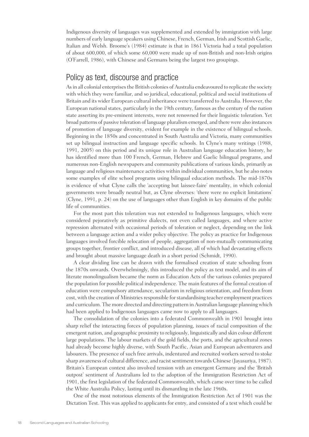Indigenous diversity of languages was supplemented and extended by immigration with large numbers of early language speakers using Chinese, French, German, Irish and Scottish Gaelic, Italian and Welsh. Broome's (1984) estimate is that in 1861 Victoria had a total population of about 600,000, of which some 60,000 were made up of non-British and non-Irish origins (O'Farrell, 1986), with Chinese and Germans being the largest two groupings.

#### Policy as text, discourse and practice

As in all colonial enterprises the British colonies of Australia endeavoured to replicate the society with which they were familiar, and so juridical, educational, political and social institutions of Britain and its wider European cultural inheritance were transferred to Australia. However, the European national states, particularly in the 19th century, famous as the century of the nation state asserting its pre-eminent interests, were not renowned for their linguistic toleration. Yet broad patterns of passive toleration of language pluralism emerged, and there were also instances of promotion of language diversity, evident for example in the existence of bilingual schools. Beginning in the 1850s and concentrated in South Australia and Victoria, many communities set up bilingual instruction and language specific schools. In Clyne's many writings (1988, 1991, 2005) on this period and its unique role in Australian language education history, he has identified more than 100 French, German, Hebrew and Gaelic bilingual programs, and numerous non-English newspapers and community publications of various kinds, primarily as language and religious maintenance activities within individual communities, but he also notes some examples of elite school programs using bilingual education methods. The mid-1870s is evidence of what Clyne calls the 'accepting but laissez-faire' mentality, in which colonial governments were broadly neutral but, as Clyne obverses: 'there were no explicit limitations' (Clyne, 1991, p. 24) on the use of languages other than English in key domains of the public life of communities.

For the most part this toleration was not extended to Indigenous languages, which were considered pejoratively as primitive dialects, not even called languages, and where active repression alternated with occasional periods of toleration or neglect, depending on the link between a language action and a wider policy objective. The policy as practice for Indigenous languages involved forcible relocation of people, aggregation of non-mutually communicating groups together, frontier conflict, and introduced disease, all of which had devastating effects and brought about massive language death in a short period (Schmidt, 1990).

A clear dividing line can be drawn with the formalised creation of state schooling from the 1870s onwards. Overwhelmingly, this introduced the policy as text model, and its aim of literate monolingualism became the norm as Education Acts of the various colonies prepared the population for possible political independence. The main features of the formal creation of education were compulsory attendance, secularism in religious orientation, and freedom from cost, with the creation of Ministries responsible for standardising teacher employment practices and curriculum. The more directed and directing pattern in Australian language planning which had been applied to Indigenous languages came now to apply to all languages.

The consolidation of the colonies into a federated Commonwealth in 1901 brought into sharp relief the interacting forces of population planning, issues of racial composition of the emergent nation, and geographic proximity to religiously, linguistically and skin colour different large populations. The labour markets of the gold fields, the ports, and the agricultural zones had already become highly diverse, with South Pacific, Asian and European adventurers and labourers. The presence of such free arrivals, indentured and recruited workers served to stoke sharp awareness of cultural difference, and racist sentiment towards Chinese (Jayasuriya, 1987). Britain's European context also involved tension with an emergent Germany and the 'British outpost' sentiment of Australians led to the adoption of the Immigration Restriction Act of 1901, the first legislation of the federated Commonwealth, which came over time to be called the White Australia Policy, lasting until its dismantling in the late 1960s.

One of the most notorious elements of the Immigration Restriction Act of 1901 was the Dictation Test. This was applied to applicants for entry, and consisted of a test which could be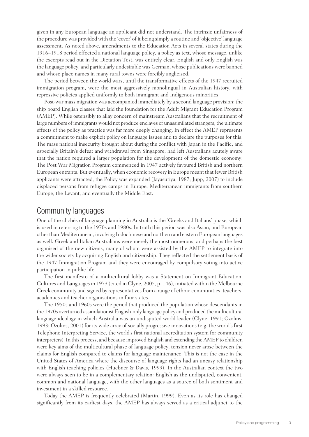given in any European language an applicant did not understand. The intrinsic unfairness of the procedure was provided with the 'cover' of it being simply a routine and 'objective' language assessment. As noted above, amendments to the Education Acts in several states during the 1916–1918 period effected a national language policy, a policy as text, whose message, unlike the excerpts read out in the Dictation Test, was entirely clear. English and only English was the language policy, and particularly undesirable was German, whose publications were banned and whose place names in many rural towns were forcibly anglicised.

The period between the world wars, until the transformative effects of the 1947 recruited immigration program, were the most aggressively monolingual in Australian history, with repressive policies applied uniformly to both immigrant and Indigenous minorities.

Post-war mass migration was accompanied immediately by a second language provision: the ship board English classes that laid the foundation for the Adult Migrant Education Program (AMEP). While ostensibly to allay concern of mainstream Australians that the recruitment of large numbers of immigrants would not produce enclaves of unassimilated strangers, the ultimate effects of the policy as practice was far more deeply changing. In effect the AMEP represents a commitment to make explicit policy on language issues and to declare the purposes for this. The mass national insecurity brought about during the conflict with Japan in the Pacific, and especially Britain's defeat and withdrawal from Singapore, had left Australians acutely aware that the nation required a larger population for the development of the domestic economy. The Post War Migration Program commenced in 1947 actively favoured British and northern European entrants. But eventually, when economic recovery in Europe meant that fewer British applicants were attracted, the Policy was expanded (Jayasuriya, 1987; Jupp, 2007) to include displaced persons from refugee camps in Europe, Mediterranean immigrants from southern Europe, the Levant, and eventually the Middle East.

#### Community languages

One of the clichés of language planning in Australia is the 'Greeks and Italians' phase, which is used in referring to the 1970s and 1980s. In truth this period was also Asian, and European other than Mediterranean, involving Indochinese and northern and eastern European languages as well. Greek and Italian Australians were merely the most numerous, and perhaps the best organised of the new citizens, many of whom were assisted by the AMEP to integrate into the wider society by acquiring English and citizenship. They reflected the settlement basis of the 1947 Immigration Program and they were encouraged by compulsory voting into active participation in public life.

The first manifesto of a multicultural lobby was a Statement on Immigrant Education, Cultures and Languages in 1973 (cited in Clyne, 2005, p. 146), initiated within the Melbourne Greek community and signed by representatives from a range of ethnic communities, teachers, academics and teacher organisations in four states.

The 1950s and 1960s were the period that produced the population whose descendants in the 1970s overturned assimilationist English-only language policy and produced the multicultural language ideology in which Australia was an undisputed world leader (Clyne, 1991; Ozolins, 1993; Ozolins, 2001) for its wide array of socially progressive innovations (e.g. the world's first Telephone Interpreting Service, the world's first national accreditation system for community interpreters). In this process, and because improved English and extending the AMEP to children were key aims of the multicultural phase of language policy, tension never arose between the claims for English compared to claims for language maintenance. This is not the case in the United States of America where the discourse of language rights had an uneasy relationship with English teaching policies (Huebner & Davis, 1999). In the Australian context the two were always seen to be in a complementary relation: English as the undisputed, convenient, common and national language, with the other languages as a source of both sentiment and investment in a skilled resource.

Today the AMEP is frequently celebrated (Martin, 1999). Even as its role has changed significantly from its earliest days, the AMEP has always served as a critical adjunct to the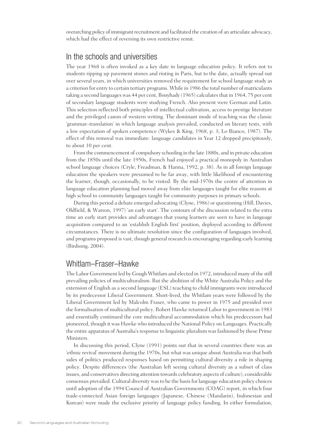overarching policy of immigrant recruitment and facilitated the creation of an articulate advocacy, which had the effect of reversing its own restrictive remit.

#### In the schools and universities

The year 1968 is often invoked as a key date in language education policy. It refers not to students ripping up pavement stones and rioting in Paris, but to the date, actually spread out over several years, in which universities removed the requirement for school language study as a criterion for entry to certain tertiary programs. While in 1986 the total number of matriculants taking a second languages was 44 per cent, Bonyhady (1965) calculates that in 1964, 75 per cent of secondary language students were studying French. Also present were German and Latin. This selection reflected both principles of intellectual cultivation, access to prestige literature and the privileged canon of western writing. The dominant mode of teaching was the classic 'grammar–translation' in which language analysis prevailed, conducted on literary texts, with a low expectation of spoken competence (Wykes & King, 1968, p. 3; Lo Bianco, 1987). The effect of this removal was immediate: language candidates in Year 12 dropped precipitously, to about 10 per cent.

From the commencement of compulsory schooling in the late 1880s, and in private education from the 1850s until the late 1950s, French had enjoyed a practical monopoly in Australian school language choices (Cryle, Freadman, & Hanna, 1992, p. 38). As in all foreign language education the speakers were presumed to be far away, with little likelihood of encountering the learner, though, occasionally, to be visited. By the mid-1970s the centre of attention in language education planning had moved away from elite languages taught for elite reasons at high school to community languages taught for community purposes in primary schools.

During this period a debate emerged advocating (Clyne, 1986) or questioning (Hill, Davies, Oldfield, & Watson, 1997) 'an early start'. The contours of the discussion related to the extra time an early start provides and advantages that young learners are seen to have in language acquisition compared to an 'establish English first' position, deployed according to different circumstances. There is no ultimate resolution since the configuration of languages involved, and programs proposed is vast, though general research is encouraging regarding early learning (Birdsong, 2004).

#### Whitlam–Fraser–Hawke

The Labor Government led by Gough Whitlam and elected in 1972, introduced many of the still prevailing policies of multiculturalism. But the abolition of the White Australia Policy and the extension of English as a second language (ESL) teaching to child immigrants were introduced by its predecessor Liberal Government. Short-lived, the Whitlam years were followed by the Liberal Government led by Malcolm Fraser, who came to power in 1975 and presided over the formalisation of multicultural policy. Robert Hawke returned Labor to government in 1983 and essentially continued the core multicultural accommodation which his predecessors had pioneered, though it was Hawke who introduced the National Policy on Languages. Practically the entire apparatus of Australia's response to linguistic pluralism was fashioned by these Prime Ministers.

In discussing this period, Clyne (1991) points out that in several countries there was an 'ethnic revival' movement during the 1970s, but what was unique about Australia was that both sides of politics produced responses based on permitting cultural diversity a role in shaping policy. Despite differences (the Australian left seeing cultural diversity as a subset of class issues, and conservatives directing attention towards celebratory aspects of culture), considerable consensus prevailed. Cultural diversity was to be the basis for language education policy choices until adoption of the 1994 Council of Australian Governments (COAG) report, in which four trade-connected Asian foreign languages (Japanese, Chinese (Mandarin), Indonesian and Korean) were made the exclusive priority of language policy funding. In either formulation,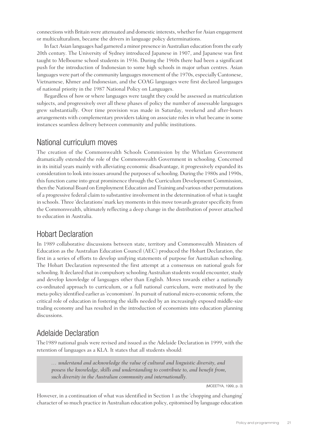connections with Britain were attenuated and domestic interests, whether for Asian engagement or multiculturalism, became the drivers in language policy determinations.

In fact Asian languages had garnered a minor presence in Australian education from the early 20th century. The University of Sydney introduced Japanese in 1907, and Japanese was first taught to Melbourne school students in 1936. During the 1960s there had been a significant push for the introduction of Indonesian to some high schools in major urban centres. Asian languages were part of the community languages movement of the 1970s, especially Cantonese, Vietnamese, Khmer and Indonesian, and the COAG languages were first declared languages of national priority in the 1987 National Policy on Languages.

Regardless of how or where languages were taught they could be assessed as matriculation subjects, and progressively over all these phases of policy the number of assessable languages grew substantially. Over time provision was made in Saturday, weekend and after-hours arrangements with complementary providers taking on associate roles in what became in some instances seamless delivery between community and public institutions.

#### National curriculum moves

The creation of the Commonwealth Schools Commission by the Whitlam Government dramatically extended the role of the Commonwealth Government in schooling. Concerned in its initial years mainly with alleviating economic disadvantage, it progressively expanded its consideration to look into issues around the purposes of schooling. During the 1980s and 1990s, this function came into great prominence through the Curriculum Development Commission, then the National Board on Employment Education and Training and various other permutations of a progressive federal claim to substantive involvement in the determination of what is taught in schools. Three 'declarations' mark key moments in this move towards greater specificity from the Commonwealth, ultimately reflecting a deep change in the distribution of power attached to education in Australia.

#### Hobart Declaration

In 1989 collaborative discussions between state, territory and Commonwealth Ministers of Education as the Australian Education Council (AEC) produced the Hobart Declaration, the first in a series of efforts to develop unifying statements of purpose for Australian schooling. The Hobart Declaration represented the first attempt at a consensus on national goals for schooling. It declared that in compulsory schooling Australian students would encounter, study and develop knowledge of languages other than English. Moves towards either a nationally co-ordinated approach to curriculum, or a full national curriculum, were motivated by the meta-policy identified earlier as 'economism'. In pursuit of national micro-economic reform, the critical role of education in fostering the skills needed by an increasingly exposed middle-size trading economy and has resulted in the introduction of economists into education planning discussions.

#### Adelaide Declaration

The1989 national goals were revised and issued as the Adelaide Declaration in 1999, with the retention of languages as a KLA. It states that all students should:

*… understand and acknowledge the value of cultural and linguistic diversity, and possess the knowledge, skills and understanding to contribute to, and benefit from, such diversity in the Australian community and internationally.*

(MCEETYA, 1999, p. 3)

However, in a continuation of what was identified in Section 1 as the 'chopping and changing' character of so much practice in Australian education policy, epitomised by language education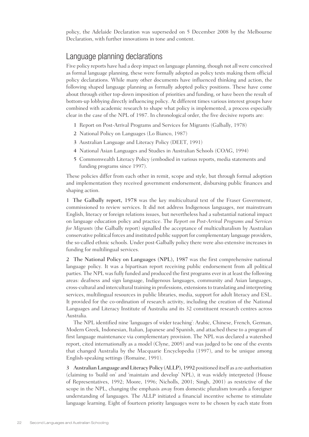policy, the Adelaide Declaration was superseded on 5 December 2008 by the Melbourne Declaration, with further innovations in tone and content.

#### Language planning declarations

Five policy reports have had a deep impact on language planning, though not all were conceived as formal language planning, these were formally adopted as policy texts making them official policy declarations. While many other documents have influenced thinking and action, the following shaped language planning as formally adopted policy positions. These have come about through either top-down imposition of priorities and funding, or have been the result of bottom-up lobbying directly influencing policy. At different times various interest groups have combined with academic research to shape what policy is implemented, a process especially clear in the case of the NPL of 1987. In chronological order, the five decisive reports are:

- 1 Report on Post-Arrival Programs and Services for Migrants (Galbally, 1978)
- 2 National Policy on Languages (Lo Bianco, 1987)
- 3 Australian Language and Literacy Policy (DEET, 1991)
- 4 National Asian Languages and Studies in Australian Schools (COAG, 1994)
- 5 Commonwealth Literacy Policy (embodied in various reports, media statements and funding programs since 1997).

These policies differ from each other in remit, scope and style, but through formal adoption and implementation they received government endorsement, disbursing public finances and shaping action.

1 The Galbally report, 1978 was the key multicultural text of the Fraser Government, commissioned to review services. It did not address Indigenous languages, nor mainstream English, literacy or foreign relations issues, but nevertheless had a substantial national impact on language education policy and practice. The *Report on Post-Arrival Programs and Services for Migrants* (the Galbally report) signalled the acceptance of multiculturalism by Australian conservative political forces and instituted public support for complementary language providers, the so-called ethnic schools. Under post-Galbally policy there were also extensive increases in funding for multilingual services.

2 The National Policy on Languages (NPL), 1987 was the first comprehensive national language policy. It was a bipartisan report receiving public endorsement from all political parties. The NPL was fully funded and produced the first programs ever in at least the following areas: deafness and sign language, Indigenous languages, community and Asian languages, cross-cultural and intercultural training in professions, extensions to translating and interpreting services, multilingual resources in public libraries, media, support for adult literacy and ESL. It provided for the co-ordination of research activity, including the creation of the National Languages and Literacy Institute of Australia and its 32 constituent research centres across Australia.

The NPL identified nine 'languages of wider teaching': Arabic, Chinese, French, German, Modern Greek, Indonesian, Italian, Japanese and Spanish, and attached these to a program of first language maintenance via complementary provision. The NPL was declared a watershed report, cited internationally as a model (Clyne, 2005) and was judged to be one of the events that changed Australia by the Macquarie Encyclopedia (1997), and to be unique among English-speaking settings (Romaine, 1991).

3 Australian Language and Literacy Policy (ALLP), 1992 positioned itself as a re-authorisation (claiming to 'build on' and 'maintain and develop' NPL), it was widely interpreted (House of Representatives, 1992; Moore, 1996; Nicholls, 2001; Singh, 2001) as restrictive of the scope in the NPL, changing the emphasis away from domestic pluralism towards a foreigner understanding of languages. The ALLP initiated a financial incentive scheme to stimulate language learning. Eight of fourteen priority languages were to be chosen by each state from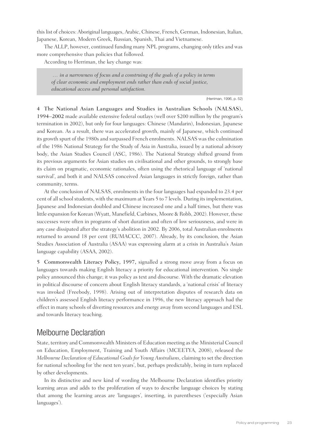this list of choices: Aboriginal languages, Arabic, Chinese, French, German, Indonesian, Italian, Japanese, Korean, Modern Greek, Russian, Spanish, Thai and Vietnamese.

The ALLP, however, continued funding many NPL programs, changing only titles and was more comprehensive than policies that followed.

According to Herriman, the key change was:

 *… in a narrowness of focus and a construing of the goals of a policy in terms of clear economic and employment ends rather than ends of social justice, educational access and personal satisfaction.*

(Herriman, 1996, p. 52)

4 The National Asian Languages and Studies in Australian Schools (NALSAS), 1994–2002 made available extensive federal outlays (well over \$200 million by the program's termination in 2002), but only for four languages: Chinese (Mandarin), Indonesian, Japanese and Korean. As a result, there was accelerated growth, mainly of Japanese, which continued its growth spurt of the 1980s and surpassed French enrolments. NALSAS was the culmination of the 1986 National Strategy for the Study of Asia in Australia, issued by a national advisory body, the Asian Studies Council (ASC, 1986). The National Strategy shifted ground from its previous arguments for Asian studies on civilisational and other grounds, to strongly base its claim on pragmatic, economic rationales, often using the rhetorical language of 'national survival', and both it and NALSAS conceived Asian languages in strictly foreign, rather than community, terms.

At the conclusion of NALSAS, enrolments in the four languages had expanded to 23.4 per cent of all school students, with the maximum at Years 5 to 7 levels. During its implementation, Japanese and Indonesian doubled and Chinese increased one and a half times, but there was little expansion for Korean (Wyatt, Manefield, Carbines, Moore & Robb, 2002). However, these successes were often in programs of short duration and often of low seriousness, and were in any case dissipated after the strategy's abolition in 2002. By 2006, total Australian enrolments returned to around 18 per cent (RUMACCC, 2007). Already, by its conclusion, the Asian Studies Association of Australia (ASAA) was expressing alarm at a crisis in Australia's Asian language capability (ASAA, 2002).

5 Commonwealth Literacy Policy, 1997, signalled a strong move away from a focus on languages towards making English literacy a priority for educational intervention. No single policy announced this change; it was policy as text and discourse. With the dramatic elevation in political discourse of concern about English literacy standards, a 'national crisis' of literacy was invoked (Freebody, 1998). Arising out of interpretation disputes of research data on children's assessed English literacy performance in 1996, the new literacy approach had the effect in many schools of diverting resources and energy away from second languages and ESL and towards literacy teaching.

#### Melbourne Declaration

State, territory and Commonwealth Ministers of Education meeting as the Ministerial Council on Education, Employment, Training and Youth Affairs (MCEETYA, 2008), released the *Melbourne Declaration of Educational Goals for Young Australians*, claiming to set the direction for national schooling for 'the next ten years', but, perhaps predictably, being in turn replaced by other developments.

In its distinctive and new kind of wording the Melbourne Declaration identifies priority learning areas and adds to the proliferation of ways to describe language choices by stating that among the learning areas are 'languages', inserting, in parentheses ('especially Asian languages').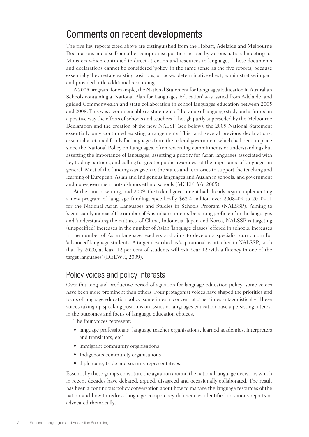#### Comments on recent developments

The five key reports cited above are distinguished from the Hobart, Adelaide and Melbourne Declarations and also from other compromise positions issued by various national meetings of Ministers which continued to direct attention and resources to languages. These documents and declarations cannot be considered 'policy' in the same sense as the five reports, because essentially they restate existing positions, or lacked determinative effect, administrative impact and provided little additional resourcing.

A 2005 program, for example, the National Statement for Languages Education in Australian Schools containing a 'National Plan for Languages Education' was issued from Adelaide, and guided Commonwealth and state collaboration in school languages education between 2005 and 2008. This was a commendable re-statement of the value of language study and affirmed in a positive way the efforts of schools and teachers. Though partly superseded by the Melbourne Declaration and the creation of the new NALSP (see below), the 2005 National Statement essentially only continued existing arrangements This, and several previous declarations, essentially retained funds for languages from the federal government which had been in place since the National Policy on Languages, often rewording commitments or understandings but asserting the importance of languages, asserting a priority for Asian languages associated with key trading partners, and calling for greater public awareness of the importance of languages in general. Most of the funding was given to the states and territories to support the teaching and learning of European, Asian and Indigenous languages and Auslan in schools, and government and non-government out-of-hours ethnic schools (MCEETYA, 2005).

At the time of writing, mid-2009, the federal government had already begun implementing a new program of language funding, specifically \$62.4 million over 2008–09 to 2010–11 for the National Asian Languages and Studies in Schools Program (NALSSP). Aiming to 'significantly increase' the number of Australian students 'becoming proficient' in the languages and 'understanding the cultures' of China, Indonesia, Japan and Korea, NALSSP is targeting (unspecified) increases in the number of Asian 'language classes' offered in schools, increases in the number of Asian language teachers and aims to develop a specialist curriculum for 'advanced' language students. A target described as 'aspirational' is attached to NALSSP, such that 'by 2020, at least 12 per cent of students will exit Year 12 with a fluency in one of the target languages' (DEEWR, 2009).

#### Policy voices and policy interests

Over this long and productive period of agitation for language education policy, some voices have been more prominent than others. Four protagonist voices have shaped the priorities and focus of language education policy, sometimes in concert, at other times antagonistically. These voices taking up speaking positions on issues of languages education have a persisting interest in the outcomes and focus of language education choices.

The four voices represent:

- • language professionals (language teacher organisations, learned academies, interpreters and translators, etc)
- immigrant community organisations
- Indigenous community organisations
- diplomatic, trade and security representatives.

Essentially these groups constitute the agitation around the national language decisions which in recent decades have debated, argued, disagreed and occasionally collaborated. The result has been a continuous policy conversation about how to manage the language resources of the nation and how to redress language competency deficiencies identified in various reports or advocated rhetorically.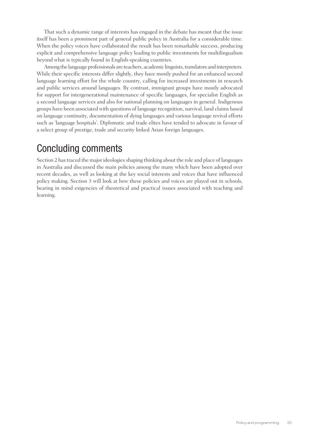That such a dynamic range of interests has engaged in the debate has meant that the issue itself has been a prominent part of general public policy in Australia for a considerable time. When the policy voices have collaborated the result has been remarkable success, producing explicit and comprehensive language policy leading to public investments for multilingualism beyond what is typically found in English-speaking countries.

Among the language professionals are teachers, academic linguists, translators and interpreters. While their specific interests differ slightly, they have mostly pushed for an enhanced second language learning effort for the whole country, calling for increased investments in research and public services around languages. By contrast, immigrant groups have mostly advocated for support for intergenerational maintenance of specific languages, for specialist English as a second language services and also for national planning on languages in general. Indigenous groups have been associated with questions of language recognition, survival, land claims based on language continuity, documentation of dying languages and various language revival efforts such as 'language hospitals'. Diplomatic and trade elites have tended to advocate in favour of a select group of prestige, trade and security linked Asian foreign languages.

#### Concluding comments

Section 2 has traced the major ideologies shaping thinking about the role and place of languages in Australia and discussed the main policies among the many which have been adopted over recent decades, as well as looking at the key social interests and voices that have influenced policy making. Section 3 will look at how these policies and voices are played out in schools, bearing in mind exigencies of theoretical and practical issues associated with teaching and learning.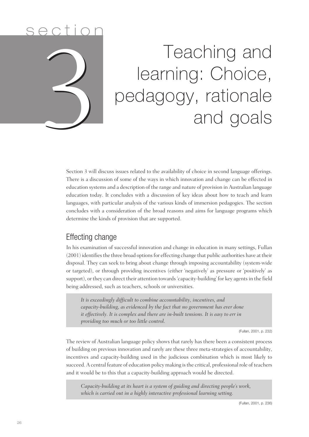

Section 3 will discuss issues related to the availability of choice in second language offerings. There is a discussion of some of the ways in which innovation and change can be effected in education systems and a description of the range and nature of provision in Australian language education today. It concludes with a discussion of key ideas about how to teach and learn languages, with particular analysis of the various kinds of immersion pedagogies. The section concludes with a consideration of the broad reasons and aims for language programs which determine the kinds of provision that are supported.

#### Effecting change

In his examination of successful innovation and change in education in many settings, Fullan (2001) identifies the three broad options for effecting change that public authorities have at their disposal. They can seek to bring about change through imposing accountability (system-wide or targeted), or through providing incentives (either 'negatively' as pressure or 'positively' as support), or they can direct their attention towards 'capacity-building' for key agents in the field being addressed, such as teachers, schools or universities.

*It is exceedingly difficult to combine accountability, incentives, and capacity-building, as evidenced by the fact that no government has ever done it effectively. It is complex and there are in-built tensions. It is easy to err in providing too much or too little control.* 

(Fullan, 2001, p. 232)

The review of Australian language policy shows that rarely has there been a consistent process of building on previous innovation and rarely are these three meta-strategies of accountability, incentives and capacity-building used in the judicious combination which is most likely to succeed. A central feature of education policy making is the critical, professional role of teachers and it would be to this that a capacity-building approach would be directed.

*Capacity-building at its heart is a system of guiding and directing people's work, which is carried out in a highly interactive professional learning setting.*

(Fullan, 2001, p. 236)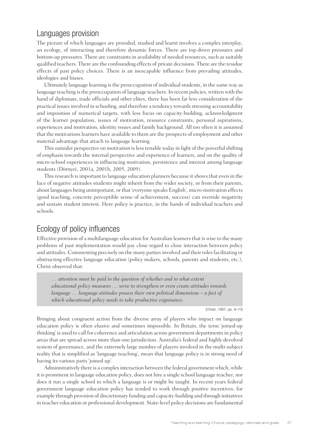#### Languages provision

The picture of which languages are provided, studied and learnt involves a complex interplay, an ecology, of interacting and therefore dynamic forces. There are top-down pressures and bottom-up pressures. There are constraints in availability of needed resources, such as suitably qualified teachers. There are the confounding effects of private decisions. There are the residue effects of past policy choices. There is an inescapable influence from prevailing attitudes, ideologies and biases.

Ultimately language learning is the preoccupation of individual students, in the same way as language teaching is the preoccupation of language teachers. In recent policies, written with the hand of diplomats, trade officials and other elites, there has been far less consideration of the practical issues involved in schooling, and therefore a tendency towards stressing accountability and imposition of numerical targets, with less focus on capacity-building, acknowledgment of the learner population, issues of motivation, resource constraints, personal aspirations, experiences and motivation, identity issues and family background. All too often it is assumed that the motivations learners have available to them are the prospects of employment and other material advantage that attach to language learning.

This outsider perspective on motivation is less tenable today in light of the powerful shifting of emphasis towards the internal perspective and experience of learners, and on the quality of micro-school experiences in influencing motivation, persistence and interest among language students (Dörnyei, 2001a, 2001b, 2005, 2009).

This research is important to language education planners because it shows that even in the face of negative attitudes students might inherit from the wider society, or from their parents, about languages being unimportant, or that 'everyone speaks English', micro-motivation effects (good teaching, concrete perceptible sense of achievement, success) can override negativity and sustain student interest. Here policy is practice, in the hands of individual teachers and schools.

#### Ecology of policy influences

Effective provision of a multilanguage education for Australian learners that is wise to the many problems of past implementation would pay close regard to close interaction between policy and attitudes. Commenting precisely on the many parties involved and their roles facilitating or obstructing effective language education (policy makers, schools, parents and students, etc.), Christ observed that:

*… attention must be paid to the question of whether and to what extent educational policy measures … serve to strengthen or even create attitudes towards language … language attitudes possess their own political dimensions – a fact of which educational policy needs to take productive cognisance.*

(Christ, 1997, pp. 9–10)

Bringing about congruent action from the diverse array of players who impact on language education policy is often elusive and sometimes impossible. In Britain, the term 'joined-up thinking' is used to call for coherence and articulation across government departments in policy areas that are spread across more than one jurisdiction. Australia's federal and highly devolved system of governance, and the extremely large number of players involved in the multi-subject reality that is simplified as 'language teaching', mean that language policy is in strong need of having its various parts 'joined up'.

Administratively there is a complex interaction between the federal government which, while it is prominent in language education policy, does not hire a single school language teacher, nor does it run a single school in which a language is or might be taught. In recent years federal government language education policy has tended to work through positive incentives; for example through provision of discretionary funding and capacity-building and through initiatives in teacher education or professional development. State-level policy decisions are fundamental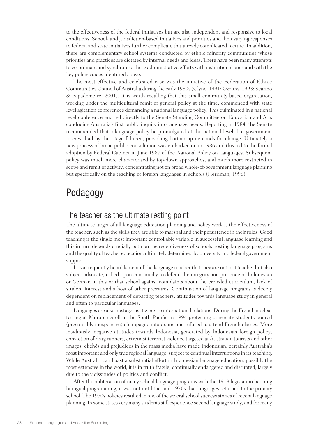to the effectiveness of the federal initiatives but are also independent and responsive to local conditions. School- and jurisdiction-based initiatives and priorities and their varying responses to federal and state initiatives further complicate this already complicated picture. In addition, there are complementary school systems conducted by ethnic minority communities whose priorities and practices are dictated by internal needs and ideas. There have been many attempts to co-ordinate and synchronise these administrative efforts with institutional ones and with the key policy voices identified above.

The most effective and celebrated case was the initiative of the Federation of Ethnic Communities Council of Australia during the early 1980s (Clyne, 1991; Ozolins, 1993; Scarino & Papademetre, 2001). It is worth recalling that this small community-based organisation, working under the multicultural remit of general policy at the time, commenced with state level agitation conferences demanding a national language policy. This culminated in a national level conference and led directly to the Senate Standing Committee on Education and Arts conducing Australia's first public inquiry into language needs. Reporting in 1984, the Senate recommended that a language policy be promulgated at the national level, but government interest had by this stage faltered, provoking bottom-up demands for change. Ultimately a new process of broad public consultation was embarked on in 1986 and this led to the formal adoption by Federal Cabinet in June 1987 of the National Policy on Languages. Subsequent policy was much more characterised by top-down approaches, and much more restricted in scope and remit of activity, concentrating not on broad whole-of-government language planning but specifically on the teaching of foreign languages in schools (Herriman, 1996).

#### Pedagogy

#### The teacher as the ultimate resting point

The ultimate target of all language education planning and policy work is the effectiveness of the teacher, such as the skills they are able to marshal and their persistence in their roles. Good teaching is the single most important controllable variable in successful language learning and this in turn depends crucially both on the receptiveness of schools hosting language programs and the quality of teacher education, ultimately determined by university and federal government support.

It is a frequently heard lament of the language teacher that they are not just teacher but also subject advocate, called upon continually to defend the integrity and presence of Indonesian or German in this or that school against complaints about the crowded curriculum, lack of student interest and a host of other pressures. Continuation of language programs is deeply dependent on replacement of departing teachers, attitudes towards language study in general and often to particular languages.

Languages are also hostage, as it were, to international relations. During the French nuclear testing at Muroroa Atoll in the South Pacific in 1994 protesting university students poured (presumably inexpensive) champagne into drains and refused to attend French classes. More insidiously, negative attitudes towards Indonesia, generated by Indonesian foreign policy, conviction of drug runners, extremist terrorist violence targeted at Australian tourists and other images, clichés and prejudices in the mass media have made Indonesian, certainly Australia's most important and only true regional language, subject to continual interruptions in its teaching. While Australia can boast a substantial effort in Indonesian language education, possibly the most extensive in the world, it is in truth fragile, continually endangered and disrupted, largely due to the vicissitudes of politics and conflict.

After the obliteration of many school language programs with the 1918 legislation banning bilingual programming, it was not until the mid-1970s that languages returned to the primary school. The 1970s policies resulted in one of the several school success stories of recent language planning. In some states very many students still experience second language study, and for many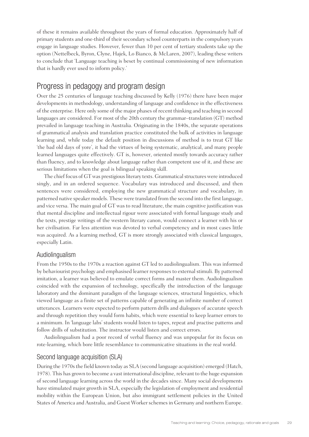of these it remains available throughout the years of formal education. Approximately half of primary students and one-third of their secondary school counterparts in the compulsory years engage in language studies. However, fewer than 10 per cent of tertiary students take up the option (Nettelbeck, Byron, Clyne, Hajek, Lo Bianco, & McLaren, 2007), leading these writers to conclude that 'Language teaching is beset by continual commissioning of new information that is hardly ever used to inform policy.'

#### Progress in pedagogy and program design

Over the 25 centuries of language teaching discussed by Kelly (1976) there have been major developments in methodology, understanding of language and confidence in the effectiveness of the enterprise. Here only some of the major phases of recent thinking and teaching in second languages are considered. For most of the 20th century the grammar–translation (GT) method prevailed in language teaching in Australia. Originating in the 1840s, the separate operations of grammatical analysis and translation practice constituted the bulk of activities in language learning and, while today the default position in discussions of method is to treat GT like 'the bad old days of yore', it had the virtues of being systematic, analytical, and many people learned languages quite effectively. GT is, however, oriented mostly towards accuracy rather than fluency, and to knowledge about language rather than competent use of it, and these are serious limitations when the goal is bilingual speaking skill.

The chief focus of GT was prestigious literary texts. Grammatical structures were introduced singly, and in an ordered sequence. Vocabulary was introduced and discussed, and then sentences were considered, employing the new grammatical structure and vocabulary, in patterned native speaker models. These were translated from the second into the first language, and vice versa. The main goal of GT was to read literature, the main cognitive justification was that mental discipline and intellectual rigour were associated with formal language study and the texts, prestige writings of the western literary canon, would connect a learner with his or her civilisation. Far less attention was devoted to verbal competency and in most cases little was acquired. As a learning method, GT is more strongly associated with classical languages, especially Latin.

#### Audiolingualism

From the 1950s to the 1970s a reaction against GT led to audiolingualism. This was informed by behaviourist psychology and emphasised learner responses to external stimuli. By patterned imitation, a learner was believed to emulate correct forms and master them. Audiolingualism coincided with the expansion of technology, specifically the introduction of the language laboratory and the dominant paradigm of the language sciences, structural linguistics, which viewed language as a finite set of patterns capable of generating an infinite number of correct utterances. Learners were expected to perform pattern drills and dialogues of accurate speech and through repetition they would form habits, which were essential to keep learner errors to a minimum. In 'language labs' students would listen to tapes, repeat and practise patterns and follow drills of substitution. The instructor would listen and correct errors.

Audiolingualism had a poor record of verbal fluency and was unpopular for its focus on rote-learning, which bore little resemblance to communicative situations in the real world.

#### Second language acquisition (SLA)

During the 1970s the field known today as SLA (second language acquisition) emerged (Hatch, 1978). This has grown to become a vast international discipline, relevant to the huge expansion of second language learning across the world in the decades since. Many social developments have stimulated major growth in SLA, especially the legislation of employment and residential mobility within the European Union, but also immigrant settlement policies in the United States of America and Australia, and Guest Worker schemes in Germany and northern Europe.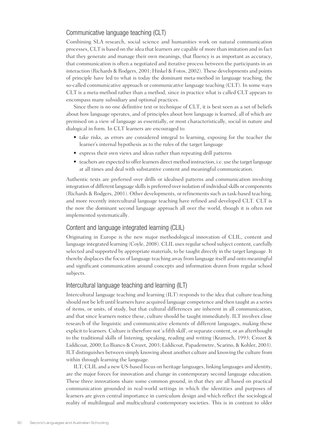#### Communicative language teaching (CLT)

Combining SLA research, social science and humanities work on natural communication processes, CLT is based on the idea that learners are capable of more than imitation and in fact that they generate and manage their own meanings, that fluency is as important as accuracy, that communication is often a negotiated and iterative process between the participants in an interaction (Richards & Rodgers, 2001; Hinkel & Fotos, 2002). These developments and points of principle have led to what is today the dominant meta-method in language teaching, the so-called communicative approach or communicative language teaching (CLT). In some ways CLT is a meta-method rather than a method, since in practice what is called CLT appears to encompass many subsidiary and optional practices.

Since there is no one definitive text or technique of CLT, it is best seen as a set of beliefs about how language operates, and of principles about how language is learned, all of which are premised on a view of language as essentially, or most characteristically, social in nature and dialogical in form. In CLT learners are encouraged to:

- take risks, as errors are considered integral to learning, exposing for the teacher the learner's internal hypothesis as to the rules of the target language
- express their own views and ideas rather than repeating drill patterns
- teachers are expected to offer learners direct method instruction, i.e. use the target language at all times and deal with substantive content and meaningful communication.

Authentic texts are preferred over drills or idealised patterns and communication involving integration of different language skills is preferred over isolation of individual skills or components (Richards & Rodgers, 2001). Other developments, or refinements such as task-based teaching, and more recently intercultural language teaching have refined and developed CLT. CLT is the now the dominant second language approach all over the world, though it is often not implemented systematically.

#### Content and language integrated learning (CLIL)

Originating in Europe is the new major methodological innovation of CLIL, content and language integrated learning (Coyle, 2008). CLIL uses regular school subject content, carefully selected and supported by appropriate materials, to be taught directly in the target language. It thereby displaces the focus of language teaching away from language itself and onto meaningful and significant communication around concepts and information drawn from regular school subjects.

#### Intercultural language teaching and learning (ILT)

Intercultural language teaching and learning (ILT) responds to the idea that culture teaching should not be left until learners have acquired language competence and then taught as a series of items, or units, of study, but that cultural differences are inherent in all communication, and that since learners notice these, culture should be taught immediately. ILT involves close research of the linguistic and communicative elements of different languages, making these explicit to learners. Culture is therefore not 'a fifth skill', or separate content, or an afterthought to the traditional skills of listening, speaking, reading and writing (Kramsch, 1993; Crozet & Liddicoat, 2000; Lo Bianco & Crozet, 2003; Liddicoat, Papademetre, Scarino, & Kohler, 2003). ILT distinguishes between simply knowing about another culture and knowing the culture from within through learning the language.

ILT, CLIL and a new US-based focus on heritage languages, linking languages and identity, are the major forces for innovation and change in contemporary second language education. These three innovations share some common ground, in that they are all based on practical communication grounded in real-world settings in which the identities and purposes of learners are given central importance in curriculum design and which reflect the sociological reality of multilingual and multicultural contemporary societies. This is in contrast to older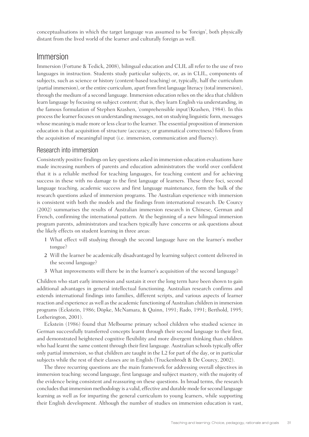conceptualisations in which the target language was assumed to be 'foreign', both physically distant from the lived world of the learner and culturally foreign as well.

#### Immersion

Immersion (Fortune & Tedick, 2008), bilingual education and CLIL all refer to the use of two languages in instruction. Students study particular subjects, or, as in CLIL, components of subjects, such as science or history (content-based teaching) or, typically, half the curriculum (partial immersion), or the entire curriculum, apart from first language literacy (total immersion), through the medium of a second language. Immersion education relies on the idea that children learn language by focusing on subject content; that is, they learn English via understanding, in the famous formulation of Stephen Krashen, 'comprehensible input'(Krashen, 1984). In this process the learner focuses on understanding messages, not on studying linguistic form, messages whose meaning is made more or less clear to the learner. The essential proposition of immersion education is that acquisition of structure (accuracy, or grammatical correctness) follows from the acquisition of meaningful input (i.e. immersion, communication and fluency).

#### Research into immersion

Consistently positive findings on key questions asked in immersion education evaluations have made increasing numbers of parents and education administrators the world over confident that it is a reliable method for teaching languages, for teaching content and for achieving success in these with no damage to the first language of learners. These three foci, second language teaching, academic success and first language maintenance, form the bulk of the research questions asked of immersion programs. The Australian experience with immersion is consistent with both the models and the findings from international research. De Courcy (2002) summarises the results of Australian immersion research in Chinese, German and French, confirming the international pattern. At the beginning of a new bilingual immersion program parents, administrators and teachers typically have concerns or ask questions about the likely effects on student learning in three areas:

- 1 What effect will studying through the second language have on the learner's mother tongue?
- 2 Will the learner be academically disadvantaged by learning subject content delivered in the second language?
- 3 What improvements will there be in the learner's acquisition of the second language?

Children who start early immersion and sustain it over the long term have been shown to gain additional advantages in general intellectual functioning. Australian research confirms and extends international findings into families, different scripts, and various aspects of learner reaction and experience as well as the academic functioning of Australian children in immersion programs (Eckstein, 1986; Döpke, McNamara, & Quinn, 1991; Rado, 1991; Berthold, 1995; Lotherington, 2001).

Eckstein (1986) found that Melbourne primary school children who studied science in German successfully transferred concepts learnt through their second language to their first, and demonstrated heightened cognitive flexibility and more divergent thinking than children who had learnt the same content through their first language. Australian schools typically offer only partial immersion, so that children are taught in the L2 for part of the day, or in particular subjects while the rest of their classes are in English (Truckenbrodt & De Courcy, 2002).

The three recurring questions are the main framework for addressing overall objectives in immersion teaching: second language, first language and subject mastery, with the majority of the evidence being consistent and reassuring on these questions. In broad terms, the research concludes that immersion methodology is a valid, effective and durable mode for second language learning as well as for imparting the general curriculum to young learners, while supporting their English development. Although the number of studies on immersion education is vast,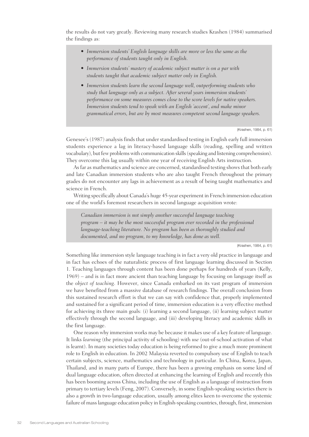the results do not vary greatly. Reviewing many research studies Krashen (1984) summarised the findings as:

- *• Immersion students' English language skills are more or less the same as the performance of students taught only in English.*
- *• Immersion students' mastery of academic subject matter is on a par with students taught that academic subject matter only in English.*
- *• Immersion students learn the second language well, outperforming students who study that language only as a subject. After several years immersion students' performance on some measures comes close to the score levels for native speakers. Immersion students tend to speak with an English 'accent', and make minor grammatical errors, but are by most measures competent second language speakers.*

(Krashen, 1984, p. 61)

Genesee's (1987) analysis finds that under standardised testing in English early full immersion students experience a lag in literacy-based language skills (reading, spelling and written vocabulary), but few problems with communication skills (speaking and listening comprehension). They overcome this lag usually within one year of receiving English Arts instruction.

As far as mathematics and science are concerned, standardised testing shows that both early and late Canadian immersion students who are also taught French throughout the primary grades do not encounter any lags in achievement as a result of being taught mathematics and science in French.

Writing specifically about Canada's huge 45-year experiment in French immersion education one of the world's foremost researchers in second language acquisition wrote:

*Canadian immersion is not simply another successful language teaching program – it may be the most successful program ever recorded in the professional language-teaching literature. No program has been as thoroughly studied and documented, and no program, to my knowledge, has done as well.*

(Krashen, 1984, p. 61)

Something like immersion style language teaching is in fact a very old practice in language and in fact has echoes of the naturalistic process of first language learning discussed in Section 1. Teaching languages through content has been done perhaps for hundreds of years (Kelly, 1969) – and is in fact more ancient than teaching language by focusing on language itself as the *object of teaching*. However, since Canada embarked on its vast program of immersion we have benefited from a massive database of research findings. The overall conclusion from this sustained research effort is that we can say with confidence that, properly implemented and sustained for a significant period of time, immersion education is a very effective method for achieving its three main goals: (i) learning a second language, (ii) learning subject matter effectively through the second language, and (iii) developing literacy and academic skills in the first language.

One reason why immersion works may be because it makes use of a key feature of language. It links *learning* (the principal activity of schooling) with *use* (out-of-school activation of what is learnt). In many societies today education is being reformed to give a much more prominent role to English in education. In 2002 Malaysia reverted to compulsory use of English to teach certain subjects, science, mathematics and technology in particular. In China, Korea, Japan, Thailand, and in many parts of Europe, there has been a growing emphasis on some kind of dual language education, often directed at enhancing the learning of English and recently this has been booming across China, including the use of English as a language of instruction from primary to tertiary levels (Feng, 2007). Conversely, in some English-speaking societies there is also a growth in two-language education, usually among elites keen to overcome the systemic failure of mass language education policy in English-speaking countries, through, first, immersion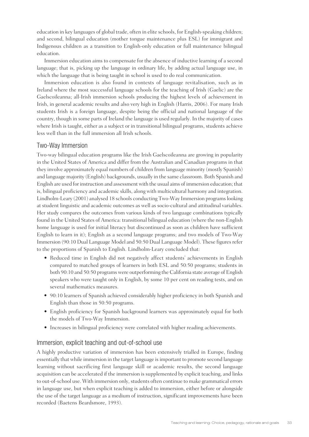education in key languages of global trade, often in elite schools, for English-speaking children; and second, bilingual education (mother tongue maintenance plus ESL) for immigrant and Indigenous children as a transition to English-only education or full maintenance bilingual education.

Immersion education aims to compensate for the absence of inductive learning of a second language; that is, picking up the language in ordinary life, by adding actual language use, in which the language that is being taught in school is used to do real communication.

Immersion education is also found in contexts of language revitalisation, such as in Ireland where the most successful language schools for the teaching of Irish (Gaelic) are the Gaelscoileanna; all-Irish immersion schools producing the highest levels of achievement in Irish, in general academic results and also very high in English (Harris, 2006). For many Irish students Irish is a foreign language, despite being the official and national language of the country, though in some parts of Ireland the language is used regularly. In the majority of cases where Irish is taught, either as a subject or in transitional bilingual programs, students achieve less well than in the full immersion all Irish schools.

#### Two-Way Immersion

Two-way bilingual education programs like the Irish Gaelscoileanna are growing in popularity in the United States of America and differ from the Australian and Canadian programs in that they involve approximately equal numbers of children from language minority (mostly Spanish) and language majority (English) backgrounds, usually in the same classroom. Both Spanish and English are used for instruction and assessment with the usual aims of immersion education; that is, bilingual proficiency and academic skills, along with multicultural harmony and integration. Lindholm-Leary (2001) analysed 18 schools conducting Two-Way Immersion programs looking at student linguistic and academic outcomes as well as socio-cultural and attitudinal variables. Her study compares the outcomes from various kinds of two language combinations typically found in the United States of America: transitional bilingual education (where the non-English home language is used for initial literacy but discontinued as soon as children have sufficient English to learn in it); English as a second language programs; and two models of Two-Way Immersion (90:10 Dual Language Model and 50:50 Dual Language Model). These figures refer to the proportions of Spanish to English. Lindholm-Leary concluded that:

- Reduced time in English did not negatively affect students' achievements in English compared to matched groups of learners in both ESL and 50:50 programs; students in both 90:10 and 50:50 programs were outperforming the California state average of English speakers who were taught only in English, by some 10 per cent on reading tests, and on several mathematics measures.
- • 90:10 learners of Spanish achieved considerably higher proficiency in both Spanish and English than those in 50:50 programs.
- English proficiency for Spanish background learners was approximately equal for both the models of Two-Way Immersion.
- Increases in bilingual proficiency were correlated with higher reading achievements.

#### Immersion, explicit teaching and out-of-school use

A highly productive variation of immersion has been extensively trialled in Europe, finding essentially that while immersion in the target language is important to promote second language learning without sacrificing first language skill or academic results, the second language acquisition can be accelerated if the immersion is supplemented by explicit teaching, and links to out-of-school use. With immersion only, students often continue to make grammatical errors in language use, but when explicit teaching is added to immersion, either before or alongside the use of the target language as a medium of instruction, significant improvements have been recorded (Baetens Beardsmore, 1993).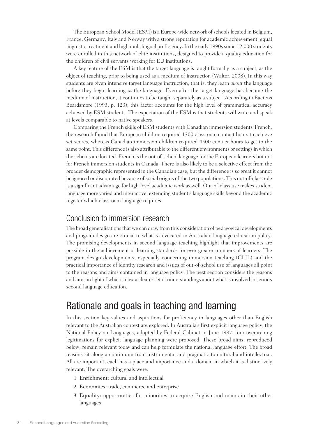The European School Model (ESM) is a Europe-wide network of schools located in Belgium, France, Germany, Italy and Norway with a strong reputation for academic achievement, equal linguistic treatment and high multilingual proficiency. In the early 1990s some 12,000 students were enrolled in this network of elite institutions, designed to provide a quality education for the children of civil servants working for EU institutions.

A key feature of the ESM is that the target language is taught formally as a subject, as the object of teaching, prior to being used as a medium of instruction (Walter, 2008). In this way students are given intensive target language instruction; that is, they learn *about* the language before they begin learning *in* the language. Even after the target language has become the medium of instruction, it continues to be taught separately as a subject. According to Baetens Beardsmore (1993, p. 123), this factor accounts for the high level of grammatical accuracy achieved by ESM students. The expectation of the ESM is that students will write and speak at levels comparable to native speakers.

Comparing the French skills of ESM students with Canadian immersion students' French, the research found that European children required 1300 classroom contact hours to achieve set scores, whereas Canadian immersion children required 4500 contact hours to get to the same point. This difference is also attributable to the different environments or settings in which the schools are located. French is the out-of-school language for the European learners but not for French immersion students in Canada. There is also likely to be a selective effect from the broader demographic represented in the Canadian case, but the difference is so great it cannot be ignored or discounted because of social origins of the two populations. This out-of-class role is a significant advantage for high-level academic work as well. Out-of-class use makes student language more varied and interactive, extending student's language skills beyond the academic register which classroom language requires.

#### Conclusion to immersion research

The broad generalisations that we can draw from this consideration of pedagogical developments and program design are crucial to what is advocated in Australian language education policy. The promising developments in second language teaching highlight that improvements are possible in the achievement of learning standards for ever greater numbers of learners. The program design developments, especially concerning immersion teaching (CLIL) and the practical importance of identity research and issues of out-of-school use of languages all point to the reasons and aims contained in language policy. The next section considers the reasons and aims in light of what is now a clearer set of understandings about what is involved in serious second language education.

# Rationale and goals in teaching and learning

In this section key values and aspirations for proficiency in languages other than English relevant to the Australian context are explored. In Australia's first explicit language policy, the National Policy on Languages, adopted by Federal Cabinet in June 1987, four overarching legitimations for explicit language planning were proposed. These broad aims, reproduced below, remain relevant today and can help formulate the national language effort. The broad reasons sit along a continuum from instrumental and pragmatic to cultural and intellectual. All are important, each has a place and importance and a domain in which it is distinctively relevant. The overarching goals were:

- 1 Enrichment: cultural and intellectual
- 2 Economics: trade, commerce and enterprise
- 3 Equality: opportunities for minorities to acquire English and maintain their other languages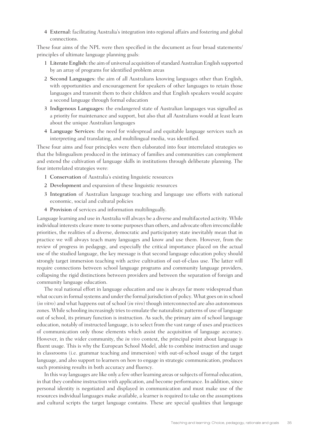4 External: facilitating Australia's integration into regional affairs and fostering and global connections.

These four aims of the NPL were then specified in the document as four broad statements/ principles of ultimate language planning goals:

- 1 Literate English: the aim of universal acquisition of standard Australian English supported by an array of programs for identified problem areas
- 2 Second Languages: the aim of all Australians knowing languages other than English, with opportunities and encouragement for speakers of other languages to retain those languages and transmit them to their children and that English speakers would acquire a second language through formal education
- 3 Indigenous Languages: the endangered state of Australian languages was signalled as a priority for maintenance and support, but also that all Australians would at least learn about the unique Australian languages
- 4 Language Services: the need for widespread and equitable language services such as interpreting and translating, and multilingual media, was identified.

These four aims and four principles were then elaborated into four interrelated strategies so that the bilingualism produced in the intimacy of families and communities can complement and extend the cultivation of language skills in institutions through deliberate planning. The four interrelated strategies were:

- 1 Conservation of Australia's existing linguistic resources
- 2 Development and expansion of these linguistic resources
- 3 Integration of Australian language teaching and language use efforts with national economic, social and cultural policies
- 4 Provision of services and information multilingually.

Language learning and use in Australia will always be a diverse and multifaceted activity. While individual interests cleave more to some purposes than others, and advocate often irreconcilable priorities, the realities of a diverse, democratic and participatory state inevitably mean that in practice we will always teach many languages and know and use them. However, from the review of progress in pedagogy, and especially the critical importance placed on the actual use of the studied language, the key message is that second language education policy should strongly target immersion teaching with active cultivation of out-of-class use. The latter will require connections between school language programs and community language providers, collapsing the rigid distinctions between providers and between the separation of foreign and community language education.

The real national effort in language education and use is always far more widespread than what occurs in formal systems and under the formal jurisdiction of policy. What goes on in school (*in vitro*) and what happens out of school (*in vivo*) though interconnected are also autonomous zones. While schooling increasingly tries to emulate the naturalistic patterns of use of language out of school, its primary function is instruction. As such, the primary aim of school language education, notably of instructed language, is to select from the vast range of uses and practices of communication only those elements which assist the acquisition of language accuracy. However, in the wider community, the *in vivo* context, the principal point about language is fluent usage. This is why the European School Model, able to combine instruction and usage in classrooms (i.e. grammar teaching and immersion) with out-of-school usage of the target language, and also support to learners on how to engage in strategic communication, produces such promising results in both accuracy and fluency.

In this way languages are like only a few other learning areas or subjects of formal education, in that they combine instruction with application, and become performance. In addition, since personal identity is negotiated and displayed in communication and must make use of the resources individual languages make available, a learner is required to take on the assumptions and cultural scripts the target language contains. These are special qualities that language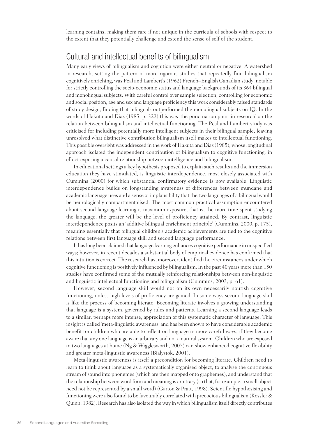learning contains, making them rare if not unique in the curricula of schools with respect to the extent that they potentially challenge and extend the sense of self of the student.

## Cultural and intellectual benefits of bilingualism

Many early views of bilingualism and cognition were either neutral or negative. A watershed in research, setting the pattern of more rigorous studies that repeatedly find bilingualism cognitively enriching, was Peal and Lambert's (1962) French–English Canadian study, notable for strictly controlling the socio-economic status and language backgrounds of its 364 bilingual and monolingual subjects. With careful control over sample selection, controlling for economic and social position, age and sex and language proficiency this work considerably raised standards of study design, finding that bilinguals outperformed the monolingual subjects on IQ. In the words of Hakuta and Diaz (1985, p. 322) this was 'the punctuation point in research' on the relation between bilingualism and intellectual functioning. The Peal and Lambert study was criticised for including potentially more intelligent subjects in their bilingual sample, leaving unresolved what distinctive contribution bilingualism itself makes to intellectual functioning. This possible oversight was addressed in the work of Hakuta and Diaz (1985), whose longitudinal approach isolated the independent contribution of bilingualism to cognitive functioning, in effect exposing a causal relationship between intelligence and bilingualism.

In educational settings a key hypothesis proposed to explain such results and the immersion education they have stimulated, is linguistic interdependence, most closely associated with Cummins (2000) for which substantial confirmatory evidence is now available. Linguistic interdependence builds on longstanding awareness of differences between mundane and academic language uses and a sense of implausibility that the two languages of a bilingual would be neurologically compartmentalised. The most common practical assumption encountered about second language learning is maximum exposure; that is, the more time spent studying the language, the greater will be the level of proficiency attained. By contrast, linguistic interdependence posits an 'additive bilingual enrichment principle' (Cummins, 2000, p. 175), meaning essentially that bilingual children's academic achievements are tied to the cognitive relations between first language skill and second language performance.

It has long been claimed that language learning enhances cognitive performance in unspecified ways; however, in recent decades a substantial body of empirical evidence has confirmed that this intuition is correct. The research has, moreover, identified the circumstances under which cognitive functioning is positively influenced by bilingualism. In the past 40 years more than 150 studies have confirmed some of the mutually reinforcing relationships between non-linguistic and linguistic intellectual functioning and bilingualism (Cummins, 2003, p. 61).

However, second language skill would not on its own necessarily nourish cognitive functioning, unless high levels of proficiency are gained. In some ways second language skill is like the process of becoming literate. Becoming literate involves a growing understanding that language is a system, governed by rules and patterns. Learning a second language leads to a similar, perhaps more intense, appreciation of this systematic character of language. This insight is called 'meta-linguistic awareness' and has been shown to have considerable academic benefit for children who are able to reflect on language in more careful ways, if they become aware that any one language is an arbitrary and not a natural system. Children who are exposed to two languages at home (Ng & Wigglesworth, 2007) can show enhanced cognitive flexibility and greater meta-linguistic awareness (Bialystok, 2001).

Meta-linguistic awareness is itself a precondition for becoming literate. Children need to learn to think about language as a systematically organised object, to analyse the continuous stream of sound into phonemes (which are then mapped onto graphemes), and understand that the relationship between word form and meaning is arbitrary (so that, for example, a small object need not be represented by a small word) (Garton & Pratt, 1998). Scientific hypothesising and functioning were also found to be favourably correlated with precocious bilingualism (Kessler & Quinn, 1982). Research has also isolated the way in which bilingualism itself directly contributes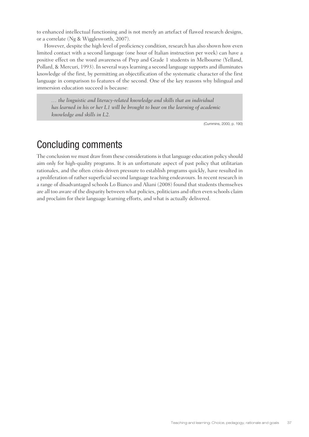to enhanced intellectual functioning and is not merely an artefact of flawed research designs, or a correlate (Ng & Wigglesworth, 2007).

However, despite the high level of proficiency condition, research has also shown how even limited contact with a second language (one hour of Italian instruction per week) can have a positive effect on the word awareness of Prep and Grade 1 students in Melbourne (Yelland, Pollard, & Mercuri, 1993). In several ways learning a second language supports and illuminates knowledge of the first, by permitting an objectification of the systematic character of the first language in comparison to features of the second. One of the key reasons why bilingual and immersion education succeed is because:

*… the linguistic and literacy-related knowledge and skills that an individual*  has learned in his or her L1 will be brought to bear on the learning of academic *knowledge and skills in L2.*

(Cummins, 2000, p. 190)

# Concluding comments

The conclusion we must draw from these considerations is that language education policy should aim only for high-quality programs. It is an unfortunate aspect of past policy that utilitarian rationales, and the often crisis-driven pressure to establish programs quickly, have resulted in a proliferation of rather superficial second language teaching endeavours. In recent research in a range of disadvantaged schools Lo Bianco and Aliani (2008) found that students themselves are all too aware of the disparity between what policies, politicians and often even schools claim and proclaim for their language learning efforts, and what is actually delivered.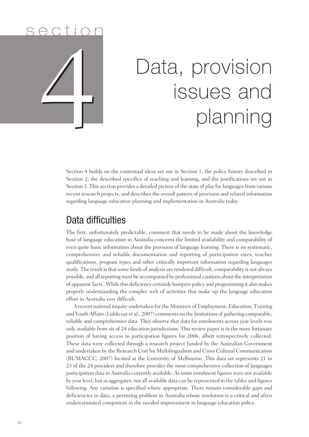# s e ction 4

# Data, provision issues and planning

Section 4 builds on the contextual ideas set out in Section 1, the policy history described in Section 2, the described specifics of teaching and learning, and the justifications set out in Section 3. This section provides a detailed picture of the state of play for languages from various recent research projects, and describes the overall pattern of provision and related information regarding language education planning and implementation in Australia today.

# Data difficulties

The first, unfortunately predictable, comment that needs to be made about the knowledge base of language education in Australia concerns the limited availability and comparability of even quite basic information about the provision of language learning. There is no systematic, comprehensive and reliable documentation and reporting of participation rates, teacher qualifications, program types and other critically important information regarding languages study. The result is that some kinds of analysis are rendered difficult, comparability is not always possible, and all reporting must be accompanied by professional cautions about the interpretation of apparent 'facts'. While this deficiency certainly hampers policy and programming it also makes properly understanding the complex web of activities that make up the language education effort in Australia very difficult.

A recent national inquiry undertaken for the Ministers of Employment, Education, Training and Youth Affairs (Liddicoat et al., 2007) comments on the limitations of gathering comparable, reliable and comprehensive data. They observe that data for enrolments across year levels was only available from six of 24 education jurisdictions. This review paper is in the more fortunate position of having access to participation figures for 2006, albeit retrospectively collected. These data were collected through a research project funded by the Australian Government and undertaken by the Research Unit for Multilingualism and Cross Cultural Communication (RUMACCC, 2007) located at the University of Melbourne. This data set represents 21 to 23 of the 24 providers and therefore provides the most comprehensive collection of languages participation data in Australia currently available. As some enrolment figures were not available by year level, but as aggregates, not all available data can be represented in the tables and figures following. Any variation is specified where appropriate. There remain considerable gaps and deficiencies in data, a persisting problem in Australia whose resolution is a critical and often underestimated component in the needed improvement in language education policy.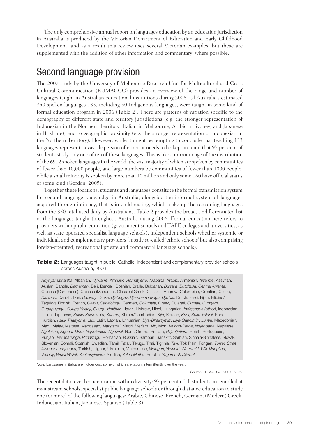The only comprehensive annual report on languages education by an education jurisdiction in Australia is produced by the Victorian Department of Education and Early Childhood Development, and as a result this review uses several Victorian examples, but these are supplemented with the addition of other information and commentary, where possible.

# Second language provision

The 2007 study by the University of Melbourne Research Unit for Multicultural and Cross Cultural Communication (RUMACCC) provides an overview of the range and number of languages taught in Australian educational institutions during 2006. Of Australia's estimated 350 spoken languages 133, including 50 Indigenous languages, were taught in some kind of formal education program in 2006 (Table 2). There are patterns of variation specific to the demography of different state and territory jurisdictions (e.g. the stronger representation of Indonesian in the Northern Territory, Italian in Melbourne, Arabic in Sydney, and Japanese in Brisbane), and to geographic proximity (e.g. the stronger representation of Indonesian in the Northern Territory). However, while it might be tempting to conclude that teaching 133 languages represents a vast dispersion of effort, it needs to be kept in mind that 97 per cent of students study only one of ten of these languages. This is like a mirror image of the distribution of the 6912 spoken languages in the world, the vast majority of which are spoken by communities of fewer than 10,000 people, and large numbers by communities of fewer than 1000 people, while a small minority is spoken by more than 10 million and only some 160 have official status of some kind (Gordon, 2005).

Together these locations, students and languages constitute the formal transmission system for second language knowledge in Australia, alongside the informal system of languages acquired through intimacy, that is in child rearing, which make up the remaining languages from the 350 total used daily by Australians. Table 2 provides the broad, undifferentiated list of the languages taught throughout Australia during 2006. Formal education here refers to providers within public education (government schools and TAFE colleges and universities, as well as state operated specialist language schools), independent schools whether systemic or individual, and complementary providers (mostly so-called 'ethnic schools' but also comprising foreign-operated, recreational private and commercial language schools).

**Table 2:** Languages taught in public, Catholic, independent and complementary provider schools across Australia, 2006

*Adynyamathanha*, Albanian, *Alywarre*, Amharic, *Anmatyerre*, *Arabana*, Arabic, Armenian, *Arrernte*, Assyrian, Auslan, Bangla, *Barhamah*, Bari, Bengali, Bosnian, Braille, Bulgarian, *Burrara*, *Butchulla*, *Central Arrente*, Chinese (Cantonese), Chinese (Mandarin), Classical Greek, Classical Hebrew, Colombian, Croatian, Czech, *Dalabon*, Danish, Dari, *Datiwuy*, Dinka, *Djabugay*, *Djambarrpuyngu*, *Djirrbal*, Dutch, Farsi, Fijian, Filipino/ Tagalog, Finnish, French, *Galpu*, *Ganalbingu*, German, *Golumala*, Greek, Gujarati, *Gumatj*, *Gungarri*, *Gupapuyngu*, *Guuge Yalanji*, *Guugu Yimithirr*, Harari, Hebrew, Hindi, Hungarian, *Indigenous (other)*, Indonesian, Italian, Japanese, *Kalaw Kawaw Ya*, *Kaurna*, Khmer/Cambodian, *Kija*, Korean, *Kriol*, *Kuku Yalanji*, Kune, Kurdish, *Kuuk Thaayorre*, Lao, Latin, Latvian, Lithuanian, *Liya-Dhalinymirr*, *Liya-Gawumirr*, *Luritja*, Macedonian, Madi, Malay, Maltese, Mandaean, *Mangarrai*, Maori, *Meriam*, *Mir*, Mon, *Murinh-Patha*, *Ndjebbana*, Nepalese, *Ngalakan*, *Ngandi-Mara*, *Ngarrindjeri*, *Ngaymil*, Nuer, Oromo, Persian, *Pitjantjatjara*, Polish, Portuguese, Punjabi, *Rembarunga*, *Ritharrngu*, Romanian, Russian, Samoan, Sanskrit, Serbian, Sinhala/Sinhalese, Slovak, Slovenian, Somali, Spanish, Swedish, Tamil, Tatar, Telugu, Thai, Tigrinia, *Tiwi*, Tok Pisin, Tongan, *Torres Strait Islander Languages*, Turkish, Uighur, Ukrainian, Vietnamese, *Wanguri*, *Warlpiri*, *Warramiri*, *Wik Mungkan*, *Wubuy*, *Wujul Wujul*, *Yankunyjatjara*, Yiddish, *Yolnu Matha*, Yoruba, *Yugambeh Djirrbal*

*Note:* Languages in italics are Indigenous, some of which are taught intermittently over the year.

Source: RUMACCC, 2007, p. 98.

The recent data reveal concentration within diversity: 97 per cent of all students are enrolled at mainstream schools, specialist public language schools or through distance education to study one (or more) of the following languages: Arabic, Chinese, French, German, (Modern) Greek, Indonesian, Italian, Japanese, Spanish (Table 3).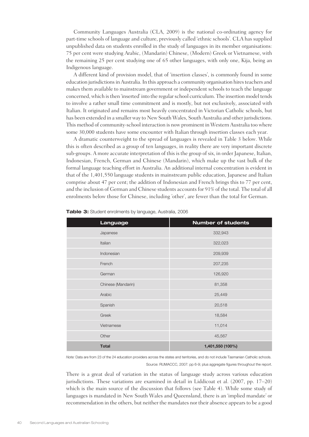Community Languages Australia (CLA, 2009) is the national co-ordinating agency for part-time schools of language and culture, previously called 'ethnic schools'. CLA has supplied unpublished data on students enrolled in the study of languages in its member organisations: 75 per cent were studying Arabic, (Mandarin) Chinese, (Modern) Greek or Vietnamese, with the remaining 25 per cent studying one of 65 other languages, with only one, Kija, being an Indigenous language.

A different kind of provision model, that of 'insertion classes', is commonly found in some education jurisdictions in Australia. In this approach a community organisation hires teachers and makes them available to mainstream government or independent schools to teach the language concerned, which is then 'inserted' into the regular school curriculum. The insertion model tends to involve a rather small time commitment and is mostly, but not exclusively, associated with Italian. It originated and remains most heavily concentrated in Victorian Catholic schools, but has been extended in a smaller way to New South Wales, South Australia and other jurisdictions. This method of community-school interaction is now prominent in Western Australia too where some 30,000 students have some encounter with Italian through insertion classes each year.

A dramatic counterweight to the spread of languages is revealed in Table 3 below. While this is often described as a group of ten languages, in reality there are very important discrete sub-groups. A more accurate interpretation of this is the group of six, in order Japanese, Italian, Indonesian, French, German and Chinese (Mandarin), which make up the vast bulk of the formal language teaching effort in Australia. An additional internal concentration is evident in that of the 1,401,550 language students in mainstream public education, Japanese and Italian comprise about 47 per cent; the addition of Indonesian and French brings this to 77 per cent, and the inclusion of German and Chinese students accounts for 91% of the total. The total of all enrolments below those for Chinese, including 'other', are fewer than the total for German.

| Language           | <b>Number of students</b> |
|--------------------|---------------------------|
| Japanese           | 332,943                   |
| Italian            | 322,023                   |
| Indonesian         | 209,939                   |
| French             | 207,235                   |
| German             | 126,920                   |
| Chinese (Mandarin) | 81,358                    |
| Arabic             | 25,449                    |
| Spanish            | 20,518                    |
| Greek              | 18,584                    |
| Vietnamese         | 11,014                    |
| Other              | 45,567                    |
| <b>Total</b>       | 1,401,550 (100%)          |

**Table 3:** Student enrolments by language, Australia, 2006

*Note:* Data are from 23 of the 24 education providers across the states and territories, and do not include Tasmanian Catholic schools. Source: RUMACCC, 2007: pp 6-9; plus aggregate figures throughout the report.

There is a great deal of variation in the status of language study across various education jurisdictions. These variations are examined in detail in Liddicoat et al. (2007, pp. 17–20) which is the main source of the discussion that follows (see Table 4). While some study of languages is mandated in New South Wales and Queensland, there is an 'implied mandate' or recommendation in the others, but neither the mandates nor their absence appears to be a good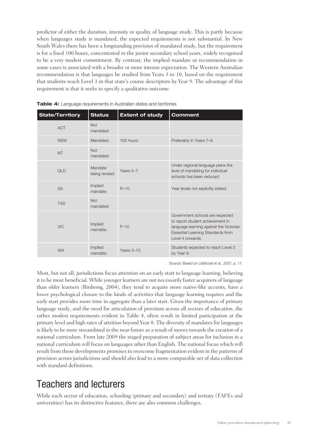predictor of either the duration, intensity or quality of language study. This is partly because when languages study is mandated, the expected requirements is not substantial. In New South Wales there has been a longstanding provision of mandated study, but the requirement is for a fixed 100 hours, concentrated in the junior secondary school years, widely recognised to be a very modest commitment. By contrast, the implied mandate or recommendation in some cases is associated with a broader or more intense expectation. The Western Australian recommendation is that languages be studied from Years 3 to 10, based on the requirement that students reach Level 3 in that state's course descriptors by Year 9. The advantage of this requirement is that it seeks to specify a qualitative outcome.

| <b>State/Territory</b> | <b>Status</b>            | <b>Extent of study</b> | <b>Comment</b>                                                                                                                                                                 |
|------------------------|--------------------------|------------------------|--------------------------------------------------------------------------------------------------------------------------------------------------------------------------------|
| <b>ACT</b>             | <b>Not</b><br>mandated   |                        |                                                                                                                                                                                |
| <b>NSW</b>             | Mandated                 | 100 hours              | Preferably in Years 7-8                                                                                                                                                        |
| <b>NT</b>              | <b>Not</b><br>mandated   |                        |                                                                                                                                                                                |
| QLD                    | Mandate<br>being revised | Years 4-7              | Under regional language plans the<br>level of mandating for individual<br>schools has been reduced.                                                                            |
| <b>SA</b>              | Implied<br>mandate       | $R-10$                 | Year levels not explicitly stated.                                                                                                                                             |
| <b>TAS</b>             | Not<br>mandated          |                        |                                                                                                                                                                                |
| <b>VIC</b>             | Implied<br>mandate       | $P - 10$               | Government schools are expected<br>to report student achievement in<br>language learning against the Victorian<br><b>Essential Learning Standards from</b><br>Level 4 onwards. |
| <b>WA</b>              | Implied<br>mandate       | Years 3-10             | Students expected to reach Level 3<br>by Year 9.                                                                                                                               |

**Table 4:** Language requirements in Australian states and territories

Source: Based on Liddicoat et al., 2007, p. 17.

Most, but not all, jurisdictions focus attention on an early start to language learning, believing it to be most beneficial. While younger learners are not necessarily faster acquirers of language than older learners (Birdsong, 2004), they tend to acquire more native-like accents, have a lower psychological closure to the kinds of activities that language learning requires and the early start provides more time in aggregate than a later start. Given the importance of primary language study, and the need for articulation of provision across all sectors of education, the rather modest requirements evident in Table 4, often result in limited participation at the primary level and high rates of attrition beyond Year 8. The diversity of mandates for languages is likely to be more streamlined in the near future as a result of moves towards the creation of a national curriculum. From late 2009 the staged preparation of subject areas for inclusion in a national curriculum will focus on languages other than English. The national focus which will result from these developments promises to overcome fragmentation evident in the patterns of provision across jurisdictions and should also lead to a more comparable set of data collection with standard definitions.

# Teachers and lecturers

While each sector of education, schooling (primary and secondary) and tertiary (TAFEs and universities) has its distinctive features, there are also common challenges.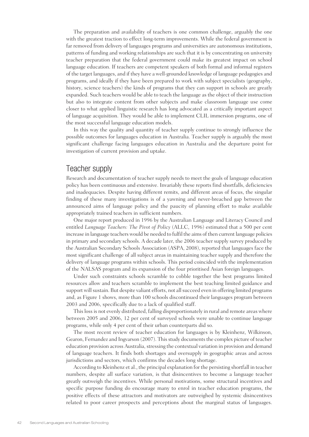The preparation and availability of teachers is one common challenge, arguably the one with the greatest traction to effect long-term improvements. While the federal government is far removed from delivery of languages programs and universities are autonomous institutions, patterns of funding and working relationships are such that it is by concentrating on university teacher preparation that the federal government could make its greatest impact on school language education. If teachers are competent speakers of both formal and informal registers of the target languages, and if they have a well-grounded knowledge of language pedagogies and programs, and ideally if they have been prepared to work with subject specialists (geography, history, science teachers) the kinds of programs that they can support in schools are greatly expanded. Such teachers would be able to teach the language as the object of their instruction but also to integrate content from other subjects and make classroom language use come closer to what applied linguistic research has long advocated as a critically important aspect of language acquisition. They would be able to implement CLIL immersion programs, one of the most successful language education models.

In this way the quality and quantity of teacher supply continue to strongly influence the possible outcomes for languages education in Australia. Teacher supply is arguably the most significant challenge facing languages education in Australia and the departure point for investigation of current provision and uptake.

#### Teacher supply

Research and documentation of teacher supply needs to meet the goals of language education policy has been continuous and extensive. Invariably these reports find shortfalls, deficiencies and inadequacies. Despite having different remits, and different areas of focus, the singular finding of these many investigations is of a yawning and never-breached gap between the announced aims of language policy and the paucity of planning effort to make available appropriately trained teachers in sufficient numbers.

One major report produced in 1996 by the Australian Language and Literacy Council and entitled *Language Teachers: The Pivot of Policy* (ALLC, 1996) estimated that a 500 per cent increase in language teachers would be needed to fulfil the aims of then current language policies in primary and secondary schools. A decade later, the 2006 teacher supply survey produced by the Australian Secondary Schools Association (ASPA, 2008), reported that languages face the most significant challenge of all subject areas in maintaining teacher supply and therefore the delivery of language programs within schools. This period coincided with the implementation of the NALSAS program and its expansion of the four prioritised Asian foreign languages.

Under such constraints schools scramble to cobble together the best programs limited resources allow and teachers scramble to implement the best teaching limited guidance and support will sustain. But despite valiant efforts, not all succeed even in offering limited programs and, as Figure 1 shows, more than 100 schools discontinued their languages program between 2003 and 2006, specifically due to a lack of qualified staff.

This loss is not evenly distributed, falling disproportionately in rural and remote areas where between 2005 and 2006, 12 per cent of surveyed schools were unable to continue language programs, while only 4 per cent of their urban counterparts did so.

The most recent review of teacher education for languages is by Kleinhenz, Wilkinson, Gearon, Fernandez and Ingvarson (2007). This study documents the complex picture of teacher education provision across Australia, stressing the contextual variation in provision and demand of language teachers. It finds both shortages and oversupply in geographic areas and across jurisdictions and sectors, which confirms the decades long shortage.

According to Kleinhenz et al., the principal explanation for the persisting shortfall in teacher numbers, despite all surface variation, is that disincentives to become a language teacher greatly outweigh the incentives. While personal motivations, some structural incentives and specific purpose funding do encourage many to enrol in teacher education programs, the positive effects of these attractors and motivators are outweighed by systemic disincentives related to poor career prospects and perceptions about the marginal status of languages.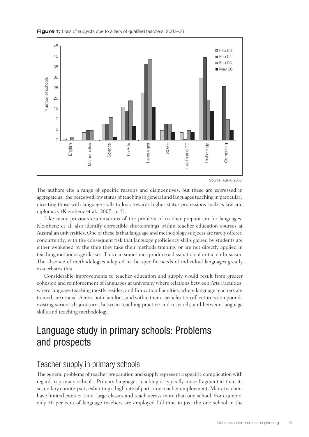



Source: ASPA, 2008.

The authors cite a range of specific reasons and disincentives, but these are expressed in aggregate as: 'the perceived low status of teaching in general and languages teaching in particular', directing those with language skills to look towards higher status professions such as law and diplomacy (Kleinhenz et al., 2007, p. 3).

Like many previous examinations of the problem of teacher preparation for languages, Kleinhenz et al. also identify correctible shortcomings within teacher education courses at Australian universities. One of these is that language and methodology subjects are rarely offered concurrently, with the consequent risk that language proficiency skills gained by students are either weakened by the time they take their methods training, or are not directly applied in teaching methodology classes. This can sometimes produce a dissipation of initial enthusiasm. The absence of methodologies adapted to the specific needs of individual languages greatly exacerbates this.

Considerable improvements to teacher education and supply would result from greater cohesion and reinforcement of languages at university where relations between Arts Faculties, where language teaching mostly resides, and Education Faculties, where language teachers are trained, are crucial. Across both faculties, and within them, casualisation of lecturers compounds existing serious disjunctures between teaching practice and research, and between language skills and teaching methodology.

# Language study in primary schools: Problems and prospects

#### Teacher supply in primary schools

The general problems of teacher preparation and supply represent a specific complication with regard to primary schools. Primary languages teaching is typically more fragmented than its secondary counterpart, exhibiting a high rate of part-time teacher employment. Many teachers have limited contact time, large classes and teach across more than one school. For example, only 40 per cent of language teachers are employed full-time in just the one school in the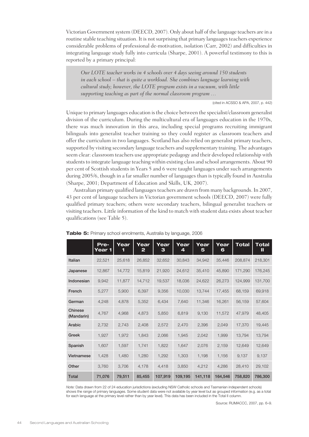Victorian Government system (DEECD, 2007). Only about half of the language teachers are in a routine stable teaching situation. It is not surprising that primary languages teachers experience considerable problems of professional de-motivation, isolation (Carr, 2002) and difficulties in integrating language study fully into curricula (Sharpe, 2001). A powerful testimony to this is reported by a primary principal:

*Our LOTE teacher works in 4 schools over 4 days seeing around 150 students in each school – that is quite a workload. She combines language learning with cultural study; however, the LOTE program exists in a vacuum, with little supporting teaching as part of the normal classroom program …*

(cited in ACSSO & APA, 2007, p. 442)

Unique to primary languages education is the choice between the specialist/classroom generalist division of the curriculum. During the multicultural era of languages education in the 1970s, there was much innovation in this area, including special programs recruiting immigrant bilinguals into generalist teacher training so they could register as classroom teachers and offer the curriculum in two languages. Scotland has also relied on generalist primary teachers, supported by visiting secondary language teachers and supplementary training. The advantages seem clear: classroom teachers use appropriate pedagogy and their developed relationship with students to integrate language teaching within existing class and school arrangements. About 90 per cent of Scottish students in Years 5 and 6 were taught languages under such arrangements during 2005/6, though in a far smaller number of languages than is typically found in Australia (Sharpe, 2001; Department of Education and Skills, UK, 2007).

Australian primary qualified languages teachers are drawn from many backgrounds. In 2007, 43 per cent of language teachers in Victorian government schools (DEECD, 2007) were fully qualified primary teachers; others were secondary teachers, bilingual generalist teachers or visiting teachers. Little information of the kind to match with student data exists about teacher qualifications (see Table 5).

|                       | Pre-<br>Year 1 | Year<br>1 | Year<br>$\mathbf{z}$ | Year<br>З | Year<br>4 | Year<br>5 | Year<br>6 | Total   | <b>Total</b><br>Ш |
|-----------------------|----------------|-----------|----------------------|-----------|-----------|-----------|-----------|---------|-------------------|
| Italian               | 22,521         | 25,618    | 26,852               | 32,652    | 30,843    | 34,942    | 35,446    | 208,874 | 218,301           |
| Japanese              | 12,867         | 14,772    | 15,819               | 21,920    | 24,612    | 35,410    | 45,890    | 171,290 | 176,245           |
| Indonesian            | 9,942          | 11,877    | 14,712               | 19,537    | 18,036    | 24,622    | 26,273    | 124,999 | 131,700           |
| French                | 5,277          | 5,900     | 6,397                | 9,356     | 10,030    | 13,744    | 17,455    | 68,159  | 69,918            |
| German                | 4,248          | 4,878     | 5,352                | 6,434     | 7,640     | 11,346    | 16,261    | 56,159  | 57,604            |
| Chinese<br>(Mandarin) | 4,767          | 4,968     | 4,873                | 5,850     | 6,819     | 9,130     | 11,572    | 47,979  | 48,405            |
| Arabic                | 2,732          | 2,743     | 2,408                | 2,572     | 2,470     | 2,396     | 2,049     | 17,370  | 19,445            |
| Greek                 | 1,927          | 1,972     | 1,843                | 2,066     | 1,945     | 2,042     | 1,999     | 13,794  | 13,794            |
| Spanish               | 1,607          | 1,597     | 1,741                | 1,822     | 1,647     | 2,076     | 2,159     | 12,649  | 12,649            |
| Vietnamese            | 1,428          | 1,480     | 1,280                | 1,292     | 1,303     | 1,198     | 1,156     | 9,137   | 9,137             |
| Other                 | 3,760          | 3,706     | 4,178                | 4,418     | 3,850     | 4,212     | 4,286     | 28,410  | 29,102            |
| <b>Total</b>          | 71,076         | 79,511    | 85,455               | 107,919   | 109,195   | 141,118   | 164,546   | 758,820 | 786,300           |

**Table 5:** Primary school enrolments, Australia by language, 2006

*Note:* Data drawn from 22 of 24 education jurisdictions (excluding NSW Catholic schools and Tasmanian independent schools) shows the range of primary languages. Some student data were not available by year level but as grouped information (e.g. as a total for each language at the primary level rather than by year level). This data has been included in the Total II column.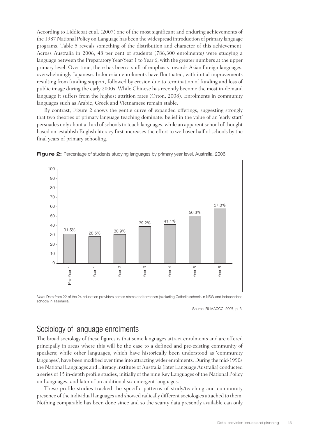According to Liddicoat et al. (2007) one of the most significant and enduring achievements of the 1987 National Policy on Language has been the widespread introduction of primary language programs. Table 5 reveals something of the distribution and character of this achievement. Across Australia in 2006, 48 per cent of students (786,300 enrolments) were studying a language between the Preparatory Year/Year 1 to Year 6, with the greater numbers at the upper primary level. Over time, there has been a shift of emphasis towards Asian foreign languages, overwhelmingly Japanese. Indonesian enrolments have fluctuated, with initial improvements resulting from funding support, followed by erosion due to termination of funding and loss of public image during the early 2000s. While Chinese has recently become the most in-demand language it suffers from the highest attrition rates (Orton, 2008). Enrolments in community languages such as Arabic, Greek and Vietnamese remain stable.

By contrast, Figure 2 shows the gentle curve of expanded offerings, suggesting strongly that two theories of primary language teaching dominate: belief in the value of an 'early start' persuades only about a third of schools to teach languages, while an apparent school of thought based on 'establish English literacy first' increases the effort to well over half of schools by the final years of primary schooling.



**Figure 2:** Percentage of students studying languages by primary year level, Australia, 2006

*Note:* Data from 22 of the 24 education providers across states and territories (excluding Catholic schools in NSW and independent schools in Tasmania).

Source: RUMACCC, 2007, p. 3.

#### Sociology of language enrolments

The broad sociology of these figures is that some languages attract enrolments and are offered principally in areas where this will be the case to a defined and pre-existing community of speakers; while other languages, which have historically been understood as 'community languages', have been modified over time into attracting wider enrolments. During the mid-1990s the National Languages and Literacy Institute of Australia (later Language Australia) conducted a series of 15 in-depth profile studies, initially of the nine Key Languages of the National Policy on Languages, and later of an additional six emergent languages.

These profile studies tracked the specific patterns of study/teaching and community presence of the individual languages and showed radically different sociologies attached to them. Nothing comparable has been done since and so the scanty data presently available can only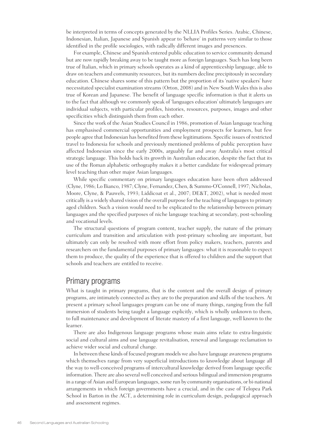be interpreted in terms of concepts generated by the NLLIA Profiles Series. Arabic, Chinese, Indonesian, Italian, Japanese and Spanish appear to 'behave' in patterns very similar to those identified in the profile sociologies, with radically different images and presences.

For example, Chinese and Spanish entered public education to service community demand but are now rapidly breaking away to be taught more as foreign languages. Such has long been true of Italian, which in primary schools operates as a kind of apprenticeship language, able to draw on teachers and community resources, but its numbers decline precipitously in secondary education. Chinese shares some of this pattern but the proportion of its 'native speakers' have necessitated specialist examination streams (Orton, 2008) and in New South Wales this is also true of Korean and Japanese. The benefit of language specific information is that it alerts us to the fact that although we commonly speak of 'languages education' ultimately languages are individual subjects, with particular profiles, histories, resources, purposes, images and other specificities which distinguish them from each other.

Since the work of the Asian Studies Council in 1986, promotion of Asian language teaching has emphasised commercial opportunities and employment prospects for learners, but few people agree that Indonesian has benefited from these legitimations. Specific issues of restricted travel to Indonesia for schools and previously mentioned problems of public perception have affected Indonesian since the early 2000s, arguably far and away Australia's most critical strategic language. This holds back its growth in Australian education, despite the fact that its use of the Roman alphabetic orthography makes it a better candidate for widespread primary level teaching than other major Asian languages.

While specific commentary on primary languages education have been often addressed (Clyne, 1986; Lo Bianco, 1987; Clyne, Fernandez, Chen, & Summo-O'Connell, 1997; Nicholas, Moore, Clyne, & Pauwels, 1993; Liddicoat et al., 2007; DE&T, 2002), what is needed most critically is a widely shared vision of the overall purpose for the teaching of languages to primary aged children. Such a vision would need to be explicated to the relationship between primary languages and the specified purposes of niche language teaching at secondary, post-schooling and vocational levels.

The structural questions of program content, teacher supply, the nature of the primary curriculum and transition and articulation with post-primary schooling are important, but ultimately can only be resolved with more effort from policy makers, teachers, parents and researchers on the fundamental purposes of primary languages: what it is reasonable to expect them to produce, the quality of the experience that is offered to children and the support that schools and teachers are entitled to receive.

#### Primary programs

What is taught in primary programs, that is the content and the overall design of primary programs, are intimately connected as they are to the preparation and skills of the teachers. At present a primary school languages program can be one of many things, ranging from the full immersion of students being taught a language explicitly, which is wholly unknown to them, to full maintenance and development of literate mastery of a first language, well known to the learner.

There are also Indigenous language programs whose main aims relate to extra-linguistic social and cultural aims and use language revitalisation, renewal and language reclamation to achieve wider social and cultural change.

In between these kinds of focused program models we also have language awareness programs which themselves range from very superficial introductions to knowledge about language all the way to well-conceived programs of intercultural knowledge derived from language specific information. There are also several well conceived and serious bilingual and immersion programs in a range of Asian and European languages, some run by community organisations, or bi-national arrangements in which foreign governments have a crucial, and in the case of Telopea Park School in Barton in the ACT, a determining role in curriculum design, pedagogical approach and assessment regimes.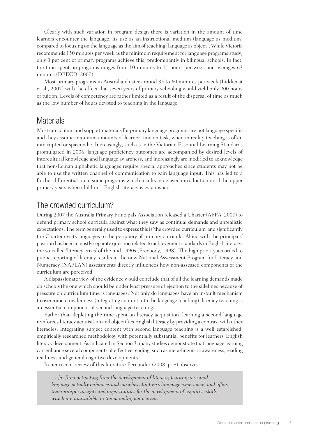Clearly with such variation in program design there is variation in the amount of time learners encounter the language, its use as an instructional medium (language as medium) compared to focusing on the language as the aim of teaching (language as object). While Victoria recommends 150 minutes per week as the minimum requirement for language programs study, only 3 per cent of primary programs achieve this, predominantly in bilingual schools. In fact, the time spent on programs ranges from 10 minutes to 11 hours per week and averages 63 minutes (DEECD, 2007).

Most primary programs in Australia cluster around 35 to 60 minutes per week (Liddicoat et al., 2007) with the effect that seven years of primary schooling would yield only 200 hours of tuition. Levels of competency are rather limited as a result of the dispersal of time as much as the low number of hours devoted to teaching in the language.

#### Materials

Most curriculum and support materials for primary language programs are not language specific and they assume minimum amounts of learner time on task, when in reality teaching is often interrupted or spasmodic. Increasingly, such as in the Victorian Essential Learning Standards promulgated in 2006, language proficiency outcomes are accompanied by desired levels of intercultural knowledge and language awareness, and increasingly are modified to acknowledge that non-Roman alphabetic languages require special approaches since students may not be able to use the written channel of communication to gain language input. This has led to a further differentiation in some programs which results in delayed introduction until the upper primary years when children's English literacy is established.

### The crowded curriculum?

During 2007 the Australia Primary Principals Association released a Charter (APPA, 2007) to defend primary school curricula against what they saw as continual demands and unrealistic expectations. The term generally used to express this is 'the crowded curriculum' and significantly the Charter evicts languages to the periphery of primary curricula. Allied with the principals' position has been a mostly separate question related to achievement standards in English literacy, the so-called 'literacy crisis' of the mid-1990s (Freebody, 1998). The high priority accorded to public reporting of literacy results in the new National Assessment Program for Literacy and Numeracy (NAPLAN) assessments directly influences how non-assessed components of the curriculum are perceived.

A dispassionate view of the evidence would conclude that of all the learning demands made on schools the one which should be under least pressure of ejection to the sidelines because of pressure on curriculum time is languages. Not only do languages have an in-built mechanism to overcome crowdedness (integrating content into the language teaching), literacy teaching is an essential component of second language teaching.

Rather than depleting the time spent on literacy acquisition, learning a second language reinforces literacy acquisition and objectifies English literacy by providing a contrast with other literacies. Integrating subject content with second language teaching is a well established, empirically researched methodology with potentially substantial benefits for learners' English literacy development. As indicated in Section 3, many studies demonstrate that language learning can enhance several components of effective reading, such as meta-linguistic awareness, reading readiness and general cognitive developments.

In her recent review of this literature Fernandez (2008, p. 8) observes:

*… far from detracting from the development of literacy, learning a second language actually enhances and enriches children's language experience, and offers them unique insights and opportunities for the development of cognitive skills which are unavailable to the monolingual learner.*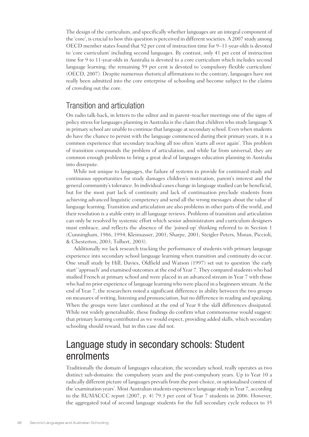The design of the curriculum, and specifically whether languages are an integral component of the 'core', is crucial to how this question is perceived in different societies. A 2007 study among OECD member states found that 92 per cent of instruction time for 9–11-year-olds is devoted to 'core curriculum' including second languages. By contrast, only 41 per cent of instruction time for 9 to 11-year-olds in Australia is devoted to a core curriculum which includes second language learning; the remaining 59 per cent is devoted to 'compulsory flexible curriculum' (OECD, 2007). Despite numerous rhetorical affirmations to the contrary, languages have not really been admitted into the core enterprise of schooling and become subject to the claims of crowding out the core.

#### Transition and articulation

On radio talk-back, in letters to the editor and in parent–teacher meetings one of the signs of policy stress for languages planning in Australia is the claim that children who study language X in primary school are unable to continue that language at secondary school. Even when students do have the chance to persist with the language commenced during their primary years, it is a common experience that secondary teaching all too often 'starts all over again'. This problem of transition compounds the problem of articulation, and while far from universal, they are common enough problems to bring a great deal of languages education planning in Australia into disrepute.

While not unique to languages, the failure of systems to provide for continued study and continuous opportunities for study damages children's motivation, parent's interest and the general community's tolerance. In individual cases change in language studied can be beneficial, but for the most part lack of continuity and lack of continuation preclude students from achieving advanced linguistic competency and send all the wrong messages about the value of language learning. Transition and articulation are also problems in other parts of the world, and their resolution is a stable entry in all language reviews. Problems of transition and articulation can only be resolved by systemic effort which senior administrators and curriculum designers must embrace, and reflects the absence of the 'joined-up' thinking referred to in Section 1 (Cunningham, 1986, 1994; Kleinsasser, 2001; Sharpe, 2001; Steigler-Peters, Moran, Piccioli, & Chesterton, 2003; Tolbert, 2003).

Additionally we lack research tracking the performance of students with primary language experience into secondary school language learning when transition and continuity do occur. One small study by Hill, Davies, Oldfield and Watson (1997) set out to question 'the early start' 'approach' and examined outcomes at the end of Year 7. They compared students who had studied French at primary school and were placed in an advanced stream in Year 7 with those who had no prior experience of language learning who were placed in a beginners stream. At the end of Year 7, the researchers noted a significant difference in ability between the two groups on measures of writing, listening and pronunciation, but no difference in reading and speaking. When the groups were later combined at the end of Year 8 the skill differences dissipated. While not widely generalisable, these findings do confirm what commonsense would suggest: that primary learning contributed as we would expect, providing added skills, which secondary schooling should reward, but in this case did not.

# Language study in secondary schools: Student enrolments

Traditionally the domain of languages education, the secondary school, really operates as two distinct sub-domains: the compulsory years and the post-compulsory years. Up to Year 10 a radically different picture of languages prevails from the post-choice, or optionalised context of the 'examination years'. Most Australian students experience language study in Year 7, according to the RUMACCC report (2007, p. 4) 79.3 per cent of Year 7 students in 2006. However, the aggregated total of second language students for the full secondary cycle reduces to 35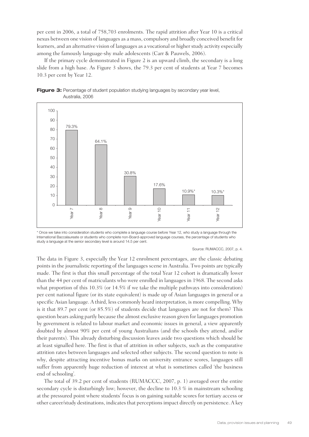per cent in 2006, a total of 758,703 enrolments. The rapid attrition after Year 10 is a critical nexus between one vision of languages as a mass, compulsory and broadly conceived benefit for learners, and an alternative vision of languages as a vocational or higher study activity especially among the famously language-shy male adolescents (Carr & Pauwels, 2006).

If the primary cycle demonstrated in Figure 2 is an upward climb, the secondary is a long slide from a high base. As Figure 3 shows, the 79.3 per cent of students at Year 7 becomes 10.3 per cent by Year 12.





\* Once we take into consideration students who complete a language course before Year 12, who study a language through the International Baccalaureate or students who complete non-Board-approved language courses, the percentage of students who study a language at the senior secondary level is around 14.5 per cent.

#### Source: RUMACCC, 2007, p. 4.

The data in Figure 3, especially the Year 12 enrolment percentages, are the classic debating points in the journalistic reporting of the languages scene in Australia. Two points are typically made. The first is that this small percentage of the total Year 12 cohort is dramatically lower than the 44 per cent of matriculants who were enrolled in languages in 1968. The second asks what proportion of this 10.3% (or 14.5% if we take the multiple pathways into consideration) per cent national figure (or its state equivalent) is made up of Asian languages in general or a specific Asian language. A third, less commonly heard interpretation, is more compelling. Why is it that 89.7 per cent (or 85.5%) of students decide that languages are not for them? This question bears asking partly because the almost exclusive reason given for languages promotion by government is related to labour market and economic issues in general, a view apparently doubted by almost 90% per cent of young Australians (and the schools they attend, and/or their parents). This already disturbing discussion leaves aside two questions which should be at least signalled here. The first is that of attrition in other subjects, such as the comparative attrition rates between languages and selected other subjects. The second question to note is why, despite attracting incentive bonus marks on university entrance scores, languages still suffer from apparently huge reduction of interest at what is sometimes called 'the business end of schooling'.

The total of 39.2 per cent of students (RUMACCC, 2007, p. 1) averaged over the entire secondary cycle is disturbingly low; however, the decline to 10.3 % in mainstream schooling at the pressured point where students' focus is on gaining suitable scores for tertiary access or other career/study destinations, indicates that perceptions impact directly on persistence. A key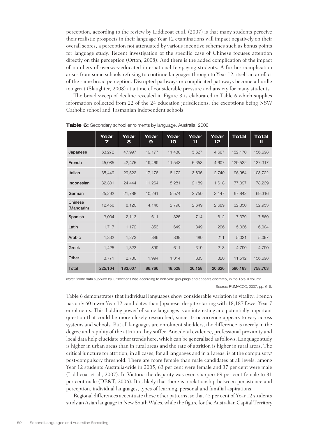perception, according to the review by Liddicoat et al. (2007) is that many students perceive their realistic prospects in their language Year 12 examinations will impact negatively on their overall scores, a perception not attenuated by various incentive schemes such as bonus points for language study. Recent investigation of the specific case of Chinese focuses attention directly on this perception (Orton, 2008). And there is the added complication of the impact of numbers of overseas-educated international fee-paying students. A further complication arises from some schools refusing to continue languages through to Year 12, itself an artefact of the same broad perception. Disrupted pathways or complicated pathways become a hurdle too great (Slaughter, 2008) at a time of considerable pressure and anxiety for many students.

The broad sweep of decline revealed in Figure 3 is elaborated in Table 6 which supplies information collected from 22 of the 24 education jurisdictions, the exceptions being NSW Catholic school and Tasmanian independent schools.

|                       | Year<br>7 | Year<br>8 | Year<br>9 | Year<br>10 | Year<br>11 | Year<br>12 | <b>Total</b> | <b>Total</b><br>Ш |
|-----------------------|-----------|-----------|-----------|------------|------------|------------|--------------|-------------------|
| Japanese              | 63,272    | 47,997    | 19,177    | 11,430     | 5,627      | 4,667      | 152,170      | 156,698           |
| French                | 45.085    | 42.475    | 19.469    | 11,543     | 6.353      | 4,607      | 129,532      | 137,317           |
| Italian               | 35,449    | 29,522    | 17,176    | 8,172      | 3,895      | 2,740      | 96,954       | 103,722           |
| Indonesian            | 32,301    | 24,444    | 11,264    | 5,281      | 2,189      | 1,618      | 77,097       | 78,239            |
| German                | 25,292    | 21,788    | 10,291    | 5,574      | 2,750      | 2,147      | 67,842       | 69,316            |
| Chinese<br>(Mandarin) | 12,456    | 8,120     | 4,146     | 2,790      | 2,649      | 2,689      | 32,850       | 32,953            |
| Spanish               | 3,004     | 2,113     | 611       | 325        | 714        | 612        | 7,379        | 7,869             |
| Latin                 | 1,717     | 1,172     | 853       | 649        | 349        | 296        | 5,036        | 6.004             |
| Arabic                | 1,332     | 1,273     | 886       | 839        | 480        | 211        | 5,021        | 5,097             |
| Greek                 | 1,425     | 1,323     | 899       | 611        | 319        | 213        | 4,790        | 4,790             |
| Other                 | 3,771     | 2,780     | 1,994     | 1,314      | 833        | 820        | 11,512       | 156,698           |
| <b>Total</b>          | 225,104   | 183,007   | 86,766    | 48,528     | 26,158     | 20,620     | 590,183      | 758,703           |

**Table 6:** Secondary school enrolments by language, Australia, 2006

*Note:* Some data supplied by jurisdictions was according to non-year groupings and appears discretely, in the Total II column.

Source: RUMACCC, 2007, pp. 6–9.

Table 6 demonstrates that individual languages show considerable variation in vitality. French has only 60 fewer Year 12 candidates than Japanese, despite starting with 18,187 fewer Year 7 enrolments. This 'holding power' of some languages is an interesting and potentially important question that could be more closely researched, since its occurrence appears to vary across systems and schools. But all languages are enrolment shedders, the difference is merely in the degree and rapidity of the attrition they suffer. Anecdotal evidence, professional proximity and local data help elucidate other trends here, which can be generalised as follows. Language study is higher in urban areas than in rural areas and the rate of attrition is higher in rural areas. The critical juncture for attrition, in all cases, for all languages and in all areas, is at the compulsory/ post-compulsory threshold. There are more female than male candidates at all levels: among Year 12 students Australia-wide in 2005, 63 per cent were female and 37 per cent were male (Liddicoat et al., 2007). In Victoria the disparity was even sharper: 69 per cent female to 31 per cent male (DE&T, 2006). It is likely that there is a relationship between persistence and perception, individual languages, types of learning, personal and familial aspirations.

Regional differences accentuate these other patterns, so that 43 per cent of Year 12 students study an Asian language in New South Wales, while the figure for the Australian Capital Territory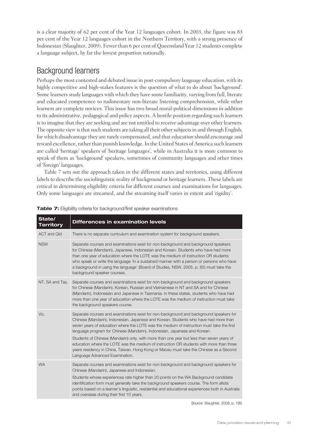is a clear majority of 62 per cent of the Year 12 languages cohort. In 2003, the figure was 83 per cent of the Year 12 languages cohort in the Northern Territory, with a strong presence of Indonesian (Slaughter, 2009). Fewer than 6 per cent of Queensland Year 12 students complete a language subject, by far the lowest proportion nationally.

#### Background learners

Perhaps the most contested and debated issue in post-compulsory language education, with its highly competitive and high-stakes features is the question of what to do about 'background'. Some learners study languages with which they have some familiarity, varying from full, literate and educated competence to rudimentary non-literate listening comprehension, while other learners are complete novices. This issue has two broad moral-political dimensions in addition to its administrative, pedagogical and policy aspects. A hostile position regarding such learners is to imagine that they are seeking and are not entitled to receive advantage over other learners. The opposite view is that such students are taking all their other subjects in and through English, for which disadvantage they are rarely compensated, and that education should encourage and reward excellence, rather than punish knowledge. In the United States of America such learners are called 'heritage' speakers of 'heritage languages', while in Australia it is more common to speak of them as 'background' speakers, sometimes of community languages and other times of 'foreign' languages.

Table 7 sets out the approach taken in the different states and territories, using different labels to describe the sociolinguistic reality of background or heritage learners. These labels are critical in determining eligibility criteria for different courses and examinations for languages. Only some languages are streamed, and the streaming itself varies in extent and 'rigidity'.

| State/<br><b>Territory</b> | <b>Differences in examination levels</b>                                                                                                                                                                                                                                                                                                                                                                                                                                                                                                                                                                                                                                     |
|----------------------------|------------------------------------------------------------------------------------------------------------------------------------------------------------------------------------------------------------------------------------------------------------------------------------------------------------------------------------------------------------------------------------------------------------------------------------------------------------------------------------------------------------------------------------------------------------------------------------------------------------------------------------------------------------------------------|
| <b>ACT and Qld</b>         | There is no separate curriculum and examination system for background speakers.                                                                                                                                                                                                                                                                                                                                                                                                                                                                                                                                                                                              |
| <b>NSW</b>                 | Separate courses and examinations exist for non-background and background speakers<br>for Chinese (Mandarin), Japanese, Indonesian and Korean. Students who have had more<br>than one year of education where the LOTE was the medium of instruction OR students<br>who speak or write the language 'in a sustained manner with a person or persons who have<br>a background in using the language' (Board of Studies, NSW, 2005, p. 85) must take the<br>background speaker courses.                                                                                                                                                                                        |
| NT, SA and Tas.            | Separate courses and examinations exist for non-background and background speakers<br>for Chinese (Mandarin), Korean, Russian and Vietnamese in NT and SA and for Chinese<br>(Mandarin), Indonesian and Japanese in Tasmania. In these states, students who have had<br>more than one year of education where the LOTE was the medium of instruction must take<br>the background speakers course.                                                                                                                                                                                                                                                                            |
| Vic.                       | Separate courses and examinations exist for non-background and background speakers for<br>Chinese (Mandarin), Indonesian, Japanese and Korean. Students who have had more than<br>seven years of education where the LOTE was the medium of instruction must take the first<br>language program for Chinese (Mandarin), Indonesian, Japanese and Korean.<br>Students of Chinese (Mandarin) only, with more than one year but less than seven years of<br>education where the LOTE was the medium of instruction OR students with more than three<br>years residency in China, Taiwan, Hong Kong or Macau must take the Chinese as a Second<br>Language Advanced Examination. |
| <b>WA</b>                  | Separate courses and examinations exist for non-background and background speakers for<br>Chinese (Mandarin), Japanese and Indonesian.<br>Students whose experiences rate higher than 20 points on the WA Background candidate<br>identification form must generally take the background speakers course. The form allots<br>points based on a learner's linguistic, residential and educational experiences both in Australia<br>and overseas during their first 10 years.                                                                                                                                                                                                  |

**Table 7:** Eligibility criteria for background/first speaker examinations

Source: Slaughter, 2008, p. 199.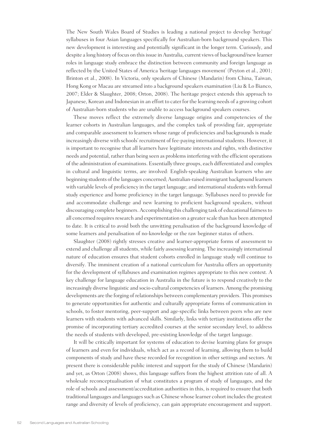The New South Wales Board of Studies is leading a national project to develop 'heritage' syllabuses in four Asian languages specifically for Australian-born background speakers. This new development is interesting and potentially significant in the longer term. Curiously, and despite a long history of focus on this issue in Australia, current views of background/new learner roles in language study embrace the distinction between community and foreign language as reflected by the United States of America 'heritage languages movement' (Peyton et al., 2001; Brinton et al., 2008). In Victoria, only speakers of Chinese (Mandarin) from China, Taiwan, Hong Kong or Macau are streamed into a background speakers examination (Liu & Lo Bianco, 2007; Elder & Slaughter, 2008; Orton, 2008). The heritage project extends this approach to Japanese, Korean and Indonesian in an effort to cater for the learning needs of a growing cohort of Australian-born students who are unable to access background speakers courses.

These moves reflect the extremely diverse language origins and competencies of the learner cohorts in Australian languages, and the complex task of providing fair, appropriate and comparable assessment to learners whose range of proficiencies and backgrounds is made increasingly diverse with schools' recruitment of fee-paying international students. However, it is important to recognise that all learners have legitimate interests and rights, with distinctive needs and potential, rather than being seen as problems interfering with the efficient operations of the administration of examinations. Essentially three groups, each differentiated and complex in cultural and linguistic terms, are involved: English-speaking Australian learners who are beginning students of the languages concerned; Australian-raised immigrant background learners with variable levels of proficiency in the target language; and international students with formal study experience and home proficiency in the target language. Syllabuses need to provide for and accommodate challenge and new learning to proficient background speakers, without discouraging complete beginners. Accomplishing this challenging task of educational fairness to all concerned requires research and experimentation on a greater scale than has been attempted to date. It is critical to avoid both the unwitting penalisation of the background knowledge of some learners and penalisation of no-knowledge or the raw beginner status of others.

Slaughter (2008) rightly stresses creative and learner-appropriate forms of assessment to extend and challenge all students, while fairly assessing learning. The increasingly international nature of education ensures that student cohorts enrolled in language study will continue to diversify. The imminent creation of a national curriculum for Australia offers an opportunity for the development of syllabuses and examination regimes appropriate to this new context. A key challenge for language education in Australia in the future is to respond creatively to the increasingly diverse linguistic and socio-cultural competencies of learners. Among the promising developments are the forging of relationships between complementary providers. This promises to generate opportunities for authentic and culturally appropriate forms of communication in schools, to foster mentoring, peer-support and age-specific links between peers who are new learners with students with advanced skills. Similarly, links with tertiary institutions offer the promise of incorporating tertiary accredited courses at the senior secondary level, to address the needs of students with developed, pre-existing knowledge of the target language.

It will be critically important for systems of education to devise learning plans for groups of learners and even for individuals, which act as a record of learning, allowing them to build components of study and have these recorded for recognition in other settings and sectors. At present there is considerable public interest and support for the study of Chinese (Mandarin) and yet, as Orton (2008) shows, this language suffers from the highest attrition rate of all. A wholesale reconceptualisation of what constitutes a program of study of languages, and the role of schools and assessment/accreditation authorities in this, is required to ensure that both traditional languages and languages such as Chinese whose learner cohort includes the greatest range and diversity of levels of proficiency, can gain appropriate encouragement and support.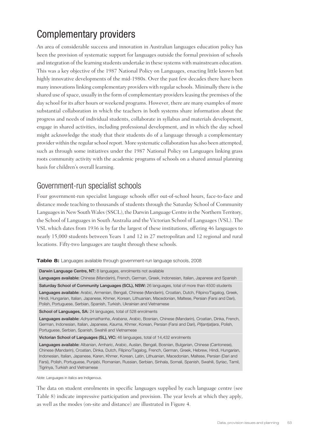# Complementary providers

An area of considerable success and innovation in Australian languages education policy has been the provision of systematic support for languages outside the formal provision of schools and integration of the learning students undertake in these systems with mainstream education. This was a key objective of the 1987 National Policy on Languages, enacting little known but highly innovative developments of the mid-1980s. Over the past few decades there have been many innovations linking complementary providers with regular schools. Minimally there is the shared use of space, usually in the form of complementary providers leasing the premises of the day school for its after hours or weekend programs. However, there are many examples of more substantial collaboration in which the teachers in both systems share information about the progress and needs of individual students, collaborate in syllabus and materials development, engage in shared activities, including professional development, and in which the day school might acknowledge the study that their students do of a language through a complementary provider within the regular school report. More systematic collaboration has also been attempted, such as through some initiatives under the 1987 National Policy on Languages linking grass roots community activity with the academic programs of schools on a shared annual planning basis for children's overall learning.

## Government-run specialist schools

Four government-run specialist language schools offer out-of-school hours, face-to-face and distance mode teaching to thousands of students through the Saturday School of Community Languages in New South Wales (SSCL), the Darwin Language Centre in the Northern Territory, the School of Languages in South Australia and the Victorian School of Languages (VSL). The VSL which dates from 1936 is by far the largest of these institutions, offering 46 languages to nearly 15,000 students between Years 1 and 12 in 27 metropolitan and 12 regional and rural locations. Fifty-two languages are taught through these schools.

**Table 8:** Languages available through government-run language schools, 2008

Darwin Language Centre, NT: 8 languages, enrolments not available

Languages available: Chinese (Mandarin), French, German, Greek, Indonesian, Italian, Japanese and Spanish

Saturday School of Community Languages (SCL), NSW: 26 languages, total of more than 4500 students Languages available: Arabic, Armenian, Bengali, Chinese (Mandarin), Croatian, Dutch, Filipino/Tagalog, Greek, Hindi, Hungarian, Italian, Japanese, Khmer, Korean, Lithuanian, Macedonian, Maltese, Persian (Farsi and Dari), Polish, Portuguese, Serbian, Spanish, Turkish, Ukrainian and Vietnamese

School of Languages, SA: 24 languages, total of 528 enrolments

Languages available: *Adnyamathanha*, *Arabana*, Arabic, Bosnian, Chinese (Mandarin), Croatian, Dinka, French, German, Indonesian, Italian, Japanese, *Kaurna*, Khmer, Korean, Persian (Farsi and Dari), *Pitjantjatjara*, Polish, Portuguese, Serbian, Spanish, Swahili and Vietnamese

Victorian School of Languages (SL), VIC: 46 languages, total of 14,432 enrolments

Languages available: Albanian, Amharic, Arabic, Auslan, Bengali, Bosnian, Bulgarian, Chinese (Cantonese), Chinese (Mandarin), Croatian, Dinka, Dutch, Filipino/Tagalog, French, German, Greek, Hebrew, Hindi, Hungarian, Indonesian, Italian, Japanese, Karen, Khmer, Korean, Latin, Lithuanian, Macedonian, Maltese, Persian (Dari and Farsi), Polish, Portuguese, Punjabi, Romanian, Russian, Serbian, Sinhala, Somali, Spanish, Swahili, Syriac, Tamil, Tigrinya, Turkish and Vietnamese

*Note*: Languages in italics are Indigenous.

The data on student enrolments in specific languages supplied by each language centre (see Table 8) indicate impressive participation and provision. The year levels at which they apply, as well as the modes (on-site and distance) are illustrated in Figure 4.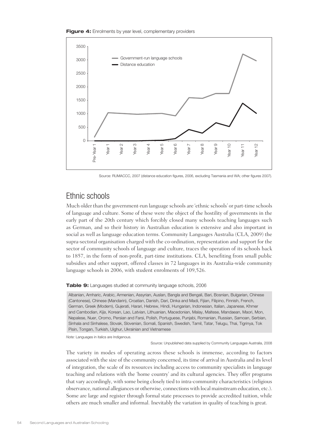



Source: RUMACCC, 2007 (distance education figures, 2006, excluding Tasmania and WA; other figures 2007).

#### Ethnic schools

Much older than the government-run language schools are 'ethnic schools' or part-time schools of language and culture. Some of these were the object of the hostility of governments in the early part of the 20th century which forcibly closed many schools teaching languages such as German, and so their history in Australian education is extensive and also important in social as well as language education terms. Community Languages Australia (CLA, 2009) the supra-sectoral organisation charged with the co-ordination, representation and support for the sector of community schools of language and culture, traces the operation of its schools back to 1857, in the form of non-profit, part-time institutions. CLA, benefiting from small public subsidies and other support, offered classes in 72 languages in its Australia-wide community language schools in 2006, with student enrolments of 109,526.

#### **Table 9:** Languages studied at community language schools, 2006

Albanian, Amharic, Arabic, Armenian, Assyrian, Auslan, Bangla and Bengali, Bari, Bosnian, Bulgarian, Chinese (Cantonese), Chinese (Mandarin), Croatian, Danish, Dari, Dinka and Madi, Fijian, Filipino, Finnish, French, German, Greek (Modern), Gujerati, Harari, Hebrew, Hindi, Hungarian, Indonesian, Italian, Japanese, Khmer and Cambodian, *Kija*, Korean, Lao, Latvian, Lithuanian, Macedonian, Malay, Maltese, Mandaean, Maori, Mon, Nepalese, Nuer, Oromo, Persian and Farsi, Polish, Portuguese, Punjabi, Romanian, Russian, Samoan, Serbian, Sinhala and Sinhalese, Slovak, Slovenian, Somali, Spanish, Swedish, Tamil, Tatar, Telugu, Thai, Tigrinya, Tok Pisin, Tongan, Turkish, Uighur, Ukrainian and Vietnamese

*Note:* Languages in italics are Indigenous.

Source: Unpublished data supplied by Community Languages Australia, 2008

The variety in modes of operating across these schools is immense, according to factors associated with the size of the community concerned, its time of arrival in Australia and its level of integration, the scale of its resources including access to community specialists in language teaching and relations with the 'home country' and its cultural agencies. They offer programs that vary accordingly, with some being closely tied to intra-community characteristics (religious observance, national allegiances or otherwise, connections with local mainstream education, etc.). Some are large and register through formal state processes to provide accredited tuition, while others are much smaller and informal. Inevitably the variation in quality of teaching is great.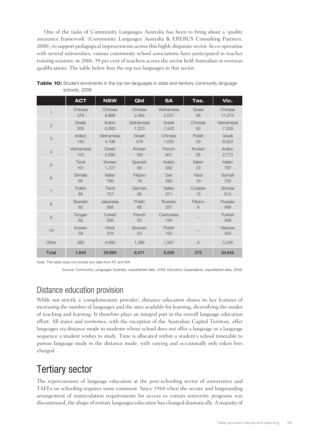One of the tasks of Community Languages Australia has been to bring about a 'quality assurance framework' (Community Languages Australia & EREBUS Consulting Partners, 2008), to support pedagogical improvements across this highly disparate sector. In co-operation with several universities, various community school associations have participated in teacher training sessions; in 2006, 59 per cent of teachers across the sector held Australian or overseas qualifications. The table below lists the top ten languages in this sector.

|                | <b>ACT</b>   | <b>NSW</b>     | Qld                  | <b>SA</b>        | Tas.           | Vic.           |
|----------------|--------------|----------------|----------------------|------------------|----------------|----------------|
| 1              | Chinese      | Chinese        | Chinese              | Vietnamese       | Greek          | Chinese        |
|                | 378          | 8,868          | 2,464                | 2,021            | 99             | 11,274         |
| $\overline{2}$ | Greek        | Arabic         | Vietnamese           | Greek            | Chinese        | Vietnamese     |
|                | 200          | 5,583          | 1,223                | 1,543            | 50             | 7,339          |
| 3              | Arabic       | Vietnamese     | Greek                | Chinese          | Polish         | Greek          |
|                | 140          | 4,196          | 478                  | 1,052            | 33             | 6,523          |
| $\overline{4}$ | Vietnamese   | Greek          | Korean               | French           | Korean         | Arabic         |
|                | 103          | 2,590          | 160                  | 601              | 26             | 2,773          |
| 5              | Tamil        | Korean         | Spanish              | Arabic           | Italian        | Italian        |
|                | 101          | 1,727          | 69                   | 582              | 23             | 797            |
| 6              | Sinhala      | Italian        | Filipino             | Dari             | Farsi          | Somali         |
|                | 90           | 766            | 78                   | 293              | 19             | 700            |
| $\overline{7}$ | Polish       | Tamil          | German               | Italian          | Croatian       | Sinhala        |
|                | 65           | 757            | 66                   | 271              | 13             | 613            |
| 8              | Spanish      | Japanese       | Polish               | Russian          | Filipino       | Russian        |
|                | 65           | 568            | 66                   | 257              | 9              | 489            |
| 9              | Tongan<br>62 | Turkish<br>556 | French<br>50         | Cantonese<br>164 |                | Turkish<br>459 |
| 10             | Korean<br>59 | Hindi<br>318   | <b>Bosnian</b><br>53 | Polish<br>155    |                | Hebrew<br>433  |
| Other          | 382          | 4,060          | 1,385                | 1,587            | $\overline{O}$ | 3,245          |
| <b>Total</b>   | 1,645        | 29,989         | 6.071                | 8,526            | 272            | 34,645         |

**Table 10:** Student enrolments in the top ten languages in state and territory community language schools, 2006

*Note:* This table does not include any data from NT and WA.

Source: Community Languages Australia, unpublished data, 2008; Education Queensland, unpublished data, 2008.

## Distance education provision

While not strictly a 'complementary provider', distance education shares its key features of increasing the number of languages and the sites available for learning, diversifying the modes of teaching and learning. It therefore plays an integral part in the overall language education effort. All states and territories, with the exception of the Australian Capital Territory, offer languages via distance mode to students whose school does not offer a language or a language sequence a student wishes to study. Time is allocated within a student's school timetable to pursue language study in the distance mode, with varying and occasionally only token fees charged.

# Tertiary sector

The repercussions of language education at the post-schooling sector of universities and TAFEs on schooling requires some comment. Since 1968 when the secure and longstanding arrangement of matriculation requirements for access to certain university programs was discontinued, the shape of tertiary languages education has changed dramatically. A majority of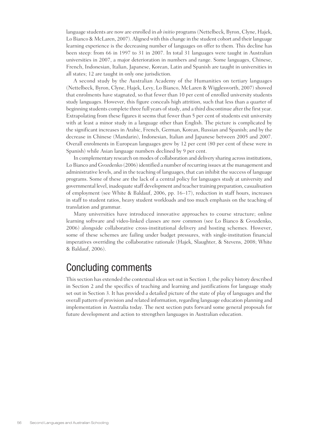language students are now are enrolled in *ab initio* programs (Nettelbeck, Byron, Clyne, Hajek, Lo Bianco & McLaren, 2007). Aligned with this change in the student cohort and their language learning experience is the decreasing number of languages on offer to them. This decline has been steep: from 66 in 1997 to 31 in 2007. In total 31 languages were taught in Australian universities in 2007, a major deterioration in numbers and range. Some languages, Chinese, French, Indonesian, Italian, Japanese, Korean, Latin and Spanish are taught in universities in all states; 12 are taught in only one jurisdiction.

A second study by the Australian Academy of the Humanities on tertiary languages (Nettelbeck, Byron, Clyne, Hajek, Levy, Lo Bianco, McLaren & Wigglesworth, 2007) showed that enrolments have stagnated, so that fewer than 10 per cent of enrolled university students study languages. However, this figure conceals high attrition, such that less than a quarter of beginning students complete three full years of study, and a third discontinue after the first year. Extrapolating from these figures it seems that fewer than 5 per cent of students exit university with at least a minor study in a language other than English. The picture is complicated by the significant increases in Arabic, French, German, Korean, Russian and Spanish; and by the decrease in Chinese (Mandarin), Indonesian, Italian and Japanese between 2005 and 2007. Overall enrolments in European languages grew by 12 per cent (80 per cent of these were in Spanish) while Asian language numbers declined by 9 per cent.

In complementary research on modes of collaboration and delivery sharing across institutions, Lo Bianco and Gvozdenko (2006) identified a number of recurring issues at the management and administrative levels, and in the teaching of languages, that can inhibit the success of language programs. Some of these are the lack of a central policy for languages study at university and governmental level, inadequate staff development and teacher training preparation, casualisation of employment (see White & Baldauf, 2006, pp. 16–17), reduction in staff hours, increases in staff to student ratios, heavy student workloads and too much emphasis on the teaching of translation and grammar.

Many universities have introduced innovative approaches to course structure; online learning software and video-linked classes are now common (see Lo Bianco & Gvozdenko, 2006) alongside collaborative cross-institutional delivery and hosting schemes. However, some of these schemes are failing under budget pressures, with single-institution financial imperatives overriding the collaborative rationale (Hajek, Slaughter, & Stevens, 2008; White & Baldauf, 2006).

# Concluding comments

This section has extended the contextual ideas set out in Section 1, the policy history described in Section 2 and the specifics of teaching and learning and justifications for language study set out in Section 3. It has provided a detailed picture of the state of play of languages and the overall pattern of provision and related information, regarding language education planning and implementation in Australia today. The next section puts forward some general proposals for future development and action to strengthen languages in Australian education.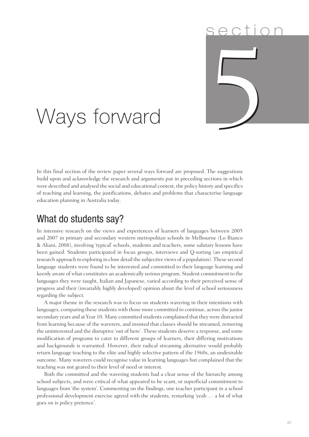# s e ction 5

# Ways forward

In this final section of the review paper several ways forward are proposed. The suggestions build upon and acknowledge the research and arguments put in preceding sections in which were described and analysed the social and educational context, the policy history and specifics of teaching and learning, the justifications, debates and problems that characterise language education planning in Australia today.

# What do students say?

In intensive research on the views and experiences of learners of languages between 2005 and 2007 in primary and secondary western metropolitan schools in Melbourne (Lo Bianco & Aliani, 2008), involving 'typical' schools, students and teachers, some salutary lessons have been gained. Students participated in focus groups, interviews and Q-sorting (an empirical research approach to exploring in close detail the subjective views of a population). These second language students were found to be interested and committed to their language learning and keenly aware of what constitutes an academically serious program. Student commitment to the languages they were taught, Italian and Japanese, varied according to their perceived sense of progress and their (invariably highly developed) opinion about the level of school seriousness regarding the subject.

A major theme in the research was to focus on students wavering in their intentions with languages, comparing these students with those more committed to continue, across the junior secondary years and at Year 10. Many committed students complained that they were distracted from learning because of the waverers, and insisted that classes should be streamed, removing the uninterested and the disruptive 'out of here'. These students deserve a response, and some modification of programs to cater to different groups of learners, their differing motivations and backgrounds is warranted. However, their radical streaming alternative would probably return language teaching to the elite and highly selective pattern of the 1960s, an undesirable outcome. Many waverers could recognise value in learning languages but complained that the teaching was not geared to their level of need or interest.

Both the committed and the wavering students had a clear sense of the hierarchy among school subjects, and were critical of what appeared to be scant, or superficial commitment to languages from 'the system'. Commenting on the findings, one teacher participant in a school professional development exercise agreed with the students, remarking 'yeah … a lot of what goes on is policy pretence'.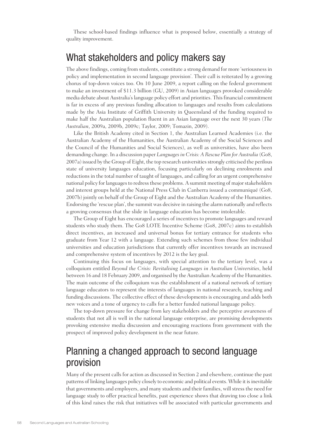These school-based findings influence what is proposed below, essentially a strategy of quality improvement.

# What stakeholders and policy makers say

The above findings, coming from students, constitute a strong demand for more 'seriousness in policy and implementation in second language provision'. Their call is reiterated by a growing chorus of top-down voices too. On 10 June 2009, a report calling on the federal government to make an investment of \$11.3 billion (GU, 2009) in Asian languages provoked considerable media debate about Australia's language policy effort and priorities. This financial commitment is far in excess of any previous funding allocation to languages and results from calculations made by the Asia Institute of Griffith University in Queensland of the funding required to make half the Australian population fluent in an Asian language over the next 30 years (*The Australian*, 2009a, 2009b, 2009c; Taylor, 2009; Tomazin, 2009).

Like the British Academy cited in Section 1, the Australian Learned Academies (i.e. the Australian Academy of the Humanities, the Australian Academy of the Social Sciences and the Council of the Humanities and Social Sciences), as well as universities, have also been demanding change. In a discussion paper *Languages in Crisis: A Rescue Plan for Australia* (Go8, 2007a) issued by the Group of Eight, the top research universities strongly criticised the perilous state of university languages education, focusing particularly on declining enrolments and reductions in the total number of taught of languages, and calling for an urgent comprehensive national policy for languages to redress these problems. A summit meeting of major stakeholders and interest groups held at the National Press Club in Canberra issued a communiqué (Go8, 2007b) jointly on behalf of the Group of Eight and the Australian Academy of the Humanities. Endorsing the 'rescue plan', the summit was decisive in raising the alarm nationally and reflects a growing consensus that the slide in language education has become intolerable.

The Group of Eight has encouraged a series of incentives to promote languages and reward students who study them. The Go8 LOTE Incentive Scheme (Go8, 2007c) aims to establish direct incentives, an increased and universal bonus for tertiary entrance for students who graduate from Year 12 with a language. Extending such schemes from those few individual universities and education jurisdictions that currently offer incentives towards an increased and comprehensive system of incentives by 2012 is the key goal.

Continuing this focus on languages, with special attention to the tertiary level, was a colloquium entitled *Beyond the Crisis: Revitalising Languages in Australian Universities*, held between 16 and 18 February 2009, and organised by the Australian Academy of the Humanities. The main outcome of the colloquium was the establishment of a national network of tertiary language educators to represent the interests of languages in national research, teaching and funding discussions. The collective effect of these developments is encouraging and adds both new voices and a tone of urgency to calls for a better funded national language policy.

The top-down pressure for change from key stakeholders and the perceptive awareness of students that not all is well in the national language enterprise, are promising developments provoking extensive media discussion and encouraging reactions from government with the prospect of improved policy development in the near future.

# Planning a changed approach to second language provision

Many of the present calls for action as discussed in Section 2 and elsewhere, continue the past patterns of linking languages policy closely to economic and political events. While it is inevitable that governments and employers, and many students and their families, will stress the need for language study to offer practical benefits, past experience shows that drawing too close a link of this kind raises the risk that initiatives will be associated with particular governments and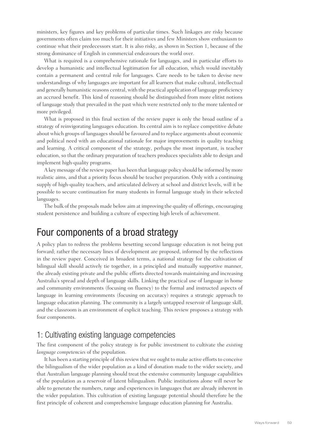ministers, key figures and key problems of particular times. Such linkages are risky because governments often claim too much for their initiatives and few Ministers show enthusiasm to continue what their predecessors start. It is also risky, as shown in Section 1, because of the strong dominance of English in commercial endeavours the world over.

What is required is a comprehensive rationale for languages, and in particular efforts to develop a humanistic and intellectual legitimation for all education, which would inevitably contain a permanent and central role for languages. Care needs to be taken to devise new understandings of why languages are important for all learners that make cultural, intellectual and generally humanistic reasons central, with the practical application of language proficiency an accrued benefit. This kind of reasoning should be distinguished from more elitist notions of language study that prevailed in the past which were restricted only to the more talented or more privileged.

What is proposed in this final section of the review paper is only the broad outline of a strategy of reinvigorating languages education. Its central aim is to replace competitive debate about which groups of languages should be favoured and to replace arguments about economic and political need with an educational rationale for major improvements in quality teaching and learning. A critical component of the strategy, perhaps the most important, is teacher education, so that the ordinary preparation of teachers produces specialists able to design and implement high-quality programs.

A key message of the review paper has been that language policy should be informed by more realistic aims, and that a priority focus should be teacher preparation. Only with a continuing supply of high-quality teachers, and articulated delivery at school and district levels, will it be possible to secure continuation for many students in formal language study in their selected languages.

The bulk of the proposals made below aim at improving the quality of offerings, encouraging student persistence and building a culture of expecting high levels of achievement.

# Four components of a broad strategy

A policy plan to redress the problems besetting second language education is not being put forward; rather the necessary lines of development are proposed, informed by the reflections in the review paper. Conceived in broadest terms, a national strategy for the cultivation of bilingual skill should actively tie together, in a principled and mutually supportive manner, the already existing private and the public efforts directed towards maintaining and increasing Australia's spread and depth of language skills. Linking the practical use of language in home and community environments (focusing on fluency) to the formal and instructed aspects of language in learning environments (focusing on accuracy) requires a strategic approach to language education planning. The community is a largely untapped reservoir of language skill, and the classroom is an environment of explicit teaching. This review proposes a strategy with four components.

#### 1: Cultivating existing language competencies

The first component of the policy strategy is for public investment to cultivate the *existing language competencies* of the population.

It has been a starting principle of this review that we ought to make active efforts to conceive the bilingualism of the wider population as a kind of donation made to the wider society, and that Australian language planning should treat the extensive community language capabilities of the population as a reservoir of latent bilingualism. Public institutions alone will never be able to generate the numbers, range and experiences in languages that are already inherent in the wider population. This cultivation of existing language potential should therefore be the first principle of coherent and comprehensive language education planning for Australia.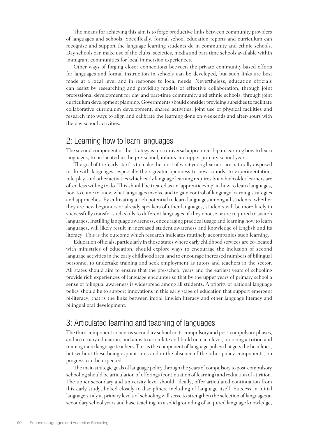The means for achieving this aim is to forge productive links between community providers of languages and schools. Specifically, formal school education reports and curriculum can recognise and support the language learning students do in community and ethnic schools. Day schools can make use of the clubs, societies, media and part-time schools available within immigrant communities for local immersion experiences.

Other ways of forging closer connections between the private community-based efforts for languages and formal instruction in schools can be developed, but such links are best made at a local level and in response to local needs. Nevertheless, education officials can assist by researching and providing models of effective collaboration, through joint professional development for day and part-time community and ethnic schools, through joint curriculum development planning. Governments should consider providing subsidies to facilitate collaborative curriculum development, shared activities, joint use of physical facilities and research into ways to align and calibrate the learning done on weekends and after-hours with the day school activities.

#### 2: Learning how to learn languages

The second component of the strategy is for a universal apprenticeship in learning how to learn languages, to be located in the pre-school, infants and upper primary school years.

The goal of the 'early start' is to make the most of what young learners are naturally disposed to do with languages, especially their greater openness to new sounds, to experimentation, role-play, and other activities which early language learning requires but which older learners are often less willing to do. This should be treated as an 'apprenticeship' in how to learn languages, how to come to know what languages involve and to gain control of language learning strategies and approaches. By cultivating a rich potential to learn languages among all students, whether they are new beginners or already speakers of other languages, students will be more likely to successfully transfer such skills to different languages, if they choose or are required to switch languages. Instilling language awareness, encouraging practical usage and learning how to learn languages, will likely result in increased student awareness and knowledge of English and its literacy. This is the outcome which research indicates routinely accompanies such learning.

Education officials, particularly in those states where early childhood services are co-located with ministries of education, should explore ways to encourage the inclusion of second language activities in the early childhood area, and to encourage increased numbers of bilingual personnel to undertake training and seek employment as tutors and teachers in the sector. All states should aim to ensure that the pre-school years and the earliest years of schooling provide rich experiences of language encounter so that by the upper years of primary school a sense of bilingual awareness is widespread among all students. A priority of national language policy should be to support innovations in this early stage of education that support emergent bi-literacy, that is the links between initial English literacy and other language literacy and bilingual oral development.

#### 3: Articulated learning and teaching of languages

The third component concerns secondary school in its compulsory and post-compulsory phases, and in tertiary education, and aims to articulate and build on each level, reducing attrition and training more language teachers. This is the component of language policy that gets the headlines, but without these being explicit aims and in the absence of the other policy components, no progress can be expected.

The main strategic goals of language policy through the years of compulsory to post-compulsory schooling should be articulation of offerings (continuation of learning) and reduction of attrition. The upper secondary and university level should, ideally, offer articulated continuation from this early study, linked closely to disciplines, including of language itself. Success in initial language study at primary levels of schooling will serve to strengthen the selection of languages at secondary school years and base teaching on a solid grounding of acquired language knowledge,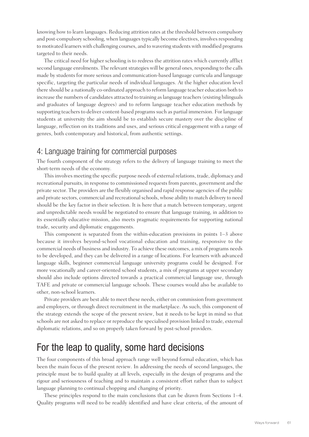knowing how to learn languages. Reducing attrition rates at the threshold between compulsory and post-compulsory schooling, when languages typically become electives, involves responding to motivated learners with challenging courses, and to wavering students with modified programs targeted to their needs.

The critical need for higher schooling is to redress the attrition rates which currently afflict second language enrolments. The relevant strategies will be general ones, responding to the calls made by students for more serious and communication-based language curricula and language specific, targeting the particular needs of individual languages. At the higher education level there should be a nationally co-ordinated approach to reform language teacher education both to increase the numbers of candidates attracted to training as language teachers (existing bilinguals and graduates of language degrees) and to reform language teacher education methods by supporting teachers to deliver content-based programs such as partial immersion. For language students at university the aim should be to establish secure mastery over the discipline of language, reflection on its traditions and uses, and serious critical engagement with a range of genres, both contemporary and historical, from authentic settings.

#### 4: Language training for commercial purposes

The fourth component of the strategy refers to the delivery of language training to meet the short-term needs of the economy.

This involves meeting the specific purpose needs of external relations, trade, diplomacy and recreational pursuits, in response to commissioned requests from parents, government and the private sector. The providers are the flexibly organised and rapid response agencies of the public and private sectors, commercial and recreational schools, whose ability to match delivery to need should be the key factor in their selection. It is here that a match between temporary, urgent and unpredictable needs would be negotiated to ensure that language training, in addition to its essentially educative mission, also meets pragmatic requirements for supporting national trade, security and diplomatic engagements.

This component is separated from the within-education provisions in points 1–3 above because it involves beyond-school vocational education and training, responsive to the commercial needs of business and industry. To achieve these outcomes, a mix of programs needs to be developed, and they can be delivered in a range of locations. For learners with advanced language skills, beginner commercial language university programs could be designed. For more vocationally and career-oriented school students, a mix of programs at upper secondary should also include options directed towards a practical commercial language use, through TAFE and private or commercial language schools. These courses would also be available to other, non-school learners.

Private providers are best able to meet these needs, either on commission from government and employers, or through direct recruitment in the marketplace. As such, this component of the strategy extends the scope of the present review, but it needs to be kept in mind so that schools are not asked to replace or reproduce the specialised provision linked to trade, external diplomatic relations, and so on properly taken forward by post-school providers.

# For the leap to quality, some hard decisions

The four components of this broad approach range well beyond formal education, which has been the main focus of the present review. In addressing the needs of second languages, the principle must be to build quality at all levels, especially in the design of programs and the rigour and seriousness of teaching and to maintain a consistent effort rather than to subject language planning to continual chopping and changing of priority.

These principles respond to the main conclusions that can be drawn from Sections 1–4. Quality programs will need to be readily identified and have clear criteria, of the amount of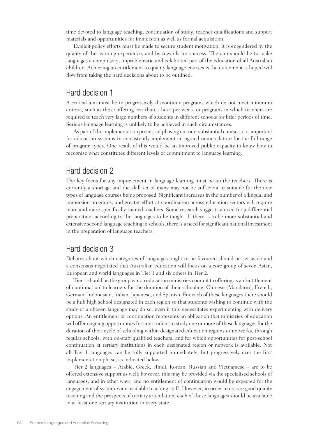time devoted to language teaching, continuation of study, teacher qualifications and support materials and opportunities for immersion as well as formal acquisition.

Explicit policy efforts must be made to secure student motivation. It is engendered by the quality of the learning experience, and by rewards for success. The aim should be to make languages a compulsory, unproblematic and celebrated part of the education of all Australian children. Achieving an entitlement to quality language courses is the outcome it is hoped will flow from taking the hard decisions about to be outlined.

#### Hard decision 1

A critical aim must be to progressively discontinue programs which do not meet minimum criteria, such as those offering less than 1 hour per week, or programs in which teachers are required to teach very large numbers of students in different schools for brief periods of time. Serious language learning is unlikely to be achieved in such circumstances.

As part of the implementation process of phasing out non-substantial courses, it is important for education systems to consistently implement an agreed nomenclature for the full range of program types. One result of this would be an improved public capacity to know how to recognise what constitutes different levels of commitment to language learning.

#### Hard decision 2

The key focus for any improvement in language learning must be on the teachers. There is currently a shortage and the skill set of many may not be sufficient or suitable for the new types of language courses being proposed. Significant increases in the number of bilingual and immersion programs, and greater effort at coordination across education sectors will require more and more specifically trained teachers. Some research suggests a need for a differential preparation, according to the languages to be taught. If there is to be more substantial and extensive second language teaching in schools, there is a need for significant national investment in the preparation of language teachers.

#### Hard decision 3

Debates about which categories of languages ought to be favoured should be set aside and a consensus negotiated that Australian education will focus on a core group of seven Asian, European and world languages in Tier 1 and six others in Tier 2.

Tier 1 should be the group which education ministries commit to offering as an 'entitlement of continuation' to learners for the duration of their schooling: Chinese (Mandarin), French, German, Indonesian, Italian, Japanese, and Spanish. For each of these languages there should be a hub high school designated in each region so that students wishing to continue with the study of a chosen language may do so, even if this necessitates experimenting with delivery options. An entitlement of continuation represents an obligation that ministries of education will offer ongoing opportunities for any student to study one or more of these languages for the duration of their cycle of schooling within designated education regions or networks, through regular schools, with on-staff qualified teachers, and for which opportunities for post-school continuation at tertiary institutions in each designated region or network is available. Not all Tier 1 languages can be fully supported immediately, but progressively over the first implementation phase, as indicated below.

Tier 2 languages – Arabic, Greek, Hindi, Korean, Russian and Vietnamese – are to be offered extensive support as well; however, this may be provided via the specialised schools of languages, and in other ways, and no entitlement of continuation would be expected for the engagement of system-wide available teaching staff. However, in order to ensure good quality teaching and the prospects of tertiary articulation, each of these languages should be available in at least one tertiary institution in every state.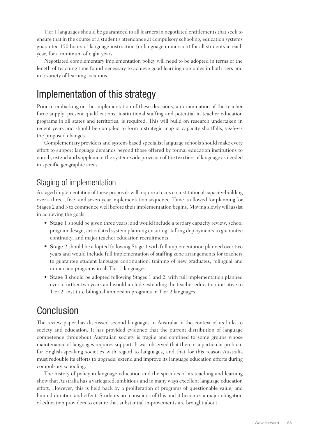Tier 1 languages should be guaranteed to all learners in negotiated entitlements that seek to ensure that in the course of a student's attendance at compulsory schooling, education systems guarantee 150 hours of language instruction (or language immersion) for all students in each year, for a minimum of eight years.

Negotiated complementary implementation policy will need to be adopted in terms of the length of teaching time found necessary to achieve good learning outcomes in both tiers and in a variety of learning locations.

# Implementation of this strategy

Prior to embarking on the implementation of these decisions, an examination of the teacher force supply, present qualifications, institutional staffing and potential in teacher education programs in all states and territories, is required. This will build on research undertaken in recent years and should be compiled to form a strategic map of capacity shortfalls, vis-à-vis the proposed changes.

Complementary providers and system-based specialist language schools should make every effort to support language demands beyond those offered by formal education institutions to enrich, extend and supplement the system-wide provision of the two tiers of language as needed in specific geographic areas.

#### Staging of implementation

A staged implementation of these proposals will require a focus on institutional capacity-building over a three-, five- and seven-year implementation sequence. Time is allowed for planning for Stages 2 and 3 to commence well before their implementation begins. Moving slowly will assist in achieving the goals.

- Stage 1 should be given three years, and would include a tertiary capacity review, school program design, articulated system planning ensuring staffing deployments to guarantee continuity, and major teacher education recruitments.
- Stage 2 should be adopted following Stage 1 with full implementation planned over two years and would include full implementation of staffing zone arrangements for teachers to guarantee student language continuation, training of new graduates, bilingual and immersion programs in all Tier 1 languages.
- Stage 3 should be adopted following Stages 1 and 2, with full implementation planned over a further two years and would include extending the teacher education initiative to Tier 2, institute bilingual immersion programs in Tier 2 languages.

# **Conclusion**

The review paper has discussed second languages in Australia in the context of its links to society and education. It has provided evidence that the current distribution of language competence throughout Australian society is fragile and confined to some groups whose maintenance of languages requires support. It was observed that there is a particular problem for English-speaking societies with regard to languages, and that for this reason Australia must redouble its efforts to upgrade, extend and improve its language education efforts during compulsory schooling.

The history of policy in language education and the specifics of its teaching and learning show that Australia has a variegated, ambitious and in many ways excellent language education effort. However, this is held back by a proliferation of programs of questionable value, and limited duration and effect. Students are conscious of this and it becomes a major obligation of education providers to ensure that substantial improvements are brought about.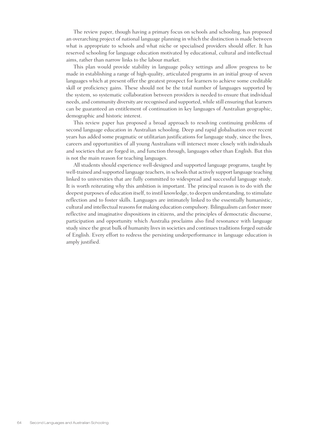The review paper, though having a primary focus on schools and schooling, has proposed an overarching project of national language planning in which the distinction is made between what is appropriate to schools and what niche or specialised providers should offer. It has reserved schooling for language education motivated by educational, cultural and intellectual aims, rather than narrow links to the labour market.

This plan would provide stability in language policy settings and allow progress to be made in establishing a range of high-quality, articulated programs in an initial group of seven languages which at present offer the greatest prospect for learners to achieve some creditable skill or proficiency gains. These should not be the total number of languages supported by the system, so systematic collaboration between providers is needed to ensure that individual needs, and community diversity are recognised and supported, while still ensuring that learners can be guaranteed an entitlement of continuation in key languages of Australian geographic, demographic and historic interest.

This review paper has proposed a broad approach to resolving continuing problems of second language education in Australian schooling. Deep and rapid globalisation over recent years has added some pragmatic or utilitarian justifications for language study, since the lives, careers and opportunities of all young Australians will intersect more closely with individuals and societies that are forged in, and function through, languages other than English. But this is not the main reason for teaching languages.

All students should experience well-designed and supported language programs, taught by well-trained and supported language teachers, in schools that actively support language teaching linked to universities that are fully committed to widespread and successful language study. It is worth reiterating why this ambition is important. The principal reason is to do with the deepest purposes of education itself, to instil knowledge, to deepen understanding, to stimulate reflection and to foster skills. Languages are intimately linked to the essentially humanistic, cultural and intellectual reasons for making education compulsory. Bilingualism can foster more reflective and imaginative dispositions in citizens, and the principles of democratic discourse, participation and opportunity which Australia proclaims also find resonance with language study since the great bulk of humanity lives in societies and continues traditions forged outside of English. Every effort to redress the persisting underperformance in language education is amply justified.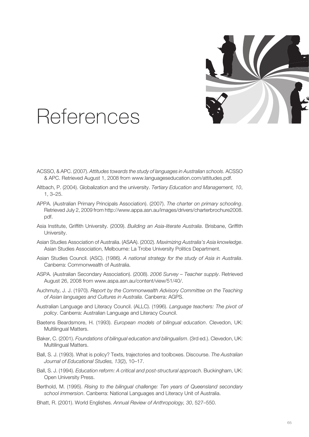

## References

- ACSSO, & APC. (2007). *Attitudes towards the study of languages in Australian schools*. ACSSO & APC. Retrieved August 1, 2008 from www.languageseducation.com/attitudes.pdf.
- Altbach, P. (2004). Globalization and the university. *Tertiary Education and Management, 10*, 1, 3–25.
- APPA. (Australian Primary Principals Association). (2007). *The charter on primary schooling*. Retrieved July 2, 2009 from http://www.appa.asn.au/images/drivers/charterbrochure2008. pdf.
- Asia Institute, Griffith University. (2009). *Building an Asia-literate Australia*. Brisbane, Griffith University.
- Asian Studies Association of Australia. (ASAA). (2002). *Maximizing Australia's Asia knowledge*. Asian Studies Association, Melbourne: La Trobe University Politics Department.
- Asian Studies Council. (ASC). (1986). *A national strategy for the study of Asia in Australia*. Canberra: Commonwealth of Australia.
- ASPA. (Australian Secondary Association). (2008). *2006 Survey Teacher supply*. Retrieved August 26, 2008 from www.aspa.asn.au/content/view/51/40/.
- Auchmuty, J. J. (1970). *Report by the Commonwealth Advisory Committee on the Teaching of Asian languages and Cultures in Australia*. Canberra: AGPS.
- Australian Language and Literacy Council. (ALLC). (1996). *Language teachers: The pivot of policy*. Canberra: Australian Language and Literacy Council.
- Baetens Beardsmore, H. (1993). *European models of bilingual education*. Clevedon, UK: Multilingual Matters.
- Baker, C. (2001). *Foundations of bilingual education and bilingualism*. (3rd ed.). Clevedon, UK: Multilingual Matters.
- Ball, S. J. (1993). What is policy? Texts, trajectories and toolboxes. Discourse. *The Australian Journal of Educational Studies, 13*(2), 10–17.
- Ball, S. J. (1994). *Education reform: A critical and post-structural approach*. Buckingham, UK: Open University Press.
- Berthold, M. (1995). *Rising to the bilingual challenge: Ten years of Queensland secondary school immersion*. Canberra: National Languages and Literacy Unit of Australia.
- Bhatt, R. (2001). World Englishes. *Annual Review of Anthropology, 30*, 527–550.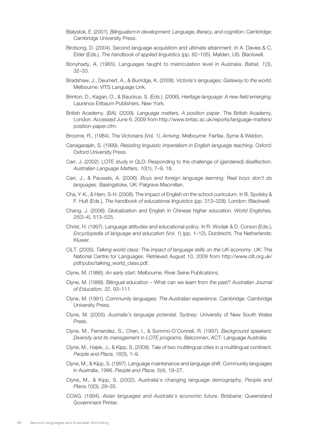- Bialystok, E. (2001). *Bilingualism in development: Language, literacy, and cognition*. Cambridge: Cambridge University Press.
- Birdsong, D. (2004). Second language acquisition and ultimate attainment. In A. Davies & C. Elder (Eds.), *The handbook of applied linguistics* (pp. 82–105). Malden, US: Blackwell.
- Bonyhady, A. (1965). Languages taught to matriculation level in Australia. *Babel, 1*(3), 32–33.
- Bradshaw, J., Deumert, A., & Burridge, K. (2008). *Victoria's languages: Gateway to the world*. Melbourne: VITS Language Link.
- Brinton, D., Kagan, O., & Bauckus, S. (Eds.). (2006). *Heritage language: A new field emerging*. Laurence Erlbaum Publishers, New York.
- British Academy. (BA). (2009). *Language matters, A position paper*. The British Academy, London. Accessed June 6, 2009 from http://www.britac.ac.uk/reports/language-matters/ position-paper.cfm.
- Broome, R., (1984). The Victorians (Vol. 1). *Arriving*. Melbourne: Fairfax, Syme & Weldon.
- Canagarajah, S. (1999). *Resisting linguistic imperialism in English language teaching*. Oxford: Oxford University Press.
- Carr, J. (2002). LOTE study in QLD: Responding to the challenge of (gendered) disaffection. *Australian Language Matters, 10*(1), 7–9, 18.
- Carr, J., & Pauwels, A. (2006). *Boys and foreign language learning: Real boys don't do languages*. Basingstoke, UK: Palgrave Macmillan.
- Cha, Y-K., & Ham, S-H. (2008). The impact of English on the school curriculum. In B. Spolsky & F. Hult (Eds.), *The handbook of educational linguistics* (pp. 313–328). London: Blackwell.
- Chang, J. (2006). Globalization and English in Chinese higher education. *World Englishes, 25*(3–4), 513–525.
- Christ, H. (1997). Language attitudes and educational policy. In R. Wodak & D. Corson (Eds.), *Encyclopedia of language and education* (Vol. 1) (pp. 1–12). Dordrecht, The Netherlands: Kluwer.
- CiLT. (2005). *Talking world class: The impact of language skills on the UK economy*. UK: The National Centre for Languages. Retrieved August 10, 2009 from http://www.cilt.org.uk/ pdf/pubs/talking\_world\_class.pdf.
- Clyne, M. (1986). *An early start*. Melbourne: River Seine Publications.
- Clyne, M. (1988). Bilingual education What can we learn from the past? *Australian Journal of Education, 32*, 93–111.
- Clyne, M. (1991). *Community languages: The Australian experience*. Cambridge: Cambridge University Press.
- Clyne, M. (2005). *Australia's language potential*. Sydney: University of New South Wales Press.
- Clyne, M., Fernandez, S., Chen, I., & Summo-O'Connell, R. (1997). *Background speakers: Diversity and its management in LOTE programs*. Belconnen, ACT: Language Australia.
- Clyne, M., Hajek, J., & Kipp, S. (2008). Tale of two multilingual cities in a multilingual continent. *People and Place, 16*(3), 1–9.
- Clyne, M., & Kipp, S. (1997). Language maintenance and language shift: Community languages in Australia, 1996. *People and Place, 5*(4), 19–27.
- Clyne, M,. & Kipp, S. (2002). Australia's changing language demography, *People and Place,10*(3), 29–35.
- COAG. (1994). *Asian languages and Australia's economic future*. Brisbane: Queensland Government Printer.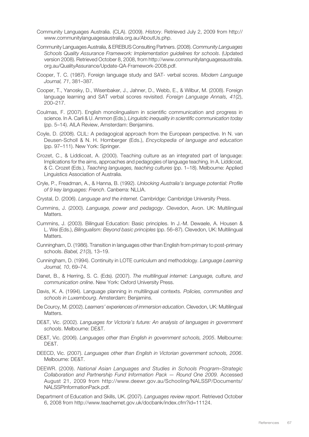- Community Languages Australia. (CLA). (2009). *History*. Retrieved July 2, 2009 from http:// www.communitylanguagesaustralia.org.au/AboutUs.php.
- Community Languages Australia, & EREBUS Consulting Partners. (2008). *Community Languages Schools Quality Assurance Framework: Implementation guidelines for schools*. (Updated version 2008). Retrieved October 8, 2008, from http://www.communitylanguagesaustralia. org.au/QualityAssurance/Update-QA-Framework-2008.pdf.
- Cooper, T. C. (1987). Foreign language study and SAT- verbal scores. *Modern Language Journal, 71*, 381–387.
- Cooper, T., Yanosky, D., Wisenbaker, J., Jahner, D., Webb, E., & Wilbur, M. (2008). Foreign language learning and SAT verbal scores revisited. *Foreign Language Annals, 41*(2), 200–217.
- Coulmas, F. (2007). English monolingualism in scientific communication and progress in science. In A. Carli & U. Ammon (Eds.), *Linguistic inequality in scientific communication today* (pp. 5–14). AILA Review, Amsterdam: Benjamins.
- Coyle, D. (2008). CLIL: A pedagogical approach from the European perspective. In N. van Deusen-Scholl & N. H. Hornberger (Eds.), *Encyclopedia of language and education* (pp. 97–111). New York: Springer.
- Crozet, C., & Liddicoat, A. (2000). Teaching culture as an integrated part of language: Implications for the aims, approaches and pedagogies of language teaching. In A. Liddicoat, & C. Crozet (Eds.), *Teaching languages, teaching cultures* (pp. 1–18). Melbourne: Applied Linguistics Association of Australia.
- Cryle, P., Freadman, A., & Hanna, B. (1992). *Unlocking Australia's language potential: Profile of 9 key languages: French*. Canberra: NLLIA.
- Crystal, D. (2006). *Language and the internet.* Cambridge: Cambridge University Press.
- Cummins, J. (2000). *Language, power and pedagogy*. Clevedon, Avon. UK: Multilingual Matters.
- Cummins, J. (2003). Bilingual Education: Basic principles. In J.-M. Dewaele, A. Housen & L. Wei (Eds.), *Bilingualism: Beyond basic principles* (pp. 56–87). Clevedon, UK: Multilingual Matters.
- Cunningham, D. (1986). Transition in languages other than English from primary to post-primary schools. *Babel, 21*(3), 13–19.
- Cunningham, D. (1994). Continuity in LOTE curriculum and methodology. *Language Learning Journal, 10*, 69–74.
- Danet, B., & Herring, S. C. (Eds). (2007). *The multilingual internet: Language, culture, and communication online*. New York: Oxford University Press.
- Davis, K. A. (1994). Language planning in multilingual contexts. *Policies, communities and schools in Luxembourg*. Amsterdam: Benjamins.
- De Courcy, M. (2002). *Learners' experiences of immersion education*. Clevedon, UK: Multilingual Matters.
- DE&T, Vic. (2002). *Languages for Victoria's future: An analysis of languages in government schools*. Melbourne: DE&T.
- DE&T, Vic. (2006). *Languages other than English in government schools, 2005*. Melbourne: DE&T.
- DEECD, Vic. (2007). *Languages other than English in Victorian government schools, 2006*. Melbourne: DE&T.
- DEEWR. (2009). *National Asian Languages and Studies in Schools Program–Strategic Collaboration and Partnership Fund Information Pack — Round One 2009.* Accessed August 21, 2009 from http://www.deewr.gov.au/Schooling/NALSSP/Documents/ NALSSPInformationPack.pdf.
- Department of Education and Skills, UK. (2007). *Languages review report*. Retrieved October 6, 2008 from http://www.teachernet.gov.uk/docbank/index.cfm?id=11124.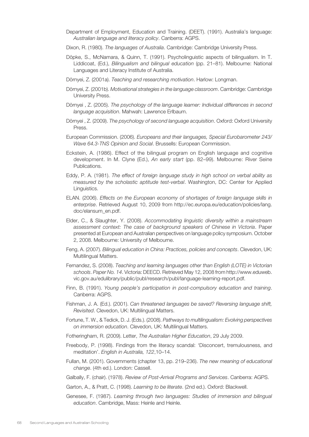- Department of Employment, Education and Training. (DEET). (1991). Australia's language: *Australian language and literacy policy*. Canberra: AGPS.
- Dixon, R. (1980). *The languages of Australia*. Cambridge: Cambridge University Press.
- Döpke, S., McNamara, & Quinn, T. (1991). Psycholinguistic aspects of bilingualism. In T. Liddicoat, (Ed.), *Bilingualism and bilingual education* (pp. 21–81). Melbourne: National Languages and Literacy Institute of Australia.
- Dörnyei, Z. (2001a). *Teaching and researching motivation*. Harlow: Longman.
- Dörnyei, Z. (2001b). *Motivational strategies in the language classroom*. Cambridge: Cambridge University Press.
- Dörnyei , Z. (2005). *The psychology of the language learner: Individual differences in second language acquisition*. Mahwah: Lawrence Erlbaum.
- Dörnyei , Z. (2009). *The psychology of second language acquisition*. Oxford: Oxford University Press.
- European Commission. (2006). *Europeans and their languages, Special Eurobarometer 243/ Wave 64.3-TNS Opinion and Social*. Brussells: European Commission.
- Eckstein, A. (1986). Effect of the bilingual program on English language and cognitive development. In M. Clyne (Ed.), *An early start* (pp. 82–99). Melbourne: River Seine Publications.
- Eddy, P. A. (1981). *The effect of foreign language study in high school on verbal ability as measured by the scholastic aptitude test-verbal*. Washington, DC: Center for Applied Linguistics.
- ELAN. (2006). *Effects on the European economy of shortages of foreign language skills in enterprise*. Retrieved August 10, 2009 from http://ec.europa.eu/education/policies/lang. doc/elansum\_en.pdf.
- Elder, C., & Slaughter, Y. (2008). *Accommodating linguistic diversity within a mainstream assessment context: The case of background speakers of Chinese in Victoria*. Paper presented at European and Australian perspectives on language policy symposium. October 2, 2008. Melbourne: University of Melbourne.
- Feng, A. (2007). *Bilingual education in China: Practices, policies and concepts*. Clevedon, UK: Multilingual Matters.
- Fernandez, S. (2008). *Teaching and learning languages other than English (LOTE) in Victorian schools*. *Paper No. 14*. Victoria: DEECD. Retrieved May 12, 2008 from http://www.eduweb. vic.gov.au/edulibrary/public/publ/research/publ/language-learning-report.pdf.
- Finn, B. (1991). *Young people's participation in post-compulsory education and training*. Canberra: AGPS.
- Fishman, J. A. (Ed.). (2001). *Can threatened languages be saved? Reversing language shift, Revisited*. Clevedon, UK: Multilingual Matters.
- Fortune, T. W., & Tedick, D. J. (Eds.). (2008). *Pathways to multilingualism: Evolving perspectives on immersion education*. Clevedon, UK: Multilingual Matters.
- Fotheringham, R. (2009). Letter, *The Australian Higher Education*, 29 July 2009.
- Freebody, P. (1998). Findings from the literacy scandal: 'Disconcert, tremulousness, and meditation'. *English in Australia, 122*,10–14.
- Fullan, M. (2001). Governments (chapter 13, pp. 219–236). *The new meaning of educational change*. (4th ed.). London: Cassell.
- Galbally, F. (chair). (1978). *Review of Post-Arrival Programs and Services*. Canberra: AGPS.
- Garton, A., & Pratt, C. (1998). *Learning to be literate*. (2nd ed.). Oxford: Blackwell.
- Genesee, F. (1987). *Learning through two languages: Studies of immersion and bilingual education*. Cambridge, Mass: Heinle and Heinle.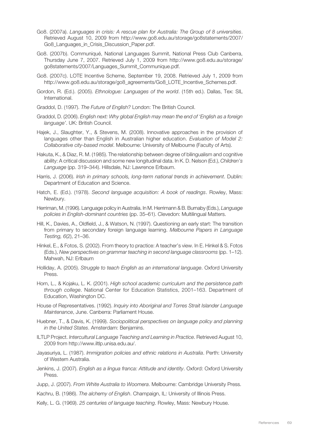- Go8. (2007a). *Languages in crisis: A rescue plan for Australia: The Group of 8 universities*. Retrieved August 10, 2009 from http://www.go8.edu.au/storage/go8statements/2007/ Go8 Languages in Crisis Discussion Paper.pdf.
- Go8. (2007b). Communiqué, National Languages Summit, National Press Club Canberra, Thursday June 7, 2007. Retrieved July 1, 2009 from http://www.go8.edu.au/storage/ go8statements/2007/Languages\_Summit\_Communique.pdf.
- Go8. (2007c). LOTE Incentive Scheme, September 19, 2008. Retrieved July 1, 2009 from http://www.go8.edu.au/storage/go8\_agreements/Go8\_LOTE\_Incentive\_Schemes.pdf.
- Gordon, R. (Ed.). (2005). *Ethnologue: Languages of the world*. (15th ed.). Dallas, Tex: SIL International.
- Graddol, D. (1997). *The Future of English?* London: The British Council.
- Graddol, D. (2006). *English next: Why global English may mean the end of 'English as a foreign language'*. UK: British Council.
- Hajek, J., Slaughter, Y., & Stevens, M. (2008). Innovative approaches in the provision of languages other than English in Australian higher education. *Evaluation of Model 2: Collaborative city-based model*. Melbourne: University of Melbourne (Faculty of Arts).
- Hakuta, K., & Diaz, R. M. (1985). The relationship between degree of bilingualism and cognitive ability: A critical discussion and some new longitudinal data. In K. D. Nelson (Ed.), *Children's Language* (pp. 319–344). Hillsdale, NJ: Lawrence Erlbaum.
- Harris, J. (2006). *Irish in primary schools, long-term national trends in achievement*. Dublin: Department of Education and Science.
- Hatch, E. (Ed.). (1978). *Second language acquisition: A book of readings*. Rowley, Mass: Newbury.
- Herriman, M. (1996). Language policy in Australia. In M. Herrimann & B. Burnaby (Eds.), *Language policies in English-dominant countries* (pp. 35–61). Clevedon: Multilingual Matters.
- Hill, K., Davies, A., Oldfield, J., & Watson, N. (1997). Questioning an early start: The transition from primary to secondary foreign language learning. *Melbourne Papers in Language Testing, 6*(2), 21–36.
- Hinkel, E., & Fotos, S. (2002). From theory to practice: A teacher's view. In E. Hinkel & S. Fotos (Eds.), *New perspectives on grammar teaching in second language classrooms* (pp. 1–12). Mahwah, NJ: Erlbaum
- Holliday, A. (2005). *Struggle to teach English as an international language*. Oxford University Press.
- Horn, L., & Kojaku, L. K. (2001). *High school academic curriculum and the persistence path through college*. National Center for Education Statistics, 2001–163. Department of Education, Washington DC.
- House of Representatives. (1992). *Inquiry into Aboriginal and Torres Strait Islander Language Maintenance*, June. Canberra: Parliament House.
- Huebner, T., & Davis, K. (1999). *Sociopolitical perspectives on language policy and planning in the United States*. Amsterdam: Benjamins.
- ILTLP Project. *Intercultural Language Teaching and Learning in Practice*. Retrieved August 10, 2009 from http://www.iltlp.unisa.edu.au/.
- Jayasuriya, L. (1987). *Immigration policies and ethnic relations in Australia*. Perth: University of Western Australia.
- Jenkins, J. (2007). *English as a lingua franca: Attitude and identity*. Oxford: Oxford University Press.
- Jupp, J. (2007). *From White Australia to Woomera*. Melbourne: Cambridge University Press.
- Kachru, B. (1986). *The alchemy of English*. Champaign, IL: University of Illinois Press.
- Kelly, L. G. (1969). *25 centuries of language teaching*. Rowley, Mass: Newbury House.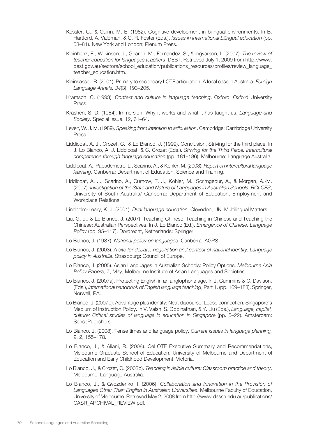- Kessler, C., & Quinn, M. E. (1982). Cognitive development in bilingual environments. In B. Hartford, A. Valdman, & C. R. Foster (Eds.). *Issues in international bilingual education* (pp. 53–81). New York and London: Plenum Press.
- Kleinhenz, E., Wilkinson, J., Gearon, M., Fernandez, S., & Ingvarson, L. (2007). *The review of teacher education for languages teachers*. DEST. Retrieved July 1, 2009 from http://www. dest.gov.au/sectors/school\_education/publications\_resources/profiles/review\_language\_ teacher\_education.htm.
- Kleinsasser, R. (2001). Primary to secondary LOTE articulation: A local case in Australia. *Foreign Language Annals, 34*(3), 193–205.
- Kramsch, C. (1993). *Context and culture in language teaching*. Oxford: Oxford University Press.
- Krashen, S. D. (1984). Immersion: Why it works and what it has taught us. *Language and Society,* Special Issue, 12, 61–64.
- Levelt, W. J. M. (1989). *Speaking from intention to articulation*. Cambridge: Cambridge University Press.
- Liddicoat, A. J., Crozet, C., & Lo Bianco, J. (1999). Conclusion. Striving for the third place. In J. Lo Bianco, A. J. Liddicoat, & C. Crozet (Eds.). *Striving for the Third Place: Intercultural competence through language education* (pp. 181–186). Melbourne: Language Australia.
- Liddicoat, A., Papademetre, L., Scarino, A., & Kohler, M. (2003). *Report on intercultural language learning*. Canberra: Department of Education, Science and Training.
- Liddicoat, A. J., Scarino, A., Curnow, T. J., Kohler, M., Scrimgeour, A., & Morgan, A.-M. (2007). *Investigation of the State and Nature of Languages in Australian Schools: RCLCES*, University of South Australia/ Canberra: Department of Education, Employment and Workplace Relations.
- Lindholm-Leary, K .J. (2001). *Dual language education*. Clevedon, UK: Multilingual Matters.
- Liu, G. q., & Lo Bianco, J. (2007). Teaching Chinese, Teaching in Chinese and Teaching the Chinese: Australian Perspectives. In J. Lo Bianco (Ed.), *Emergence of Chinese, Language Policy* (pp. 95–117). Dordrecht, Netherlands: Springer.
- Lo Bianco, J. (1987). *National policy on languages*. Canberra: AGPS.
- Lo Bianco, J. (2003). *A site for debate, negotiation and contest of national identity: Language policy in Australia*. Strasbourg: Council of Europe.
- Lo Bianco, J. (2005). Asian Languages in Australian Schools: Policy Options. *Melbourne Asia Policy Papers*, 7, May, Melbourne Institute of Asian Languages and Societies.
- Lo Bianco, J. (2007a). Protecting English in an anglophone age. In J. Cummins & C. Davison, (Eds.), *International handbook of English language teaching*, Part 1. (pp. 169–183). Springer, Norwell, PA.
- Lo Bianco, J. (2007b). Advantage plus identity: Neat discourse, Loose connection: Singapore's Medium of Instruction Policy. In V. Vaish, S. Gopinathan, & Y. Liu (Eds.), *Language, capital, culture: Critical studies of language in education in Singapore* (pp. 5–22). Amsterdam: SensePublishers.
- Lo Bianco, J. (2008). Tense times and language policy. *Current issues in language planning, 9*, 2, 155–178.
- Lo Bianco, J., & Aliani, R. (2008). CeLOTE Executive Summary and Recommendations, Melbourne Graduate School of Education, University of Melbourne and Department of Education and Early Childhood Development, Victoria.
- Lo Bianco, J., & Crozet, C. (2003b). *Teaching invisible culture: Classroom practice and theory*. Melbourne: Language Australia.
- Lo Bianco, J., & Gvozdenko, I. (2006). *Collaboration and Innovation in the Provision of Languages Other Than English in Australian Universities*. Melbourne Faculty of Education, University of Melbourne. Retrieved May 2, 2008 from http://www.dassh.edu.au/publications/ CASR\_ARCHIVAL\_REVIEW.pdf.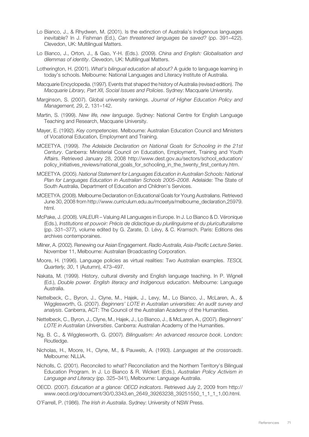- Lo Bianco, J., & Rhydwen, M. (2001). Is the extinction of Australia's Indigenous languages inevitable? In J. Fishman (Ed.), *Can threatened languages be saved?* (pp. 391–422). Clevedon, UK: Multilingual Matters.
- Lo Bianco, J., Orton, J., & Gao, Y-H. (Eds.). (2009). *China and English: Globalisation and dilemmas of identity*. Clevedon, UK: Multilingual Matters.
- Lotherington, H. (2001). *What's bilingual education all about?* A guide to language learning in today's schools. Melbourne: National Languages and Literacy Institute of Australia.
- Macquarie Encyclopedia. (1997). Events that shaped the history of Australia (revised edition). *The Macquarie Library, Part XII, Social Issues and Policies*. Sydney: Macquarie University.
- Marginson, S. (2007). Global university rankings. *Journal of Higher Education Policy and Management, 29*, 2, 131–142.
- Martin, S. (1999). *New life, new language*. Sydney: National Centre for English Language Teaching and Research, Macquarie University.
- Mayer, E. (1992). *Key competencies*. Melbourne: Australian Education Council and Ministers of Vocational Education, Employment and Training.
- MCEETYA. (1999). *The Adelaide Declaration on National Goals for Schooling in the 21st Century*. Canberra: Ministerial Council on Education, Employment, Training and Youth Affairs. Retrieved January 28, 2008 http://www.dest.gov.au/sectors/school\_education/ policy\_initiatives\_reviews/national\_goals\_for\_schooling\_in\_the\_twenty\_first\_century.htm.
- MCEETYA. (2005). *National Statement for Languages Education in Australian Schools: National Plan for Languages Education in Australian Schools 2005–2008*. Adelaide: The State of South Australia, Department of Education and Children's Services.
- MCEETYA. (2008). Melbourne Declaration on Educational Goals for Young Australians. Retrieved June 30, 2008 from http://www.curriculum.edu.au/mceetya/melbourne\_declaration,25979. html.
- McPake, J. (2008). VALEUR Valuing All Languages in Europe. In J. Lo Bianco & D. Véronique (Eds.), *Institutions et pouvoir: Précis de didactique du plurilinguisme et du pluriculturalisme*  (pp. 331–377), volume edited by G. Zarate, D. Lévy, & C. Kramsch. Paris: Editions des archives contemporaines.
- Milner, A. (2002). Renewing our Asian Engagement. *Radio Australia, Asia-Pacific Lecture Series*. November 11, Melbourne: Australian Broadcasting Corporation.
- Moore, H. (1996). Language policies as virtual realities: Two Australian examples. *TESOL Quarterly, 30*, 1 (Autumn), 473–497.
- Nakata, M. (1999). History, cultural diversity and English language teaching. In P. Wignell (Ed.), *Double power. English literacy and Indigenous education*. Melbourne: Language Australia.
- Nettelbeck, C., Byron, J., Clyne, M., Hajek, J., Levy, M., Lo Bianco, J., McLaren, A., & Wigglesworth, G. (2007). *Beginners' LOTE in Australian universities: An audit survey and analysis*. Canberra, ACT: The Council of the Australian Academy of the Humanities.
- Nettelbeck, C., Byron, J., Clyne, M., Hajek, J., Lo Bianco, J., & McLaren, A., (2007). *Beginners' LOTE in Australian Universities*. Canberra: Australian Academy of the Humanities.
- Ng, B. C., & Wigglesworth, G. (2007). *Bilingualism: An advanced resource book*. London: Routledge.
- Nicholas, H., Moore, H., Clyne, M., & Pauwels, A. (1993). *Languages at the crossroads*. Melbourne: NLLIA.
- Nicholls, C. (2001). Reconciled to what? Reconciliation and the Northern Territory's Bilingual Education Program. In J. Lo Bianco & R. Wickert (Eds.), *Australian Policy Activism in Language and Literacy* (pp. 325–341), Melbourne: Language Australia.
- OECD. (2007). *Education at a glance: OECD indicators*. Retrieved July 2, 2009 from http:// www.oecd.org/document/30/0,3343,en\_2649\_39263238\_39251550\_1\_1\_1\_1,00.html.
- O'Farrell, P. (1986). *The Irish in Australia*. Sydney: University of NSW Press.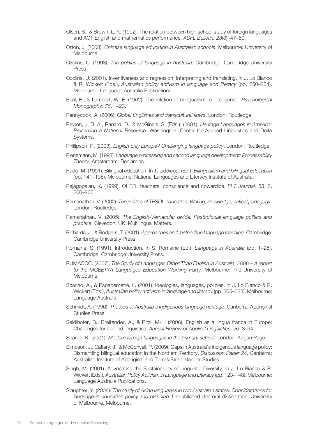- Olsen, S., & Brown, L. K. (1992). The relation between high school study of foreign languages and ACT English and mathematics performance. *ADFL Bulletin, 23*(3), 47–50.
- Orton, J. (2008). *Chinese language education in Australian schools*. Melbourne: University of Melbourne.
- Ozolins, U. (1993). *The politics of language in Australia*. Cambridge: Cambridge University Press.
- Ozolins, U. (2001). Inventiveness and regression: Interpreting and translating. In J. Lo Bianco & R. Wickert (Eds.), *Australian policy activism in language and literacy* (pp. 250–264). Melbourne: Language Australia Publications.
- Peal, E., & Lambert, W. E. (1962). The relation of bilingualism to intelligence. *Psychological Monographs, 76*, 1–23.
- Pennycook, A. (2006). *Global Englishes and transcultural flows*. London: Routledge
- Peyton, J. D. A., Ranard, D., & McGinnis, S. (Eds.). (2001). *Heritage Languages in America: Preserving a National Resource*. Washington: Center for Applied Linguistics and Delta Systems.
- Phillipson, R. (2003). *English only Europe? Challenging language policy*. London: Routledge.
- Pienemann, M. (1998). *Language processing and second language development: Processability Theory*. Amsterdam: Benjamins.
- Rado, M. (1991). Bilingual education. In T. Liddicoat (Ed.), *Bilingualism and bilingual education* (pp. 141–198). Melbourne: National Languages and Literacy Institute of Australia,
- Rajagopalan, K. (1999). Of EFL teachers, conscience and cowardice. *ELT Journal, 53*, 3, 200–206.
- Ramanathan, V. (2002). *The politics of TESOL education: Writing, knowledge, critical pedagogy*. London: Routledge.
- Ramanathan, V. (2005). *The English-Vernacular divide: Postcolonial language politics and practice*. Clevedon, UK: Multilingual Matters.
- Richards, J., & Rodgers, T. (2001). *Approaches and methods in language teaching*. Cambridge: Cambridge University Press.
- Romaine, S. (1991). Introduction. In S. Romaine (Ed.), *Language in Australia* (pp. 1–25). Cambridge: Cambridge University Press.
- RUMACCC. (2007). *The Study of Languages Other Than English in Australia, 2006 A report to the MCEETYA Languages Education Working Party*. Melbourne: The University of Melbourne.
- Scarino, A., & Papademetre, L. (2001). Ideologies, languages, policies. In J. Lo Bianco & R. Wickert (Eds.), *Australian policy activism in language and literacy* (pp. 305–323). Melbourne: Language Australia.
- Schmidt, A. (1990). *The loss of Australia's Indigenous language heritage*. Canberra: Aboriginal Studies Press.
- Seidlhofer, B., Breitender, A., & Pitzl, M-L. (2006). English as a lingua franca in Europe: Challenges for applied linguistics. *Annual Review of Applied Linguistics, 26*, 3–34.
- Sharpe, K. (2001). *Modern foreign languages in the primary school*. London: Kogan Page.
- Simpson, J., Caffery, J., & McConvell, P. (2009). Gaps in Australia's Indigenous language policy: Dismantling bilingual education in the Northern Territory. *Discussion Paper 24*, Canberra: Australian Institute of Aboriginal and Torres Strait Islander Studies.
- Singh, M. (2001). Advocating the Sustainability of Linguistic Diversity. In J. Lo Bianco & R. Wickert (Eds.), *Australian Policy Activism in Language and Literacy* (pp. 123–148). Melbourne: Language Australia Publications.
- Slaughter, Y. (2008). *The study of Asian languages in two Australian states: Considerations for language-in-education policy and planning*. Unpublished doctoral dissertation, University of Melbourne, Melbourne.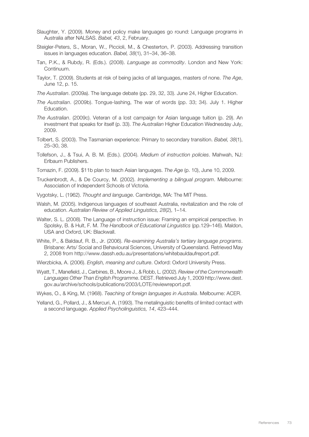- Slaughter, Y. (2009). Money and policy make languages go round: Language programs in Australia after NALSAS. *Babel, 43*, 2, February.
- Steigler-Peters, S., Moran, W., Piccioli, M., & Chesterton, P. (2003). Addressing transition issues in languages education. *Babel, 38*(1), 31–34, 36–38.
- Tan, P.K., & Rubdy, R. (Eds.). (2008). *Language as commodity*. London and New York: Continuum.
- Taylor, T. (2009). Students at risk of being jacks of all languages, masters of none. *The Age*, June 12, p. 15.
- *The Australian*. (2009a). The language debate (pp. 29, 32, 33). June 24, Higher Education.
- *The Australian*. (2009b). Tongue-lashing, The war of words (pp. 33; 34). July 1. Higher Education.
- *The Australian*. (2009c). Veteran of a lost campaign for Asian language tuition (p. 29). An investment that speaks for itself (p. 33). *The Australian* Higher Education Wednesday July, 2009.
- Tolbert, S. (2003). The Tasmanian experience: Primary to secondary transition. *Babel, 38*(1), 25–30, 38.
- Tollefson, J., & Tsui, A. B. M. (Eds.). (2004). *Medium of instruction policies*. Mahwah, NJ: Erlbaum Publishers.
- Tomazin, F. (2009). \$11b plan to teach Asian languages. *The Age* (p. 10), June 10, 2009.
- Truckenbrodt, A., & De Courcy, M. (2002). *Implementing a bilingual program*. Melbourne: Association of Independent Schools of Victoria.
- Vygotsky, L. (1962). *Thought and language*. Cambridge, MA: The MIT Press.
- Walsh, M. (2005). Indigenous languages of southeast Australia, revitalization and the role of education. *Australian Review of Applied Linguistics, 28*(2), 1–14.
- Walter, S. L. (2008). The Language of instruction issue: Framing an empirical perspective. In Spolsky, B. & Hult, F. M. *The Handbook of Educational Linguistics* (pp.129–146). Maldon, USA and Oxford, UK: Blackwall.
- White, P., & Baldauf, R. B., Jr. (2006). *Re-examining Australia's tertiary language programs*. Brisbane: Arts/ Social and Behavioural Sciences, University of Queensland. Retrieved May 2, 2008 from http://www.dassh.edu.au/presentations/whitebauldaufreport.pdf.

Wierzbicka, A. (2006). *English, meaning and culture*. Oxford: Oxford University Press.

- Wyatt, T., Manefield, J., Carbines, B., Moore J., & Robb, L. (2002). *Review of the Commonwealth Languages Other Than English Programme*. DEST. Retrieved July 1, 2009 http://www.dest. gov.au/archive/schools/publications/2003/LOTE/reviewreport.pdf.
- Wykes, O., & King, M. (1968). *Teaching of foreign languages in Australia*. Melbourne: ACER.
- Yelland, G., Pollard, J., & Mercuri, A. (1993). The metalinguistic benefits of limited contact with a second language. *Applied Psycholinguistics, 14*, 423–444.